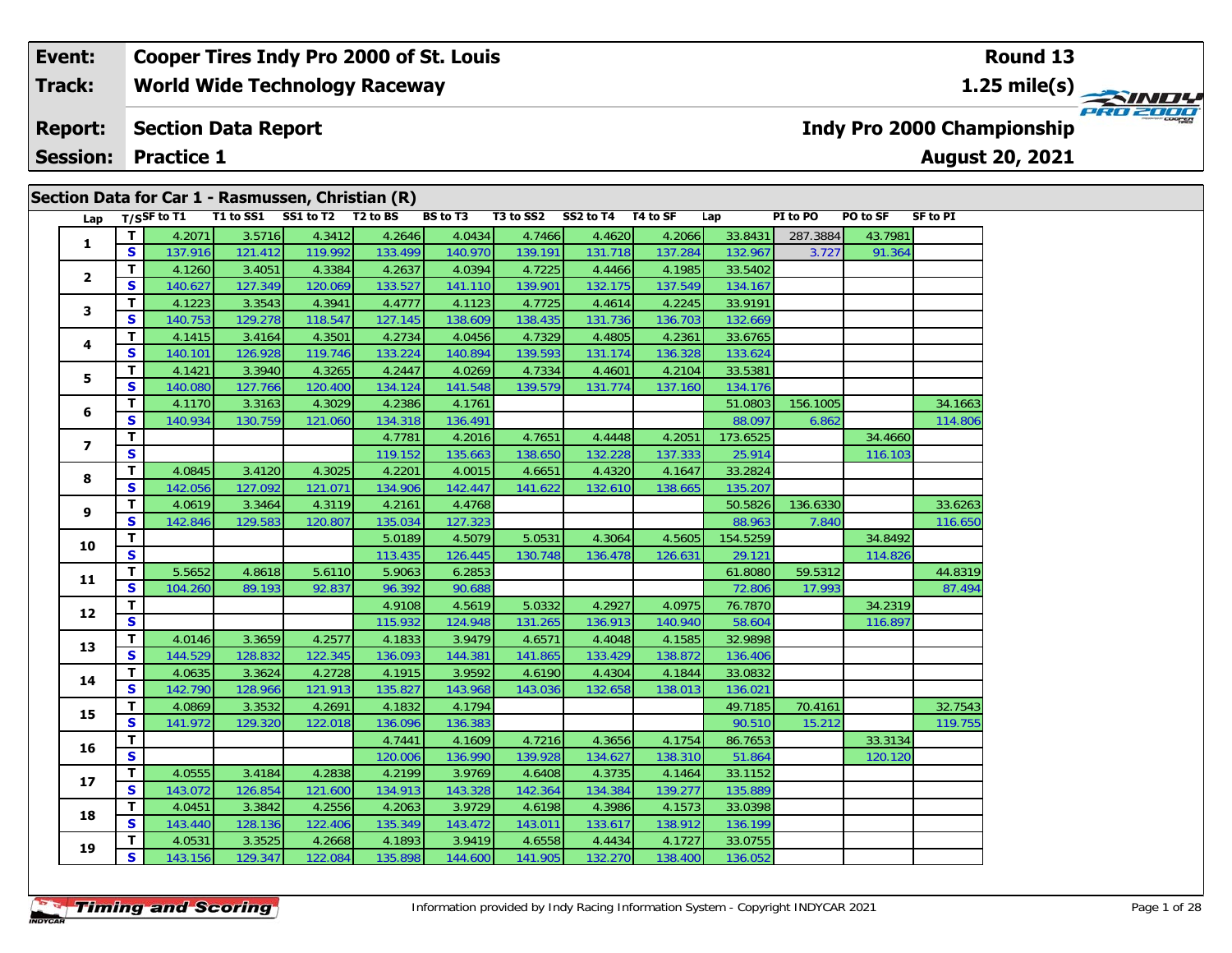| Event:          | Cooper Tires Indy Pro 2000 of St. Louis                                                                            | Round 13                                      |
|-----------------|--------------------------------------------------------------------------------------------------------------------|-----------------------------------------------|
| <b>Track:</b>   | <b>World Wide Technology Raceway</b>                                                                               |                                               |
| <b>Report:</b>  | <b>Section Data Report</b>                                                                                         | PRO 2000<br><b>Indy Pro 2000 Championship</b> |
| <b>Session:</b> | <b>Practice 1</b>                                                                                                  | <b>August 20, 2021</b>                        |
|                 | Section Data for Car 1 - Rasmussen, Christian (R)                                                                  |                                               |
|                 | <b>BS to T3</b><br>T1 to SS1 SS1 to T2 T2 to BS<br>T3 to SS2<br>SS2 to T4<br>T4 to SF<br>Lap $T/S$ SF to T1<br>Lap | PI to PO<br>PO to SF<br>SF to PI              |

| Lap            |                         | T/SSF to $TI$ | T1 to SS1 | SS1 to T2 | T <sub>2</sub> to BS | BS to T3 | <b>T3 to SS2</b> | <b>SS2 to T4</b> | T4 to SF | Lap      | PI to PO | PO to SF | SF to PI |
|----------------|-------------------------|---------------|-----------|-----------|----------------------|----------|------------------|------------------|----------|----------|----------|----------|----------|
|                | T                       | 4.2071        | 3.5716    | 4.3412    | 4.2646               | 4.0434   | 4.7466           | 4.4620           | 4.2066   | 33.8431  | 287.3884 | 43.7981  |          |
| 1              | S                       | 137.916       | 121.412   | 119.992   | 133.499              | 140.970  | 139.191          | 131.718          | 137.284  | 132.967  | 3.727    | 91.364   |          |
|                | $\mathbf{T}$            | 4.1260        | 3.4051    | 4.3384    | 4.2637               | 4.0394   | 4.7225           | 4.4466           | 4.1985   | 33.5402  |          |          |          |
| $\mathbf{2}$   | S                       | 140.627       | 127.349   | 120.069   | 133.527              | 141.110  | 139.901          | 132.175          | 137.549  | 134.167  |          |          |          |
| 3              | T.                      | 4.1223        | 3.3543    | 4.3941    | 4.4777               | 4.1123   | 4.7725           | 4.4614           | 4.2245   | 33.9191  |          |          |          |
|                | S                       | 140.753       | 129.278   | 118.547   | 127.145              | 138.609  | 138.435          | 131.736          | 136.703  | 132.669  |          |          |          |
| 4              | $\mathbf{T}$            | 4.1415        | 3.4164    | 4.3501    | 4.2734               | 4.0456   | 4.7329           | 4.4805           | 4.2361   | 33.6765  |          |          |          |
|                | $\mathbf{s}$            | 140.101       | 126.928   | 119.746   | 133.224              | 140.894  | 139.593          | 131.174          | 136.328  | 133.624  |          |          |          |
| 5              | $\mathbf{T}$            | 4.1421        | 3.3940    | 4.3265    | 4.2447               | 4.0269   | 4.7334           | 4.4601           | 4.2104   | 33.5381  |          |          |          |
|                | $\mathbf{s}$            | 140.080       | 127.766   | 120.400   | 134.124              | 141.548  | 139.579          | 131.774          | 137.160  | 134.176  |          |          |          |
| 6              | T.                      | 4.1170        | 3.3163    | 4.3029    | 4.2386               | 4.1761   |                  |                  |          | 51.0803  | 156.1005 |          | 34.1663  |
|                | S                       | 140.934       | 130.759   | 121.060   | 134.318              | 136.491  |                  |                  |          | 88.097   | 6.862    |          | 114.806  |
| $\overline{ }$ | $\mathbf{T}$            |               |           |           | 4.7781               | 4.2016   | 4.7651           | 4.4448           | 4.2051   | 173.6525 |          | 34.4660  |          |
|                | $\overline{\mathbf{s}}$ |               |           |           | 119.152              | 135.663  | 138.650          | 132.228          | 137.333  | 25.914   |          | 116.103  |          |
| 8              | T                       | 4.0845        | 3.4120    | 4.3025    | 4.2201               | 4.0015   | 4.6651           | 4.4320           | 4.1647   | 33.2824  |          |          |          |
|                | S                       | 142.056       | 127.092   | 121.071   | 134.906              | 142.447  | 141.622          | 132.610          | 138.665  | 135.207  |          |          |          |
| 9              | $\mathbf{T}$            | 4.0619        | 3.3464    | 4.3119    | 4.2161               | 4.4768   |                  |                  |          | 50.5826  | 136.6330 |          | 33.6263  |
|                | S                       | 142.846       | 129.583   | 120.807   | 135.034              | 127.323  |                  |                  |          | 88.963   | 7.840    |          | 116.650  |
| 10             | $\mathbf{T}$            |               |           |           | 5.0189               | 4.5079   | 5.0531           | 4.3064           | 4.5605   | 154.5259 |          | 34.8492  |          |
|                | S                       |               |           |           | 113.435              | 126.445  | 130.748          | 136.478          | 126.631  | 29.121   |          | 114.826  |          |
| 11             | $\mathbf{T}$            | 5.5652        | 4.8618    | 5.6110    | 5.9063               | 6.2853   |                  |                  |          | 61.8080  | 59.5312  |          | 44.8319  |
|                | S                       | 104.260       | 89.193    | 92.837    | 96.392               | 90.688   |                  |                  |          | 72.806   | 17.993   |          | 87.494   |
| 12             | $\mathbf{T}$            |               |           |           | 4.9108               | 4.5619   | 5.0332           | 4.2927           | 4.0975   | 76.7870  |          | 34.2319  |          |
|                | S                       |               |           |           | 115.932              | 124.948  | 131.265          | 136.913          | 140.940  | 58.604   |          | 116.897  |          |
| 13             | $\mathbf{T}$            | 4.0146        | 3.3659    | 4.2577    | 4.1833               | 3.9479   | 4.6571           | 4.4048           | 4.1585   | 32.9898  |          |          |          |
|                | $\mathbf{s}$            | 144.529       | 128.832   | 122.345   | 136.093              | 144.381  | 141.865          | 133.429          | 138.872  | 136.406  |          |          |          |
| 14             | $\mathbf{T}$            | 4.0635        | 3.3624    | 4.2728    | 4.1915               | 3.9592   | 4.6190           | 4.4304           | 4.1844   | 33.0832  |          |          |          |
|                | S                       | 142.790       | 128.966   | 121.913   | 135.827              | 143.968  | 143.036          | 132.658          | 138.013  | 136.021  |          |          |          |
| 15             | $\mathbf{T}$            | 4.0869        | 3.3532    | 4.2691    | 4.1832               | 4.1794   |                  |                  |          | 49.7185  | 70.4161  |          | 32.7543  |
|                | S                       | 141.972       | 129.320   | 122.018   | 136.096              | 136.383  |                  |                  |          | 90.510   | 15.212   |          | 119.755  |
| 16             | $\mathbf{T}$            |               |           |           | 4.7441               | 4.1609   | 4.7216           | 4.3656           | 4.1754   | 86.7653  |          | 33.3134  |          |
|                | S                       |               |           |           | 120.006              | 136.990  | 139.928          | 134.627          | 138.310  | 51.864   |          | 120.120  |          |
| 17             | $\mathbf{T}$            | 4.0555        | 3.4184    | 4.2838    | 4.2199               | 3.9769   | 4.6408           | 4.3735           | 4.1464   | 33.1152  |          |          |          |
|                | $\mathbf{s}$            | 143.072       | 126.854   | 121.600   | 134.913              | 143.328  | 142.364          | 134.384          | 139.277  | 135.889  |          |          |          |
| 18             | $\mathbf{T}$            | 4.0451        | 3.3842    | 4.2556    | 4.2063               | 3.9729   | 4.6198           | 4.3986           | 4.1573   | 33.0398  |          |          |          |
|                | S                       | 143.440       | 128.136   | 122.406   | 135.349              | 143.472  | 143.011          | 133.617          | 138.912  | 136.199  |          |          |          |
| 19             | T.                      | 4.0531        | 3.3525    | 4.2668    | 4.1893               | 3.9419   | 4.6558           | 4.4434           | 4.1727   | 33.0755  |          |          |          |
|                | S                       | 143.156       | 129.347   | 122.084   | 135.898              | 144.600  | 141.905          | 132.270          | 138.400  | 136.052  |          |          |          |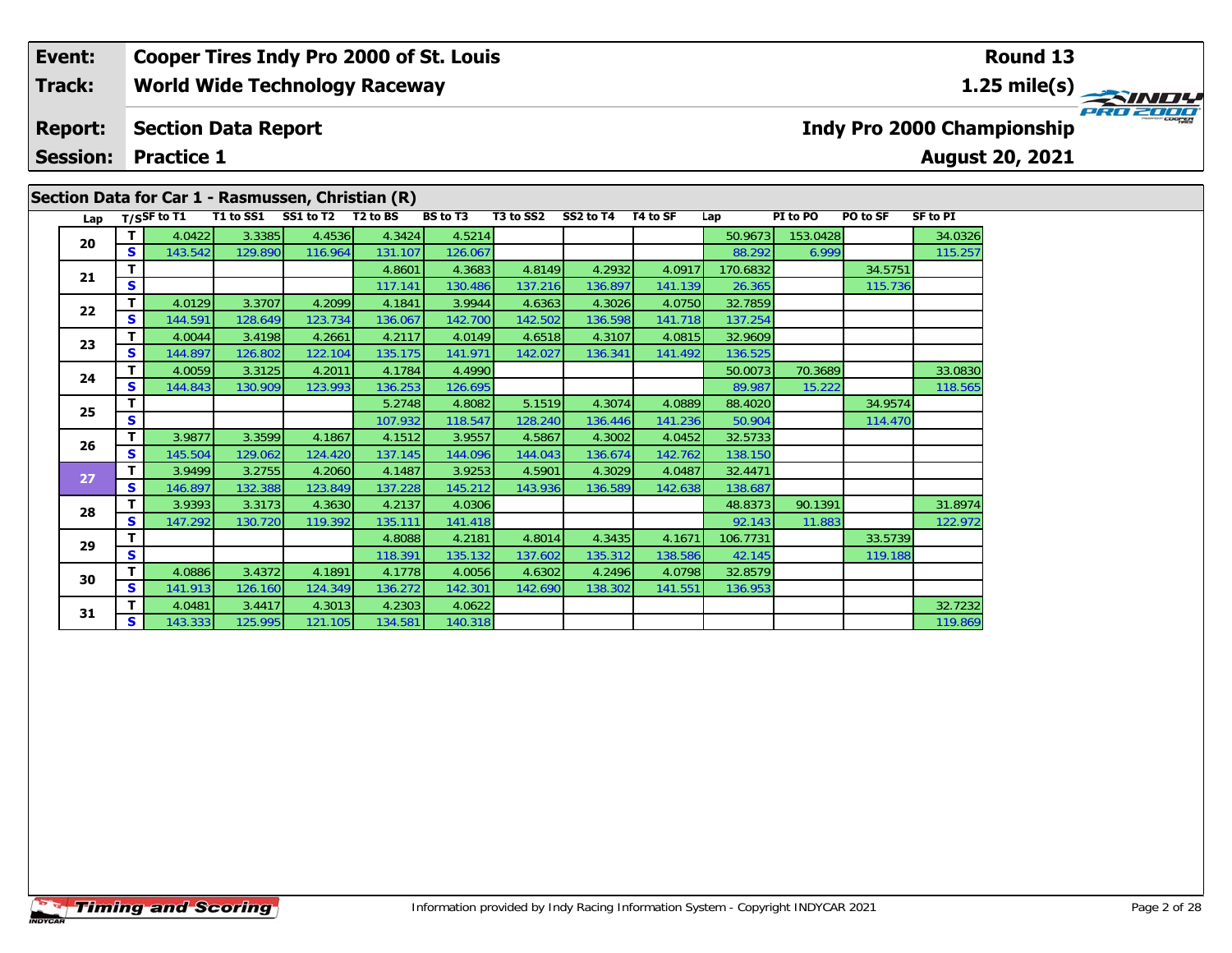#### **Event:Round 13 Cooper Tires Indy Pro 2000 of St. Louis Track:World Wide Technology Raceway 1.25 mile(s)** PRO 2000 **Report: Section Data Report Indy Pro 2000 Championship Session: Practice 1August 20, 2021 Section Data for Car 1 - Rasmussen, Christian (R)** Lap T/S<sup>SF</sup> to T1 T1 to SS1 SS1 to T2 T2 to BS BS to T3 T3 to SS2 SS2 to T4 T4 to SF Lap PI to PO PO to SF SF to PI

136.525

122.972

**<sup>T</sup>** 4.0422 3.3385 4.4536 4.3424 4.5214 50.9673 153.0428 34.0326 **<sup>S</sup>** 143.542 129.890 116.964 131.107 126.067 88.292 6.999 115.257

**<sup>T</sup>** 4.0059 3.3125 4.2011 4.1784 4.4990 50.0073 70.3689 33.0830 **<sup>S</sup>** 144.843 130.909 123.993 136.253 126.695 89.987 15.222 118.565

**T** 3.9393 3.3173 4.3630 4.2137 4.0306 4.2005 4.88373 90.1391 31.8974<br>**S** 147.292 130.720 119.392 135.111 141.418

**T** 4.0481 3.4417 4.3013 4.2303 4.0622 4.2302 32.7232 32.7232 32.7232 32.7232 32.7232 32.7232 32.7232 32.7232 32.7232 32.7232 32.7232 32.7232 32.7232 32.7232 32.7232 32.7232 32.7232 32.7232 32.7232 32.7232 32.7232 32.7232

**T T** 4.8601 4.3683 4.8149 4.2932 4.0917 170.6832 34.5751 **S** 115.736 117.141 130.486 137.216 136.897 141.139 26.365

**T 5.2748 4.8082 5.1519 4.3074 4.0889 88.4020 34.9574 128.240 136.446 141.236 50.904 114.470** 

**<sup>T</sup>** 4.8088 4.2181 4.8014 4.3435 4.1671 106.7731 33.5739 **<sup>S</sup>** 118.391 135.132 137.602 135.312 138.586 42.145 119.188

**<sup>T</sup>** 4.0129 3.3707 4.2099 4.1841 3.9944 4.6363 4.3026 4.0750 32.7859 **<sup>S</sup>** 144.591 128.649 123.734 136.067 142.700 142.502 136.598 141.718 137.254

**<sup>T</sup>** 4.0044 3.4198 4.2661 4.2117 4.0149 4.6518 4.3107 4.0815 32.9609 **<sup>S</sup>** 144.897 126.802 122.104 135.175 141.971 142.027 136.341 141.492 136.525

**<sup>T</sup>** 3.9877 3.3599 4.1867 4.1512 3.9557 4.5867 4.3002 4.0452 32.5733 **<sup>S</sup>** 145.504 129.062 124.420 137.145 144.096 144.043 136.674 142.762 138.150

**<sup>T</sup>** 3.9499 3.2755 4.2060 4.1487 3.9253 4.5901 4.3029 4.0487 32.4471 **<sup>S</sup>** 146.897 132.388 123.849 137.228 145.212 143.936 136.589 142.638 138.687

**<sup>T</sup>** 4.0886 3.4372 4.1891 4.1778 4.0056 4.6302 4.2496 4.0798 32.8579 **<sup>S</sup>** 141.913 126.160 124.349 136.272 142.301 142.690 138.302 141.551 136.953

**20**

**21**

**22**

**23**

**24**

**25**

**26**

**27**

**28**

**29**

**30**

**31**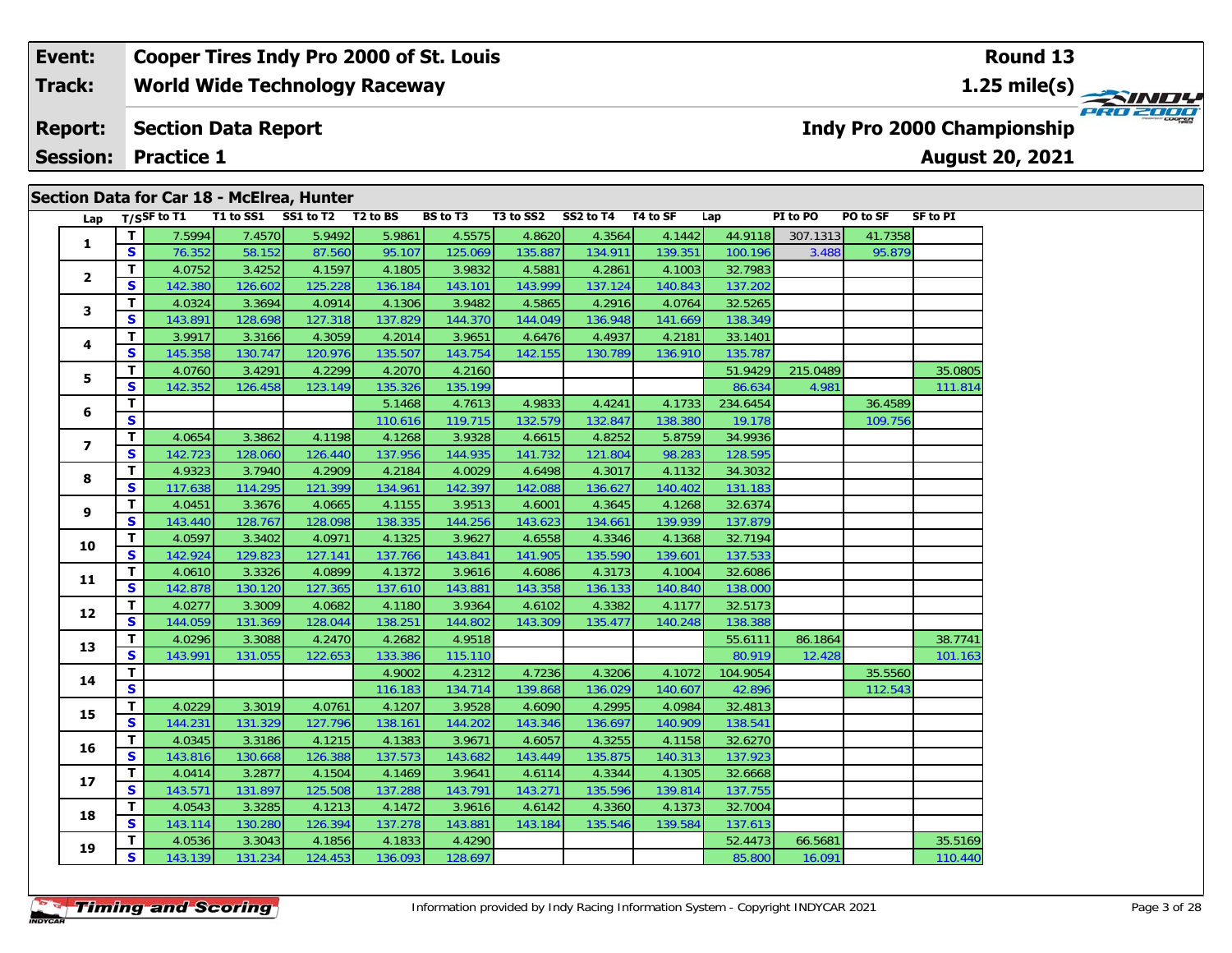#### **Event: Cooper Tires Indy Pro 2000 of St. Louis Round 13World Wide Technology Raceway 1.25 mile(s) Track:** PRO 2000 **Section Data Report Indy Pro 2000 Championship Report: Session:August 20, 2021 Practice 1**

|                |                         |               |         | Section Data for Car 18 - McElrea, Hunter |         |                 |           |           |          |          |          |          |                 |
|----------------|-------------------------|---------------|---------|-------------------------------------------|---------|-----------------|-----------|-----------|----------|----------|----------|----------|-----------------|
| Lap            |                         | $T/SSF$ to T1 |         | T1 to SS1 SS1 to T2 T2 to BS              |         | <b>BS</b> to T3 | T3 to SS2 | SS2 to T4 | T4 to SF | Lap      | PI to PO | PO to SF | <b>SF to PI</b> |
| $\mathbf{1}$   | $\mathbf{T}$            | 7.5994        | 7.4570  | 5.9492                                    | 5.9861  | 4.5575          | 4.8620    | 4.3564    | 4.1442   | 44.9118  | 307.1313 | 41.7358  |                 |
|                | S                       | 76.352        | 58.152  | 87.560                                    | 95.107  | 125.069         | 135.887   | 134.911   | 139.351  | 100.196  | 3.488    | 95.879   |                 |
| $\overline{2}$ | T                       | 4.0752        | 3.4252  | 4.1597                                    | 4.1805  | 3.9832          | 4.5881    | 4.2861    | 4.1003   | 32.7983  |          |          |                 |
|                | $\mathbf{s}$            | 142.380       | 126.602 | 125.228                                   | 136.184 | 143.101         | 143.999   | 137.124   | 140.843  | 137.202  |          |          |                 |
| 3              | т                       | 4.0324        | 3.3694  | 4.0914                                    | 4.1306  | 3.9482          | 4.5865    | 4.2916    | 4.0764   | 32.5265  |          |          |                 |
|                | $\mathbf{s}$            | 143.891       | 128.698 | 127.318                                   | 137.829 | 144.370         | 144.049   | 136.948   | 141.669  | 138.349  |          |          |                 |
| 4              | т                       | 3.9917        | 3.3166  | 4.3059                                    | 4.2014  | 3.9651          | 4.6476    | 4.4937    | 4.2181   | 33.1401  |          |          |                 |
|                | S                       | 145.358       | 130.747 | 120.976                                   | 135.507 | 143.754         | 142.155   | 130.789   | 136.910  | 135.787  |          |          |                 |
| 5              | T                       | 4.0760        | 3.4291  | 4.2299                                    | 4.2070  | 4.2160          |           |           |          | 51.9429  | 215.0489 |          | 35.0805         |
|                | $\mathbf{s}$            | 142.352       | 126.458 | 123.149                                   | 135.326 | 135.199         |           |           |          | 86.634   | 4.981    |          | 111.814         |
| 6              | $\mathbf{T}$            |               |         |                                           | 5.1468  | 4.7613          | 4.9833    | 4.4241    | 4.1733   | 234.6454 |          | 36.4589  |                 |
|                | S                       |               |         |                                           | 110.616 | 119.715         | 132.579   | 132.847   | 138.380  | 19.178   |          | 109.756  |                 |
| $\overline{ }$ | T                       | 4.0654        | 3.3862  | 4.1198                                    | 4.1268  | 3.9328          | 4.6615    | 4.8252    | 5.8759   | 34.9936  |          |          |                 |
|                | $\mathbf{s}$            | 142.723       | 128.060 | 126.440                                   | 137.956 | 144.935         | 141.732   | 121.804   | 98.283   | 128.595  |          |          |                 |
| 8              | T                       | 4.9323        | 3.7940  | 4.2909                                    | 4.2184  | 4.0029          | 4.6498    | 4.3017    | 4.1132   | 34.3032  |          |          |                 |
|                | S                       | 117.638       | 114.295 | 121.399                                   | 134.961 | 142.397         | 142.088   | 136.627   | 140.402  | 131.183  |          |          |                 |
| 9              | т                       | 4.0451        | 3.3676  | 4.0665                                    | 4.1155  | 3.9513          | 4.6001    | 4.3645    | 4.1268   | 32.6374  |          |          |                 |
|                | $\mathbf{s}$            | 143.440       | 128.767 | 128.098                                   | 138.335 | 144.256         | 143.623   | 134.661   | 139.939  | 137.879  |          |          |                 |
| 10             | T                       | 4.0597        | 3.3402  | 4.0971                                    | 4.1325  | 3.9627          | 4.6558    | 4.3346    | 4.1368   | 32.7194  |          |          |                 |
|                | $\mathbf{s}$            | 142.924       | 129.823 | 127.141                                   | 137.766 | 143.841         | 141.905   | 135.590   | 139.601  | 137.533  |          |          |                 |
| 11             | т                       | 4.0610        | 3.3326  | 4.0899                                    | 4.1372  | 3.9616          | 4.6086    | 4.3173    | 4.1004   | 32.6086  |          |          |                 |
|                | $\mathbf{s}$            | 142.878       | 130.120 | 127.365                                   | 137.610 | 143.881         | 143.358   | 136.133   | 140.840  | 138.000  |          |          |                 |
| 12             | T.                      | 4.0277        | 3.3009  | 4.0682                                    | 4.1180  | 3.9364          | 4.6102    | 4.3382    | 4.1177   | 32.5173  |          |          |                 |
|                | S                       | 144.059       | 131.369 | 128.044                                   | 138.251 | 144.802         | 143.309   | 135.477   | 140.248  | 138.388  |          |          |                 |
| 13             | т                       | 4.0296        | 3.3088  | 4.2470                                    | 4.2682  | 4.9518          |           |           |          | 55.6111  | 86.1864  |          | 38.7741         |
|                | S                       | 143.991       | 131.055 | 122.653                                   | 133.386 | 115.110         |           |           |          | 80.919   | 12.428   |          | 101.163         |
| 14             | $\mathbf{T}$            |               |         |                                           | 4.9002  | 4.2312          | 4.7236    | 4.3206    | 4.1072   | 104.9054 |          | 35.5560  |                 |
|                | S                       |               |         |                                           | 116.183 | 134.714         | 139.868   | 136.029   | 140.607  | 42.896   |          | 112.543  |                 |
| 15             | T                       | 4.0229        | 3.3019  | 4.0761                                    | 4.1207  | 3.9528          | 4.6090    | 4.2995    | 4.0984   | 32.4813  |          |          |                 |
|                | S                       | 144.231       | 131.329 | 127.796                                   | 138.161 | 144.202         | 143.346   | 136.697   | 140.909  | 138.541  |          |          |                 |
| 16             | T.                      | 4.0345        | 3.3186  | 4.1215                                    | 4.1383  | 3.9671          | 4.6057    | 4.3255    | 4.1158   | 32.6270  |          |          |                 |
|                | S                       | 143.816       | 130.668 | 126.388                                   | 137.573 | 143.682         | 143.449   | 135.875   | 140.313  | 137.923  |          |          |                 |
| 17             | т                       | 4.0414        | 3.2877  | 4.1504                                    | 4.1469  | 3.9641          | 4.6114    | 4.3344    | 4.1305   | 32.6668  |          |          |                 |
|                | $\mathbf{s}$            | 143.571       | 131.897 | 125.508                                   | 137.288 | 143.791         | 143.271   | 135.596   | 139.814  | 137.755  |          |          |                 |
| 18             | $\mathbf{T}$            | 4.0543        | 3.3285  | 4.1213                                    | 4.1472  | 3.9616          | 4.6142    | 4.3360    | 4.1373   | 32.7004  |          |          |                 |
|                | S                       | 143.114       | 130.280 | 126.394                                   | 137.278 | 143.881         | 143.184   | 135.546   | 139.584  | 137.613  |          |          |                 |
| 19             | т                       | 4.0536        | 3.3043  | 4.1856                                    | 4.1833  | 4.4290          |           |           |          | 52.4473  | 66.5681  |          | 35.5169         |
|                | $\overline{\mathbf{s}}$ | 143.139       | 131.234 | 124.453                                   | 136.093 | 128.697         |           |           |          | 85.800   | 16.091   |          | 110.440         |

110.440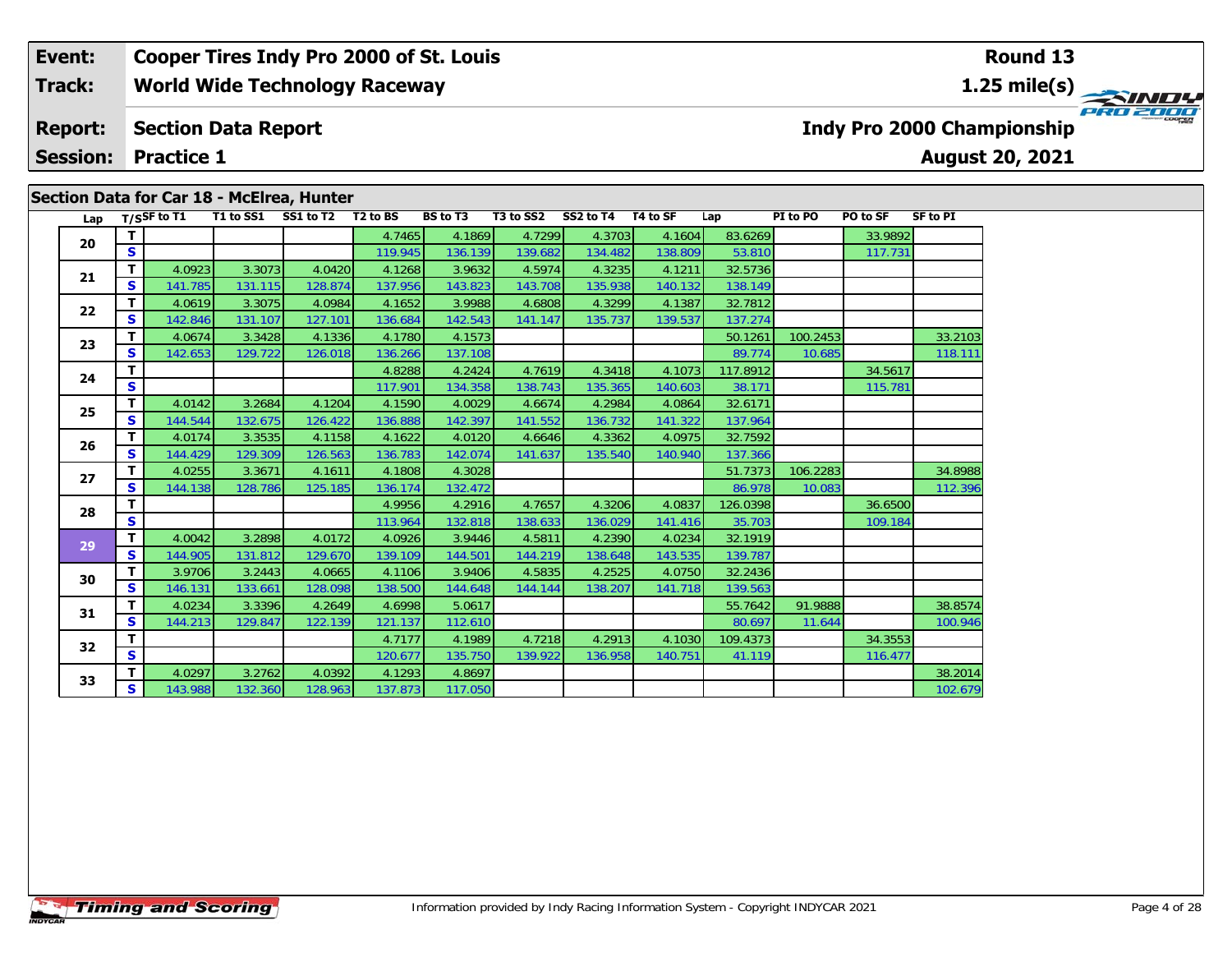#### **Event: Cooper Tires Indy Pro 2000 of St. Louis Round 131.25 mile(s) World Wide Technology Raceway Track:** PRO 2000 **Section Data Report Indy Pro 2000 Championship Report: August 20, 2021 Session: Practice 1**

| Lap |              | T/SSF to $\overline{11}$ |         | T1 to SS1 SS1 to T2 T2 to BS |         | <b>BS</b> to T3 | T3 to SS2 | SS2 to T4 T4 to SF |         | Lap      | PI to PO | PO to SF | SF to PI |
|-----|--------------|--------------------------|---------|------------------------------|---------|-----------------|-----------|--------------------|---------|----------|----------|----------|----------|
| 20  | т            |                          |         |                              | 4.7465  | 4.1869          | 4.7299    | 4.3703             | 4.1604  | 83.6269  |          | 33.9892  |          |
|     | S            |                          |         |                              | 119.945 | 136.139         | 139.682   | 134.482            | 138.809 | 53.810   |          | 117.731  |          |
| 21  | T.           | 4.0923                   | 3.3073  | 4.0420                       | 4.1268  | 3.9632          | 4.5974    | 4.3235             | 4.1211  | 32.5736  |          |          |          |
|     | S            | 141.785                  | 131.115 | 128.874                      | 137.956 | 143.823         | 143.708   | 135.938            | 140.132 | 138.149  |          |          |          |
| 22  | $\mathbf{T}$ | 4.0619                   | 3.3075  | 4.0984                       | 4.1652  | 3.9988          | 4.6808    | 4.3299             | 4.1387  | 32.7812  |          |          |          |
|     | <b>S</b>     | 142.846                  | 131.107 | 127.101                      | 136.684 | 142.543         | 141.147   | 135.737            | 139.537 | 137.274  |          |          |          |
| 23  | T.           | 4.0674                   | 3.3428  | 4.1336                       | 4.1780  | 4.1573          |           |                    |         | 50.1261  | 100.2453 |          | 33.2103  |
|     | S            | 142.653                  | 129.722 | 126.018                      | 136.266 | 137.108         |           |                    |         | 89.774   | 10.685   |          | 118.111  |
| 24  | т            |                          |         |                              | 4.8288  | 4.2424          | 4.7619    | 4.3418             | 4.1073  | 117.8912 |          | 34.5617  |          |
|     | S            |                          |         |                              | 117.901 | 134.358         | 138.743   | 135.365            | 140.603 | 38.171   |          | 115.781  |          |
| 25  | T.           | 4.0142                   | 3.2684  | 4.1204                       | 4.1590  | 4.0029          | 4.6674    | 4.2984             | 4.0864  | 32.6171  |          |          |          |
|     | S            | 144.544                  | 132.675 | 126.422                      | 136.888 | 142.397         | 141.552   | 136.732            | 141.322 | 137.964  |          |          |          |
| 26  | T.           | 4.0174                   | 3.3535  | 4.1158                       | 4.1622  | 4.0120          | 4.6646    | 4.3362             | 4.0975  | 32.7592  |          |          |          |
|     | S            | 144.429                  | 129.309 | 126.563                      | 136.783 | 142.074         | 141.637   | 135.540            | 140.940 | 137.366  |          |          |          |
| 27  | T.           | 4.0255                   | 3.3671  | 4.1611                       | 4.1808  | 4.3028          |           |                    |         | 51.7373  | 106.2283 |          | 34.8988  |
|     | S            | 144.138                  | 128.786 | 125.185                      | 136.174 | 132.472         |           |                    |         | 86.978   | 10.083   |          | 112.396  |
| 28  | т            |                          |         |                              | 4.9956  | 4.2916          | 4.7657    | 4.3206             | 4.0837  | 126.0398 |          | 36.6500  |          |
|     | S            |                          |         |                              | 113.964 | 132.818         | 138.633   | 136.029            | 141.416 | 35.703   |          | 109.184  |          |
| 29  | T.           | 4.0042                   | 3.2898  | 4.0172                       | 4.0926  | 3.9446          | 4.5811    | 4.2390             | 4.0234  | 32.1919  |          |          |          |
|     | <b>S</b>     | 144.905                  | 131.812 | 129.670                      | 139.109 | 144.501         | 144.219   | 138.648            | 143.535 | 139.787  |          |          |          |
| 30  | T.           | 3.9706                   | 3.2443  | 4.0665                       | 4.1106  | 3.9406          | 4.5835    | 4.2525             | 4.0750  | 32.2436  |          |          |          |
|     | S            | 146.131                  | 133.661 | 128.098                      | 138.500 | 144.648         | 144.144   | 138.207            | 141.718 | 139.563  |          |          |          |
| 31  | T.           | 4.0234                   | 3.3396  | 4.2649                       | 4.6998  | 5.0617          |           |                    |         | 55.7642  | 91.9888  |          | 38.8574  |
|     | S            | 144.213                  | 129.847 | 122.139                      | 121.137 | 112.610         |           |                    |         | 80.697   | 11.644   |          | 100.946  |
| 32  | T.           |                          |         |                              | 4.7177  | 4.1989          | 4.7218    | 4.2913             | 4.1030  | 109.4373 |          | 34.3553  |          |
|     | S            |                          |         |                              | 120.677 | 135.750         | 139.922   | 136.958            | 140.751 | 41.119   |          | 116.477  |          |
| 33  | т            | 4.0297                   | 3.2762  | 4.0392                       | 4.1293  | 4.8697          |           |                    |         |          |          |          | 38.2014  |
|     | S            | 143.988                  | 132.360 | 128.963                      | 137.873 | 117.050         |           |                    |         |          |          |          | 102.679  |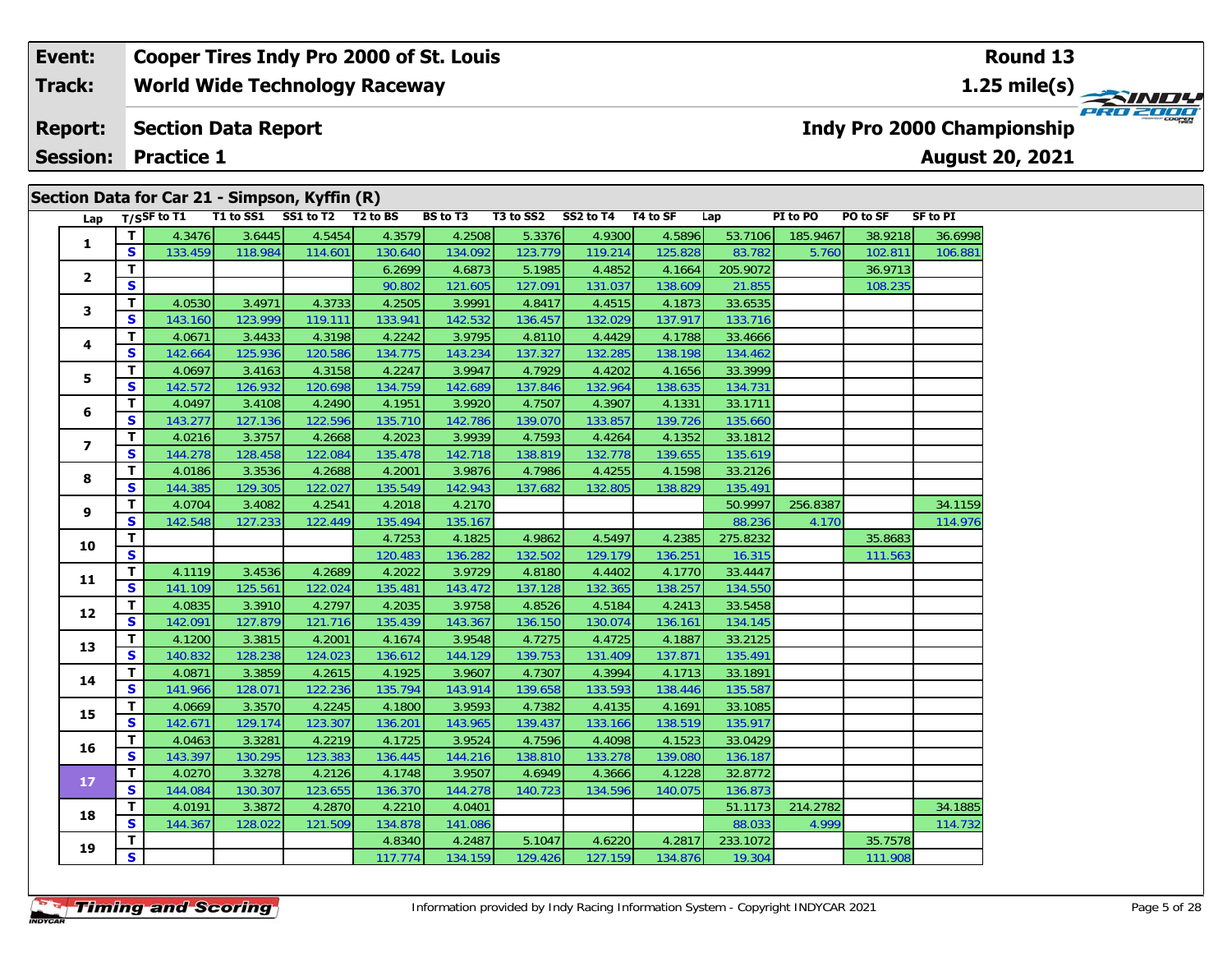#### **Event: Cooper Tires Indy Pro 2000 of St. Louis Round 131.25 mile(s) World Wide Technology Raceway Track:** PRO 2000 **Section Data Report Indy Pro 2000 Championship Report: August 20, 2021 Session: Practice 1**

|                         |                         |             |         | Section Data for Car 21 - Simpson, Kyffin (R) |         |                 |           |                    |         |          |          |          |          |
|-------------------------|-------------------------|-------------|---------|-----------------------------------------------|---------|-----------------|-----------|--------------------|---------|----------|----------|----------|----------|
| Lap                     |                         | T/SSF to T1 |         | T1 to SS1 SS1 to T2 T2 to BS                  |         | <b>BS</b> to T3 | T3 to SS2 | SS2 to T4 T4 to SF |         | Lap      | PI to PO | PO to SF | SF to PI |
| 1                       | т                       | 4.3476      | 3.6445  | 4.5454                                        | 4.3579  | 4.2508          | 5.3376    | 4.9300             | 4.5896  | 53.7106  | 185.9467 | 38.9218  | 36.6998  |
|                         | $\overline{\mathbf{s}}$ | 133.459     | 118.984 | 114.601                                       | 130.640 | 134.092         | 123.779   | 119.214            | 125.828 | 83.782   | 5.760    | 102.811  | 106.881  |
| 2                       | T                       |             |         |                                               | 6.2699  | 4.6873          | 5.1985    | 4.4852             | 4.1664  | 205.9072 |          | 36.9713  |          |
|                         | $\mathbf{s}$            |             |         |                                               | 90.802  | 121.605         | 127.091   | 131.037            | 138.609 | 21.855   |          | 108.235  |          |
| З                       | т                       | 4.0530      | 3.4971  | 4.3733                                        | 4.2505  | 3.9991          | 4.8417    | 4.4515             | 4.1873  | 33.6535  |          |          |          |
|                         | $\mathbf{s}$            | 143.160     | 123.999 | 119.111                                       | 133.941 | 142.532         | 136.457   | 132.029            | 137.917 | 133.716  |          |          |          |
| 4                       | T                       | 4.0671      | 3.4433  | 4.3198                                        | 4.2242  | 3.9795          | 4.8110    | 4.4429             | 4.1788  | 33.4666  |          |          |          |
|                         | S                       | 142.664     | 125.936 | 120.586                                       | 134.775 | 143.234         | 137.327   | 132.285            | 138.198 | 134.462  |          |          |          |
| 5                       | T.                      | 4.0697      | 3.4163  | 4.3158                                        | 4.2247  | 3.9947          | 4.7929    | 4.4202             | 4.1656  | 33.3999  |          |          |          |
|                         | S                       | 142.572     | 126.932 | 120.698                                       | 134.759 | 142.689         | 137.846   | 132.964            | 138.635 | 134.731  |          |          |          |
| 6                       | T                       | 4.0497      | 3.4108  | 4.2490                                        | 4.1951  | 3.9920          | 4.7507    | 4.3907             | 4.1331  | 33.1711  |          |          |          |
|                         | S                       | 143.277     | 127.136 | 122.596                                       | 135.710 | 142.786         | 139.070   | 133.857            | 139.726 | 135.660  |          |          |          |
| $\overline{\mathbf{z}}$ | T                       | 4.0216      | 3.3757  | 4.2668                                        | 4.2023  | 3.9939          | 4.7593    | 4.4264             | 4.1352  | 33.1812  |          |          |          |
|                         | S                       | 144.278     | 128.458 | 122.084                                       | 135.478 | 142.718         | 138.819   | 132.778            | 139.655 | 135.619  |          |          |          |
| 8                       | т                       | 4.0186      | 3.3536  | 4.2688                                        | 4.2001  | 3.9876          | 4.7986    | 4.4255             | 4.1598  | 33.2126  |          |          |          |
|                         | S                       | 144.385     | 129.305 | 122.027                                       | 135.549 | 142.943         | 137.682   | 132.805            | 138.829 | 135.491  |          |          |          |
| 9                       | т                       | 4.0704      | 3.4082  | 4.2541                                        | 4.2018  | 4.2170          |           |                    |         | 50.9997  | 256.8387 |          | 34.1159  |
|                         | $\mathbf{s}$            | 142.548     | 127.233 | 122.449                                       | 135.494 | 135.167         |           |                    |         | 88.236   | 4.170    |          | 114.976  |
| 10                      | T                       |             |         |                                               | 4.7253  | 4.1825          | 4.9862    | 4.5497             | 4.2385  | 275.8232 |          | 35.8683  |          |
|                         | $\mathbf{s}$            |             |         |                                               | 120.483 | 136.282         | 132.502   | 129.179            | 136.251 | 16.315   |          | 111.563  |          |
| 11                      | T.                      | 4.1119      | 3.4536  | 4.2689                                        | 4.2022  | 3.9729          | 4.8180    | 4.4402             | 4.1770  | 33.4447  |          |          |          |
|                         | $\mathbf{s}$            | 141.109     | 125.561 | 122.024                                       | 135.481 | 143.472         | 137.128   | 132.365            | 138.257 | 134.550  |          |          |          |
|                         | T                       | 4.0835      | 3.3910  | 4.2797                                        | 4.2035  | 3.9758          | 4.8526    | 4.5184             | 4.2413  | 33.5458  |          |          |          |
| 12                      | $\mathbf{s}$            | 142.091     | 127.879 | 121.716                                       | 135.439 | 143.367         | 136.150   | 130.074            | 136.161 | 134.145  |          |          |          |
|                         | T                       | 4.1200      | 3.3815  | 4.2001                                        | 4.1674  | 3.9548          | 4.7275    | 4.4725             | 4.1887  | 33.2125  |          |          |          |
| 13                      | S                       | 140.832     | 128.238 | 124.023                                       | 136.612 | 144.129         | 139.753   | 131.409            | 137.871 | 135.491  |          |          |          |
|                         | T                       | 4.0871      | 3.3859  | 4.2615                                        | 4.1925  | 3.9607          | 4.7307    | 4.3994             | 4.1713  | 33.1891  |          |          |          |
| 14                      | S                       | 141.966     | 128.071 | 122.236                                       | 135.794 | 143.914         | 139.658   | 133.593            | 138.446 | 135.587  |          |          |          |
|                         | т                       | 4.0669      | 3.3570  | 4.2245                                        | 4.1800  | 3.9593          | 4.7382    | 4.4135             | 4.1691  | 33.1085  |          |          |          |
| 15                      | S                       | 142.671     | 129.174 | 123.307                                       | 136.201 | 143.965         | 139.437   | 133.166            | 138.519 | 135.917  |          |          |          |
|                         | т                       | 4.0463      | 3.3281  | 4.2219                                        | 4.1725  | 3.9524          | 4.7596    | 4.4098             | 4.1523  | 33.0429  |          |          |          |
| 16                      | S                       | 143.397     | 130.295 | 123.383                                       | 136.445 | 144.216         | 138.810   | 133.278            | 139.080 | 136.187  |          |          |          |
|                         | T                       | 4.0270      | 3.3278  | 4.2126                                        | 4.1748  | 3.9507          | 4.6949    | 4.3666             | 4.1228  | 32.8772  |          |          |          |
| 17                      | S                       | 144.084     | 130.307 | 123.655                                       | 136.370 | 144.278         | 140.723   | 134.596            | 140.075 | 136.873  |          |          |          |
|                         | T                       | 4.0191      | 3.3872  | 4.2870                                        | 4.2210  | 4.0401          |           |                    |         | 51.1173  | 214.2782 |          | 34.1885  |
| 18                      | $\mathbf{s}$            | 144.367     | 128.022 | 121.509                                       | 134.878 | 141.086         |           |                    |         | 88.033   | 4.999    |          | 114.732  |
|                         | т                       |             |         |                                               | 4.8340  | 4.2487          | 5.1047    | 4.6220             | 4.2817  | 233.1072 |          | 35.7578  |          |
| 19                      | $\overline{\mathbf{s}}$ |             |         |                                               | 117.774 | 134.159         | 129.426   | 127.159            | 134.876 | 19.304   |          | 111.908  |          |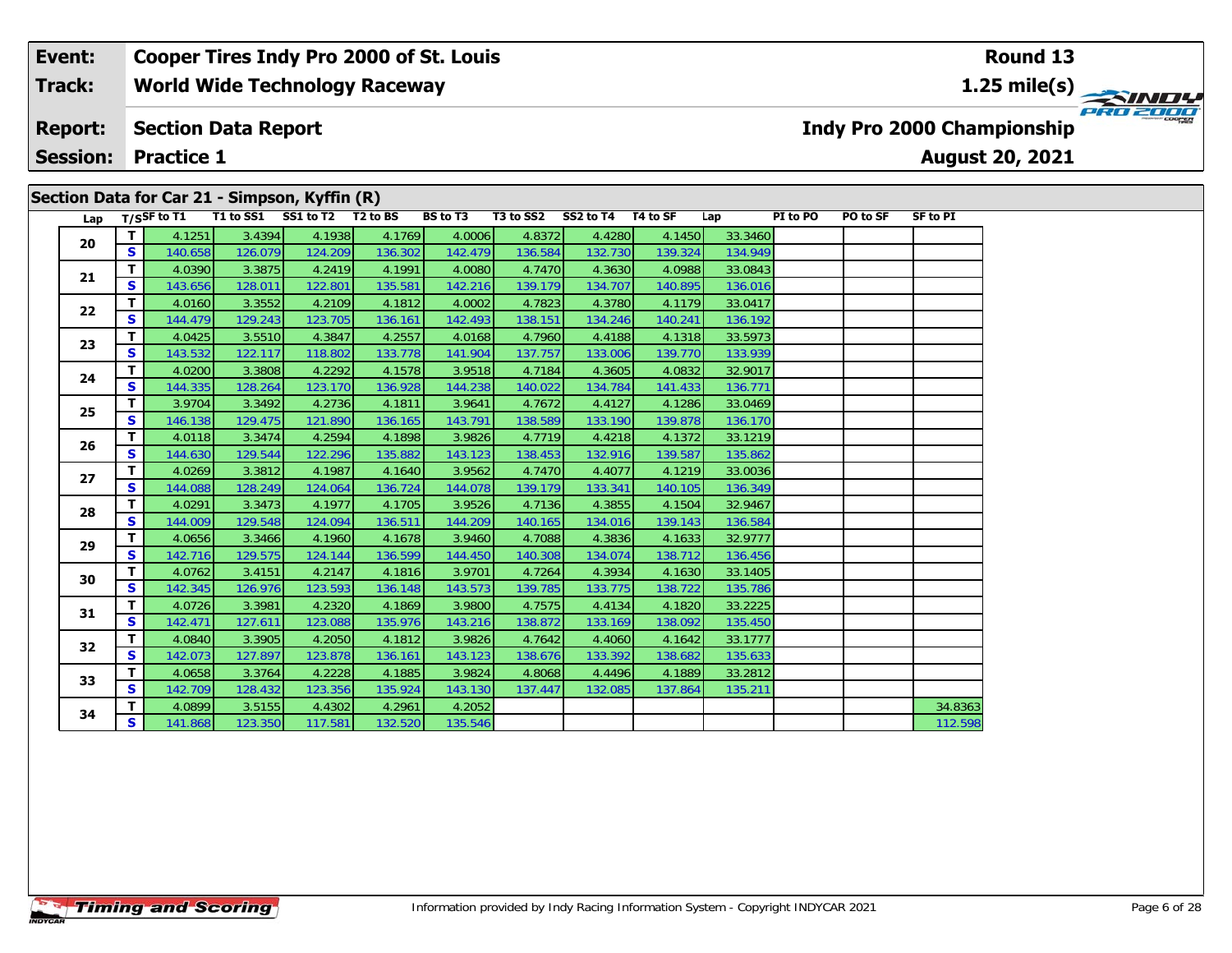#### **Event: Cooper Tires Indy Pro 2000 of St. Louis Round 13World Wide Technology Raceway 1.25 mile(s) Track:** PRO 2000 **Section Data Report Indy Pro 2000 Championship Report: August 20, 2021 Session: Practice 1 Section Data for Car 21 - Simpson, Kyffin (R)**

| Lap |                   | T/SSF to T1       | T1 to SS1 SS1 to T2 T2 to BS | $\overline{\phantom{a}}$ secuoli Data Iol Cal ZI - Siliipsoli, Kylliil $(K)$ |                   | BS to T3          | T3 to SS2         | SS2 to T4 T4 to SF |                   | Lap                | PI to PO | PO to SF | <b>SF to PI</b> |
|-----|-------------------|-------------------|------------------------------|------------------------------------------------------------------------------|-------------------|-------------------|-------------------|--------------------|-------------------|--------------------|----------|----------|-----------------|
|     | T.                | 4.1251            | 3.4394                       | 4.1938                                                                       | 4.1769            | 4.0006            | 4.8372            | 4.4280             | 4.1450            | 33.3460            |          |          |                 |
| 20  | S                 | 140.658           | 126.079                      | 124.209                                                                      | 136.302           | 142.479           | 136.584           | 132.730            | 139.324           | 134.949            |          |          |                 |
| 21  | т                 | 4.0390            | 3.3875                       | 4.2419                                                                       | 4.1991            | 4.0080            | 4.7470            | 4.3630             | 4.0988            | 33.0843            |          |          |                 |
|     | S                 | 143.656           | 128.011                      | 122.801                                                                      | 135.581           | 142.216           | 139.179           | 134.707            | 140.895           | 136.016            |          |          |                 |
| 22  | т                 | 4.0160            | 3.3552                       | 4.2109                                                                       | 4.1812            | 4.0002            | 4.7823            | 4.3780             | 4.1179            | 33.0417            |          |          |                 |
|     | S                 | 144.479           | 129.243                      | 123.705                                                                      | 136.161           | 142.493           | 138.151           | 134.246            | 140.241           | 136.192            |          |          |                 |
| 23  | T.                | 4.0425            | 3.5510                       | 4.3847                                                                       | 4.2557            | 4.0168            | 4.7960            | 4.4188             | 4.1318            | 33.5973            |          |          |                 |
|     | S                 | 143.532           | 122.117                      | 118.802                                                                      | 133.778           | 141.904           | 137.757           | 133.006            | 139.770           | 133.939            |          |          |                 |
| 24  | T.                | 4.0200            | 3.3808                       | 4.2292                                                                       | 4.1578            | 3.9518            | 4.7184            | 4.3605             | 4.0832            | 32.9017            |          |          |                 |
|     | S                 | 144.335           | 128.264                      | 123.170                                                                      | 136.928           | 144.238           | 140.022           | 134.784            | 141.433           | 136.771            |          |          |                 |
| 25  | т                 | 3.9704            | 3.3492                       | 4.2736                                                                       | 4.1811            | 3.9641            | 4.7672            | 4.4127             | 4.1286            | 33.0469            |          |          |                 |
|     | S                 | 146.138           | 129.475                      | 121.890                                                                      | 136.165           | 143.791           | 138.589           | 133.190            | 139.878           | 136.170            |          |          |                 |
| 26  | T.                | 4.0118            | 3.3474                       | 4.2594                                                                       | 4.1898            | 3.9826            | 4.7719            | 4.4218             | 4.1372            | 33.1219            |          |          |                 |
|     | S                 | 144.630           | 129.544                      | 122.296                                                                      | 135.882           | 143.123           | 138.453           | 132.916            | 139.587           | 135.862            |          |          |                 |
| 27  | T.                | 4.0269            | 3.3812                       | 4.1987                                                                       | 4.1640            | 3.9562            | 4.7470            | 4.4077             | 4.1219            | 33.0036            |          |          |                 |
|     | S                 | 144.088           | 128.249                      | 124.064                                                                      | 136.724           | 144.078           | 139.179           | 133.341            | 140.105           | 136.349            |          |          |                 |
| 28  | т                 | 4.0291            | 3.3473                       | 4.1977                                                                       | 4.1705            | 3.9526            | 4.7136            | 4.3855             | 4.1504            | 32.9467            |          |          |                 |
|     | S                 | 144.009           | 129.548                      | 124.094                                                                      | 136.511           | 144.209           | 140.165           | 134.016            | 139.143           | 136.584            |          |          |                 |
| 29  | T                 | 4.0656            | 3.3466                       | 4.1960                                                                       | 4.1678            | 3.9460            | 4.7088            | 4.3836             | 4.1633            | 32.9777            |          |          |                 |
|     | S                 | 142.716           | 129.575                      | 124.144                                                                      | 136.599           | 144.450           | 140.308           | 134.074            | 138.712           | 136.456            |          |          |                 |
| 30  | T.                | 4.0762            | 3.4151                       | 4.2147                                                                       | 4.1816            | 3.9701            | 4.7264            | 4.3934             | 4.1630            | 33.1405            |          |          |                 |
|     | S                 | 142.345           | 126.976                      | 123.593                                                                      | 136.148           | 143.573           | 139.785           | 133.775            | 138.722           | 135.786            |          |          |                 |
| 31  | т<br>$\mathbf{s}$ | 4.0726            | 3.3981                       | 4.2320                                                                       | 4.1869            | 3.9800            | 4.7575            | 4.4134             | 4.1820            | 33.2225            |          |          |                 |
|     |                   | 142.471           | 127.611                      | 123.088                                                                      | 135.976           | 143.216<br>3.9826 | 138.872           | 133.169            | 138.092           | 135.450<br>33.1777 |          |          |                 |
| 32  | т<br>S            | 4.0840<br>142.073 | 3.3905                       | 4.2050                                                                       | 4.1812            |                   | 4.7642            | 4.4060             | 4.1642            |                    |          |          |                 |
|     | T.                | 4.0658            | 127.897<br>3.3764            | 123.878<br>4.2228                                                            | 136.161<br>4.1885 | 143.123<br>3.9824 | 138.676<br>4.8068 | 133.392<br>4.4496  | 138.682<br>4.1889 | 135.633<br>33.2812 |          |          |                 |
| 33  | S                 | 142.709           | 128.432                      | 123.356                                                                      | 135.924           | 143.130           | 137.447           | 132.085            | 137.864           | 135.211            |          |          |                 |
|     | T.                | 4.0899            | 3.5155                       | 4.4302                                                                       | 4.2961            | 4.2052            |                   |                    |                   |                    |          |          | 34.8363         |
| 34  | S                 |                   |                              |                                                                              |                   |                   |                   |                    |                   |                    |          |          |                 |
|     |                   | 141.868           | 123.350                      | 117.581                                                                      | 132.520           | 135.546           |                   |                    |                   |                    |          |          | 112.598         |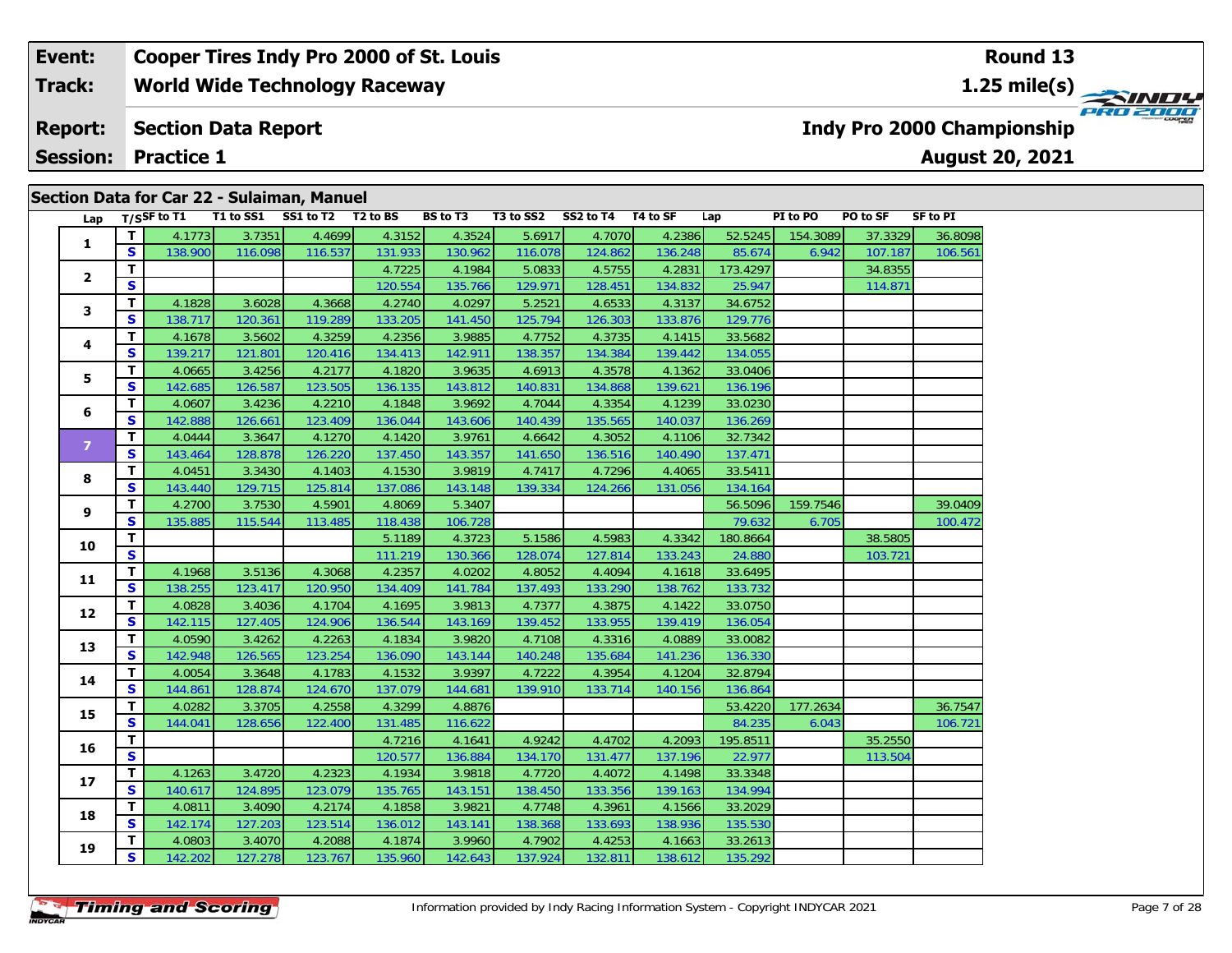#### **Event: Cooper Tires Indy Pro 2000 of St. Louis Round 131.25 mile(s) World Wide Technology Raceway Track:** PRO 2000 **Section Data Report Indy Pro 2000 Championship Report: August 20, 2021 Session: Practice 1**

|                |                         |             |         | Section Data for Car 22 - Sulaiman, Manuel |         |                 |           |           |          |          |          |          |                 |
|----------------|-------------------------|-------------|---------|--------------------------------------------|---------|-----------------|-----------|-----------|----------|----------|----------|----------|-----------------|
| Lap            |                         | T/SSF to T1 |         | T1 to SS1 SS1 to T2 T2 to BS               |         | <b>BS to T3</b> | T3 to SS2 | SS2 to T4 | T4 to SF | Lap      | PI to PO | PO to SF | <b>SF to PI</b> |
| $\mathbf{1}$   | $\mathbf T$             | 4.1773      | 3.7351  | 4.4699                                     | 4.3152  | 4.3524          | 5.6917    | 4.7070    | 4.2386   | 52.5245  | 154.3089 | 37.3329  | 36.8098         |
|                | $\mathbf{s}$            | 138.900     | 116.098 | 116.537                                    | 131.933 | 130.962         | 116.078   | 124.862   | 136.248  | 85.674   | 6.942    | 107.187  | 106.561         |
| $\mathbf{2}$   | $\overline{\mathsf{T}}$ |             |         |                                            | 4.7225  | 4.1984          | 5.0833    | 4.5755    | 4.2831   | 173.4297 |          | 34.8355  |                 |
|                | $\mathbf{s}$            |             |         |                                            | 120.554 | 135.766         | 129.971   | 128.451   | 134.832  | 25.947   |          | 114.871  |                 |
| 3              | T                       | 4.1828      | 3.6028  | 4.3668                                     | 4.2740  | 4.0297          | 5.2521    | 4.6533    | 4.3137   | 34.6752  |          |          |                 |
|                | S                       | 138.717     | 120.361 | 119.289                                    | 133.205 | 141.450         | 125.794   | 126.303   | 133.876  | 129.776  |          |          |                 |
| 4              | T                       | 4.1678      | 3.5602  | 4.3259                                     | 4.2356  | 3.9885          | 4.7752    | 4.3735    | 4.1415   | 33.5682  |          |          |                 |
|                | $\mathbf{s}$            | 139.217     | 121.801 | 120.416                                    | 134.413 | 142.911         | 138.357   | 134.384   | 139.442  | 134.055  |          |          |                 |
| 5              | T                       | 4.0665      | 3.4256  | 4.2177                                     | 4.1820  | 3.9635          | 4.6913    | 4.3578    | 4.1362   | 33.0406  |          |          |                 |
|                | $\mathbf{s}$            | 142.685     | 126.587 | 123.505                                    | 136.135 | 143.812         | 140.831   | 134.868   | 139.621  | 136.196  |          |          |                 |
| 6              | T                       | 4.0607      | 3.4236  | 4.2210                                     | 4.1848  | 3.9692          | 4.7044    | 4.3354    | 4.1239   | 33.0230  |          |          |                 |
|                | S                       | 142.888     | 126.661 | 123.409                                    | 136.044 | 143.606         | 140.439   | 135.565   | 140.037  | 136.269  |          |          |                 |
| $\overline{z}$ | T                       | 4.0444      | 3.3647  | 4.1270                                     | 4.1420  | 3.9761          | 4.6642    | 4.3052    | 4.1106   | 32.7342  |          |          |                 |
|                | <b>S</b>                | 143.464     | 128.878 | 126.220                                    | 137.450 | 143.357         | 141.650   | 136.516   | 140.490  | 137.471  |          |          |                 |
| 8              | $\mathbf T$             | 4.0451      | 3.3430  | 4.1403                                     | 4.1530  | 3.9819          | 4.7417    | 4.7296    | 4.4065   | 33.5411  |          |          |                 |
|                | S                       | 143.440     | 129.715 | 125.814                                    | 137.086 | 143.148         | 139.334   | 124.266   | 131.056  | 134.164  |          |          |                 |
| 9              | T                       | 4.2700      | 3.7530  | 4.5901                                     | 4.8069  | 5.3407          |           |           |          | 56.5096  | 159.7546 |          | 39.0409         |
|                | $\mathbf{s}$            | 135.885     | 115.544 | 113.485                                    | 118.438 | 106.728         |           |           |          | 79.632   | 6.705    |          | 100.472         |
| 10             | T                       |             |         |                                            | 5.1189  | 4.3723          | 5.1586    | 4.5983    | 4.3342   | 180.8664 |          | 38.5805  |                 |
|                | $\overline{\mathbf{s}}$ |             |         |                                            | 111.219 | 130.366         | 128.074   | 127.814   | 133.243  | 24.880   |          | 103.721  |                 |
| 11             | T.                      | 4.1968      | 3.5136  | 4.3068                                     | 4.2357  | 4.0202          | 4.8052    | 4.4094    | 4.1618   | 33.6495  |          |          |                 |
|                | $\mathbf{s}$            | 138.255     | 123.417 | 120.950                                    | 134.409 | 141.784         | 137.493   | 133.290   | 138.762  | 133.732  |          |          |                 |
| 12             | T                       | 4.0828      | 3.4036  | 4.1704                                     | 4.1695  | 3.9813          | 4.7377    | 4.3875    | 4.1422   | 33.0750  |          |          |                 |
|                | $\mathbf{s}$            | 142.115     | 127.405 | 124.906                                    | 136.544 | 143.169         | 139.452   | 133.955   | 139.419  | 136.054  |          |          |                 |
| 13             | T                       | 4.0590      | 3.4262  | 4.2263                                     | 4.1834  | 3.9820          | 4.7108    | 4.3316    | 4.0889   | 33.0082  |          |          |                 |
|                | $\mathbf{s}$            | 142.948     | 126.565 | 123.254                                    | 136.090 | 143.144         | 140.248   | 135.684   | 141.236  | 136.330  |          |          |                 |
| 14             | $\mathbf T$             | 4.0054      | 3.3648  | 4.1783                                     | 4.1532  | 3.9397          | 4.7222    | 4.3954    | 4.1204   | 32.8794  |          |          |                 |
|                | $\mathbf{s}$            | 144.861     | 128.874 | 124.670                                    | 137.079 | 144.681         | 139.910   | 133.714   | 140.156  | 136.864  |          |          |                 |
| 15             | T                       | 4.0282      | 3.3705  | 4.2558                                     | 4.3299  | 4.8876          |           |           |          | 53.4220  | 177.2634 |          | 36.7547         |
|                | S                       | 144.041     | 128.656 | 122.400                                    | 131.485 | 116.622         |           |           |          | 84.235   | 6.043    |          | 106.721         |
| 16             | T                       |             |         |                                            | 4.7216  | 4.1641          | 4.9242    | 4.4702    | 4.2093   | 195.8511 |          | 35.2550  |                 |
|                | $\mathbf{s}$            |             |         |                                            | 120.577 | 136.884         | 134.170   | 131.477   | 137.196  | 22.977   |          | 113.504  |                 |
| 17             | $\mathbf{T}$            | 4.1263      | 3.4720  | 4.2323                                     | 4.1934  | 3.9818          | 4.7720    | 4.4072    | 4.1498   | 33.3348  |          |          |                 |
|                | $\mathbf{s}$            | 140.617     | 124.895 | 123.079                                    | 135.765 | 143.151         | 138.450   | 133.356   | 139.163  | 134.994  |          |          |                 |
| 18             | $\mathbf{T}$            | 4.0811      | 3.4090  | 4.2174                                     | 4.1858  | 3.9821          | 4.7748    | 4.3961    | 4.1566   | 33.2029  |          |          |                 |
|                | $\mathbf{s}$            | 142.174     | 127.203 | 123.514                                    | 136.012 | 143.141         | 138.368   | 133.693   | 138.936  | 135.530  |          |          |                 |
| 19             | T                       | 4.0803      | 3.4070  | 4.2088                                     | 4.1874  | 3.9960          | 4.7902    | 4.4253    | 4.1663   | 33.2613  |          |          |                 |
|                | $\mathbf{s}$            | 142.202     | 127.278 | 123.767                                    | 135.960 | 142.643         | 137.924   | 132.811   | 138.612  | 135.292  |          |          |                 |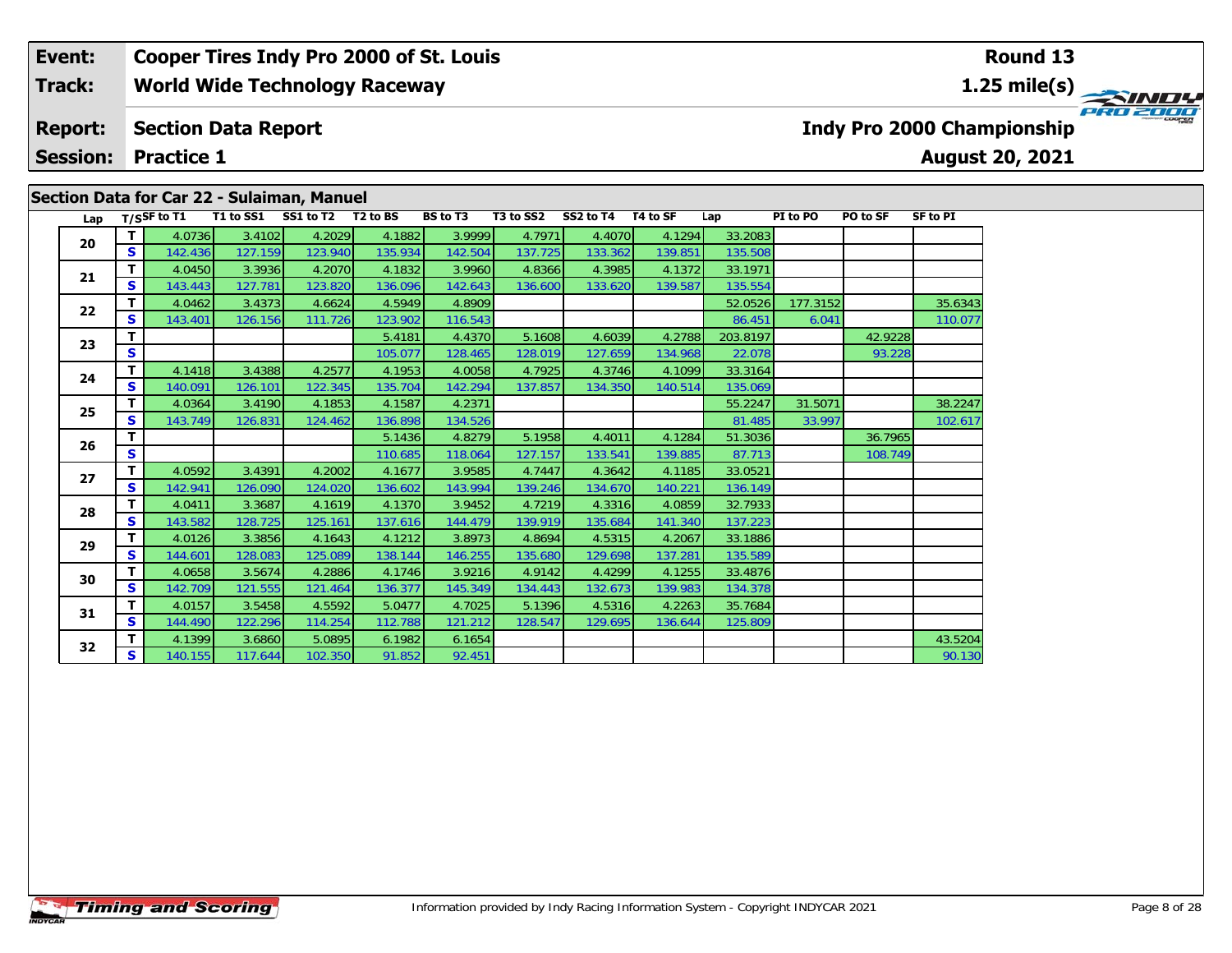#### **Event: Cooper Tires Indy Pro 2000 of St. Louis Round 13World Wide Technology Raceway 1.25 mile(s) Track:** PRO 2000 **Section Data Report Indy Pro 2000 Championship Report: August 20, 2021 Session: Practice 1 Section Data for Car 22 - Sulaiman, Manuel**

|     |              | $T/S$ SF to T1 | T1 to SS1 | Secuoli Data IVI Cai 22 - Sulallilali, Maliuel<br>SS1 to T2 | T <sub>2</sub> to BS | <b>BS</b> to T3 | T3 to SS2 | SS2 to T4 | T4 to SF | Lap      | PI to PO | PO to SF | <b>SF to PI</b> |
|-----|--------------|----------------|-----------|-------------------------------------------------------------|----------------------|-----------------|-----------|-----------|----------|----------|----------|----------|-----------------|
| Lap | T.           | 4.0736         | 3.4102    | 4.2029                                                      | 4.1882               | 3.9999          | 4.7971    | 4.4070    | 4.1294   | 33.2083  |          |          |                 |
| 20  | S            | 142.436        | 127.159   | 123.940                                                     | 135.934              | 142.504         | 137.725   | 133.362   | 139.851  | 135.508  |          |          |                 |
|     | T            | 4.0450         | 3.3936    | 4.2070                                                      | 4.1832               | 3.9960          | 4.8366    | 4.3985    | 4.1372   | 33.1971  |          |          |                 |
| 21  | S            | 143.443        | 127.781   | 123.820                                                     | 136.096              | 142.643         | 136.600   | 133.620   | 139.587  | 135.554  |          |          |                 |
|     | т            | 4.0462         | 3.4373    | 4.6624                                                      | 4.5949               | 4.8909          |           |           |          | 52.0526  | 177.3152 |          | 35.6343         |
| 22  | S            | 143.401        | 126.156   | 111.726                                                     | 123.902              | 116.543         |           |           |          | 86.451   | 6.041    |          | 110.077         |
|     | T            |                |           |                                                             | 5.4181               | 4.4370          | 5.1608    | 4.6039    | 4.2788   | 203.8197 |          | 42.9228  |                 |
| 23  | $\mathbf{s}$ |                |           |                                                             | 105.077              | 128.465         | 128.019   | 127.659   | 134.968  | 22.078   |          | 93.228   |                 |
|     | T            | 4.1418         | 3.4388    | 4.2577                                                      | 4.1953               | 4.0058          | 4.7925    | 4.3746    | 4.1099   | 33.3164  |          |          |                 |
| 24  | $\mathbf{s}$ | 140.091        | 126.101   | 122.345                                                     | 135.704              | 142.294         | 137.857   | 134.350   | 140.514  | 135.069  |          |          |                 |
|     | т            | 4.0364         | 3.4190    | 4.1853                                                      | 4.1587               | 4.2371          |           |           |          | 55.2247  | 31.5071  |          | 38.2247         |
| 25  | S            | 143.749        | 126.831   | 124.462                                                     | 136.898              | 134.526         |           |           |          | 81.485   | 33.997   |          | 102.617         |
|     | T            |                |           |                                                             | 5.1436               | 4.8279          | 5.1958    | 4.4011    | 4.1284   | 51.3036  |          | 36.7965  |                 |
| 26  | $\mathbf{s}$ |                |           |                                                             | 110.685              | 118.064         | 127.157   | 133.541   | 139.885  | 87.713   |          | 108.749  |                 |
| 27  | т            | 4.0592         | 3.4391    | 4.2002                                                      | 4.1677               | 3.9585          | 4.7447    | 4.3642    | 4.1185   | 33.0521  |          |          |                 |
|     | $\mathbf{s}$ | 142.941        | 126.090   | 124.020                                                     | 136.602              | 143.994         | 139.246   | 134.670   | 140.221  | 136.149  |          |          |                 |
| 28  | т            | 4.0411         | 3.3687    | 4.1619                                                      | 4.1370               | 3.9452          | 4.7219    | 4.3316    | 4.0859   | 32.7933  |          |          |                 |
|     | S            | 143.582        | 128.725   | 125.161                                                     | 137.616              | 144.479         | 139.919   | 135.684   | 141.340  | 137.223  |          |          |                 |
| 29  | T            | 4.0126         | 3.3856    | 4.1643                                                      | 4.1212               | 3.8973          | 4.8694    | 4.5315    | 4.2067   | 33.1886  |          |          |                 |
|     | S            | 144.601        | 128.083   | 125.089                                                     | 138.144              | 146.255         | 135.680   | 129.698   | 137.281  | 135.589  |          |          |                 |
| 30  | т            | 4.0658         | 3.5674    | 4.2886                                                      | 4.1746               | 3.9216          | 4.9142    | 4.4299    | 4.1255   | 33.4876  |          |          |                 |
|     | $\mathbf{s}$ | 142.709        | 121.555   | 121.464                                                     | 136.377              | 145.349         | 134.443   | 132.673   | 139.983  | 134.378  |          |          |                 |
| 31  | Т            | 4.0157         | 3.5458    | 4.5592                                                      | 5.0477               | 4.7025          | 5.1396    | 4.5316    | 4.2263   | 35.7684  |          |          |                 |
|     | S            | 144.490        | 122.296   | 114.254                                                     | 112.788              | 121.212         | 128.547   | 129.695   | 136.644  | 125.809  |          |          |                 |
| 32  | т            | 4.1399         | 3.6860    | 5.0895                                                      | 6.1982               | 6.1654          |           |           |          |          |          |          | 43.5204         |
|     | S.           | 140.155        | 117.644   | 102.350                                                     | 91.852               | 92.451          |           |           |          |          |          |          | 90.130          |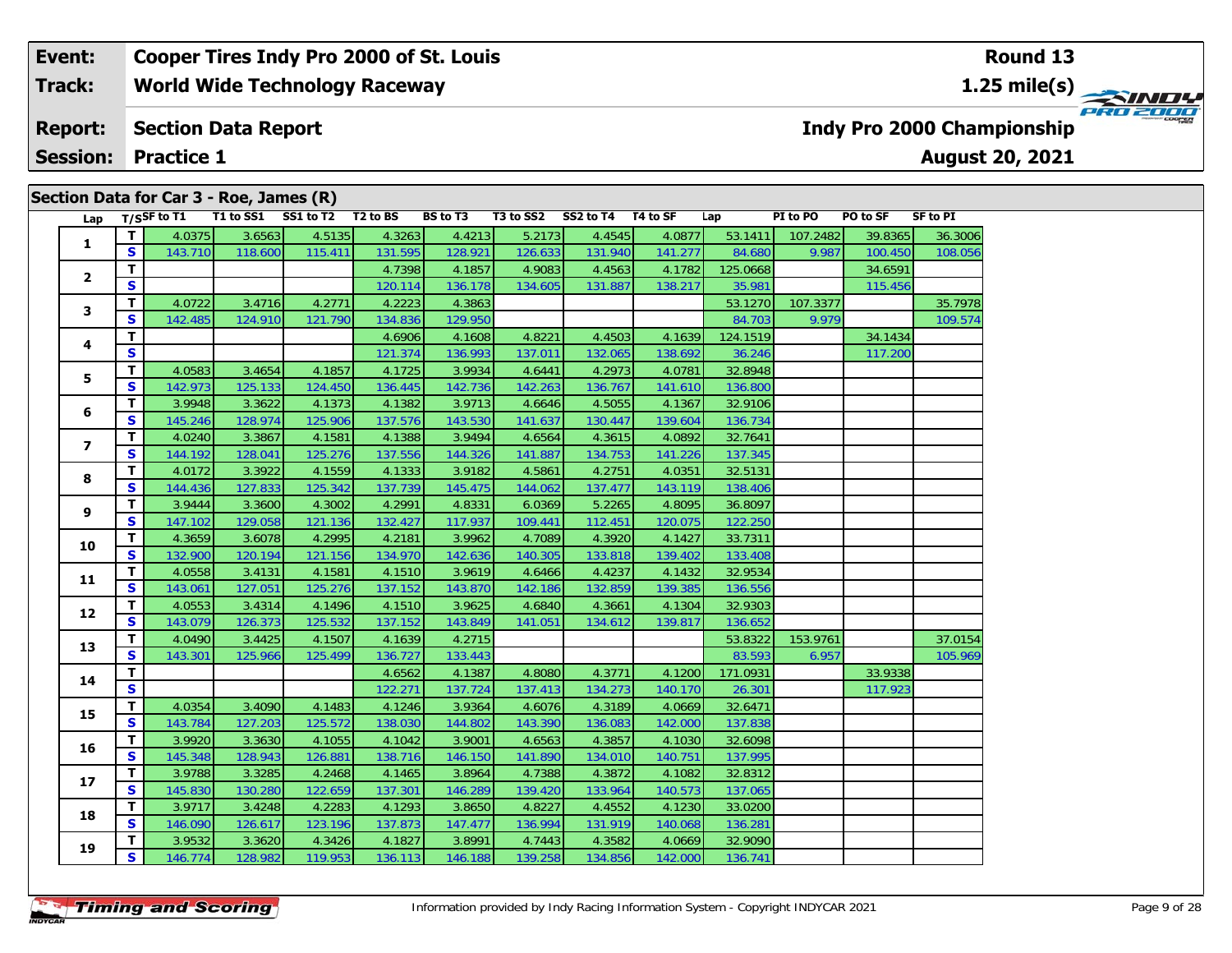#### **Event: Cooper Tires Indy Pro 2000 of St. Louis Round 13Track:World Wide Technology Raceway 1.25 mile(s)** PRO 2000 **Report: Section Data Report Indy Pro 2000 Championship August 20, 2021 Session:Practice 1**

# **Lap T/SSF to T1 T1 to SS1 SS1 to T2 T2 to BS BS to T3 T3 to SS2 SS2 to T4 T4 to SF Lap PI to PO PO to SF SF to PI 1 <sup>T</sup>** 4.0375 3.6563 4.5135 4.3263 4.4213 5.2173 4.4545 4.0877 53.1411 107.2482 39.8365 36.3006 **<sup>S</sup>** 143.710 118.600 115.411 131.595 128.921 126.633 131.940 141.277 84.680 9.987 100.450 108.056**2T 1** 4.7398 4.1857 4.9083 4.4563 4.1782 125.0668 34.6591 5<br><u>IS</u> 115.456 120.114 136.178 134.605 131.887 138.217 35.981 115.456 **3T** 4.0722 3.4716 4.2771 4.2223 4.3863 35.1270 107.3377 35.7978 35.7978<br> **S** 142.485 124.910 121.790 134.836 129.950 1000 84.703 9.979 109.574 **4T** 4.6906 4.1608 4.8221 4.4503 4.1639 124.1519 34.1434 **S** 121.374 136.993 137.011 132.065 138.692 36.246 117.200 **5 <sup>T</sup>** 4.0583 3.4654 4.1857 4.1725 3.9934 4.6441 4.2973 4.0781 32.8948 **<sup>S</sup>** 142.973 125.133 124.450 136.445 142.736 142.263 136.767 141.610 136.800**6 <sup>T</sup>** 3.9948 3.3622 4.1373 4.1382 3.9713 4.6646 4.5055 4.1367 32.9106 **<sup>S</sup>** 145.246 128.974 125.906 137.576 143.530 141.637 130.447 139.604 136.734**7 <sup>T</sup>** 4.0240 3.3867 4.1581 4.1388 3.9494 4.6564 4.3615 4.0892 32.7641 **<sup>S</sup>** 144.192 128.041 125.276 137.556 144.326 141.887 134.753 141.226 137.345**8 <sup>T</sup>** 4.0172 3.3922 4.1559 4.1333 3.9182 4.5861 4.2751 4.0351 32.5131 **<sup>S</sup>** 144.436 127.833 125.342 137.739 145.475 144.062 137.477 143.119 138.406**9 <sup>T</sup>** 3.9444 3.3600 4.3002 4.2991 4.8331 6.0369 5.2265 4.8095 36.8097 **<sup>S</sup>** 147.102 129.058 121.136 132.427 117.937 109.441 112.451 120.075 122.250**10 <sup>T</sup>** 4.3659 3.6078 4.2995 4.2181 3.9962 4.7089 4.3920 4.1427 33.7311 **<sup>S</sup>** 132.900 120.194 121.156 134.970 142.636 140.305 133.818 139.402 133.408**11 <sup>T</sup>** 4.0558 3.4131 4.1581 4.1510 3.9619 4.6466 4.4237 4.1432 32.9534 **<sup>S</sup>** 143.061 127.051 125.276 137.152 143.870 142.186 132.859 139.385 136.556**12 <sup>T</sup>** 4.0553 3.4314 4.1496 4.1510 3.9625 4.6840 4.3661 4.1304 32.9303 **<sup>S</sup>** 143.079 126.373 125.532 137.152 143.849 141.051 134.612 139.817 136.652**13T** 4.0490 3.4425 4.1507 4.1639 4.2715 13.443 53.8322 153.9761 37.0154<br>**S** 143.301 125.966 125.499 136.727 133.443 83.593 6.957 105.969 **144 T** 33.9338 4.6562 4.1387 4.8080 4.3771 4.1200 171.0931 33.9338<br>S 117.923 140.170 26.301 **15 <sup>T</sup>** 4.0354 3.4090 4.1483 4.1246 3.9364 4.6076 4.3189 4.0669 32.6471 **<sup>S</sup>** 143.784 127.203 125.572 138.030 144.802 143.390 136.083 142.000 137.838**16 <sup>T</sup>** 3.9920 3.3630 4.1055 4.1042 3.9001 4.6563 4.3857 4.1030 32.6098 **<sup>S</sup>** 145.348 128.943 126.881 138.716 146.150 141.890 134.010 140.751 137.995**17 <sup>T</sup>** 3.9788 3.3285 4.2468 4.1465 3.8964 4.7388 4.3872 4.1082 32.8312 **<sup>S</sup>** 145.830 130.280 122.659 137.301 146.289 139.420 133.964 140.573 137.065**18 <sup>T</sup>** 3.9717 3.4248 4.2283 4.1293 3.8650 4.8227 4.4552 4.1230 33.0200 **<sup>S</sup>** 146.090 126.617 123.196 137.873 147.477 136.994 131.919 140.068 136.281**19 <sup>T</sup>** 3.9532 3.3620 4.3426 4.1827 3.8991 4.7443 4.3582 4.0669 32.9090 **<sup>S</sup>** 146.774 128.982 119.953 136.113 146.188 139.258 134.856 142.000 136.741**Section Data for Car 3 - Roe, James (R)**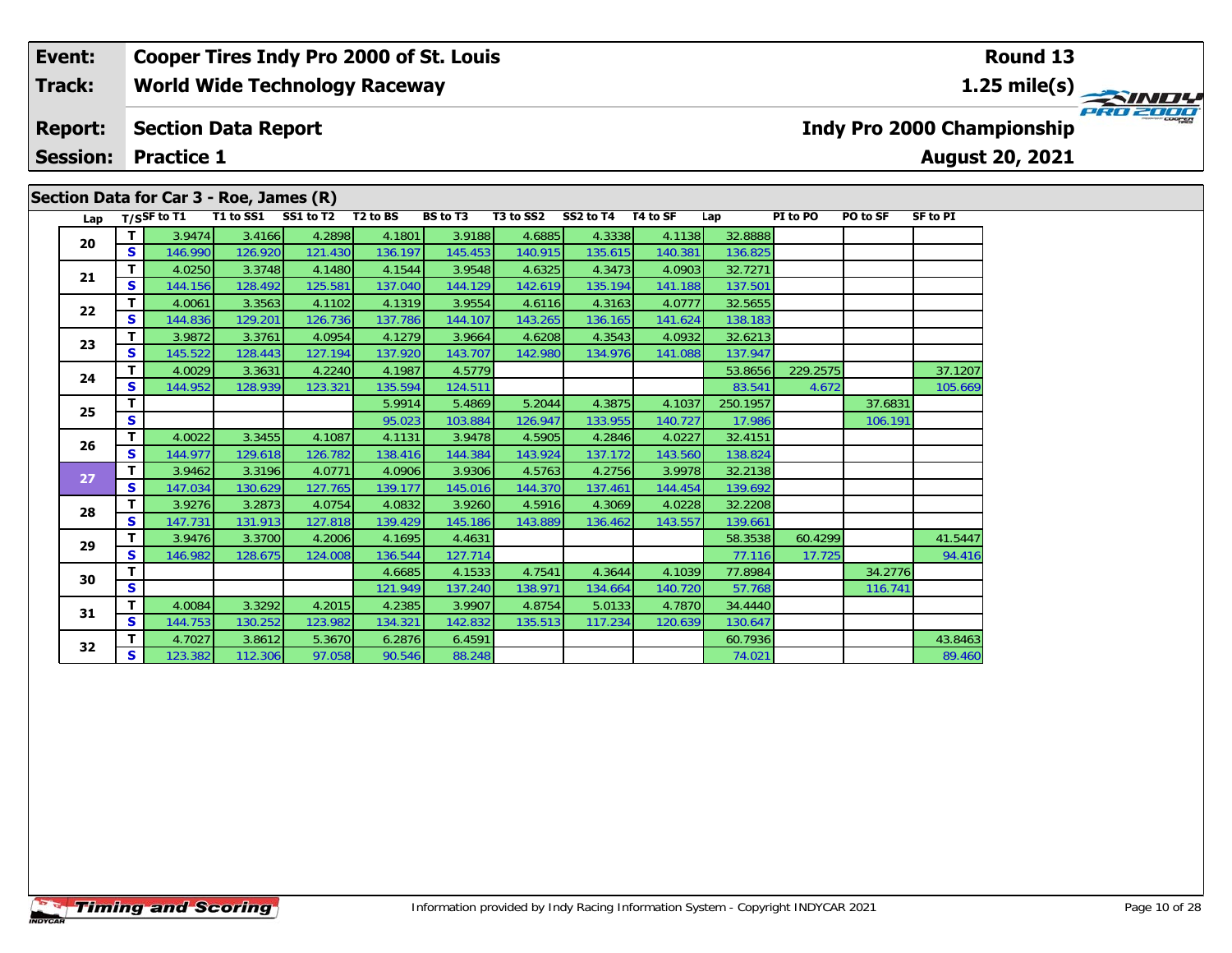## **Event: Cooper Tires Indy Pro 2000 of St. Louis Round 13World Wide Technology Raceway 1.25 mile(s) Track: PRO 2000 Section Data Report Report: Indy Pro 2000 Championship August 20, 2021 Session: Practice 1 Section Data for Car 3 - Roe, James (R)**

| Lap |              | T/SSF to T1 | T1 to SS1 | SS1 to T2 | T <sub>2</sub> to BS | <b>BS</b> to T3 | T3 to SS2 | SS2 to T4 | T4 to SF | Lap      | PI to PO | PO to SF | <b>SF to PI</b> |
|-----|--------------|-------------|-----------|-----------|----------------------|-----------------|-----------|-----------|----------|----------|----------|----------|-----------------|
|     | T.           | 3.9474      | 3.4166    | 4.2898    | 4.1801               | 3.9188          | 4.6885    | 4.3338    | 4.1138   | 32.8888  |          |          |                 |
| 20  | S            | 146.990     | 126.920   | 121.430   | 136.197              | 145.453         | 140.915   | 135.615   | 140.381  | 136.825  |          |          |                 |
| 21  | т            | 4.0250      | 3.3748    | 4.1480    | 4.1544               | 3.9548          | 4.6325    | 4.3473    | 4.0903   | 32.7271  |          |          |                 |
|     | <b>S</b>     | 144.156     | 128.492   | 125.581   | 137.040              | 144.129         | 142.619   | 135.194   | 141.188  | 137.501  |          |          |                 |
| 22  | $\mathbf{T}$ | 4.0061      | 3.3563    | 4.1102    | 4.1319               | 3.9554          | 4.6116    | 4.3163    | 4.0777   | 32.5655  |          |          |                 |
|     | S            | 144.836     | 129.201   | 126.736   | 137.786              | 144.107         | 143.265   | 136.165   | 141.624  | 138.183  |          |          |                 |
| 23  | т            | 3.9872      | 3.3761    | 4.0954    | 4.1279               | 3.9664          | 4.6208    | 4.3543    | 4.0932   | 32.6213  |          |          |                 |
|     | S            | 145.522     | 128.443   | 127.194   | 137.920              | 143.707         | 142.980   | 134.976   | 141.088  | 137.947  |          |          |                 |
| 24  | T            | 4.0029      | 3.3631    | 4.2240    | 4.1987               | 4.5779          |           |           |          | 53.8656  | 229.2575 |          | 37.1207         |
|     | S            | 144.952     | 128.939   | 123.321   | 135.594              | 124.511         |           |           |          | 83.541   | 4.672    |          | 105.669         |
| 25  | T            |             |           |           | 5.9914               | 5.4869          | 5.2044    | 4.3875    | 4.1037   | 250.1957 |          | 37.6831  |                 |
|     | S            |             |           |           | 95.023               | 103.884         | 126.947   | 133.955   | 140.727  | 17.986   |          | 106.191  |                 |
| 26  | т            | 4.0022      | 3.3455    | 4.1087    | 4.1131               | 3.9478          | 4.5905    | 4.2846    | 4.0227   | 32.4151  |          |          |                 |
|     | S            | 144.977     | 129.618   | 126.782   | 138.416              | 144.384         | 143.924   | 137.172   | 143.560  | 138.824  |          |          |                 |
| 27  | т            | 3.9462      | 3.3196    | 4.0771    | 4.0906               | 3.9306          | 4.5763    | 4.2756    | 3.9978   | 32.2138  |          |          |                 |
|     | S            | 147.034     | 130.629   | 127.765   | 139.177              | 145.016         | 144.370   | 137.461   | 144.454  | 139.692  |          |          |                 |
| 28  | т            | 3.9276      | 3.2873    | 4.0754    | 4.0832               | 3.9260          | 4.5916    | 4.3069    | 4.0228   | 32.2208  |          |          |                 |
|     | S            | 147.731     | 131.913   | 127.818   | 139.429              | 145.186         | 143.889   | 136.462   | 143.557  | 139.661  |          |          |                 |
| 29  | т            | 3.9476      | 3.3700    | 4.2006    | 4.1695               | 4.4631          |           |           |          | 58.3538  | 60.4299  |          | 41.5447         |
|     | S            | 146.982     | 128.675   | 124.008   | 136.544              | 127.714         |           |           |          | 77.116   | 17.725   |          | 94.416          |
| 30  | т            |             |           |           | 4.6685               | 4.1533          | 4.7541    | 4.3644    | 4.1039   | 77.8984  |          | 34.2776  |                 |
|     | S            |             |           |           | 121.949              | 137.240         | 138.971   | 134.664   | 140.720  | 57.768   |          | 116.741  |                 |
| 31  | T            | 4.0084      | 3.3292    | 4.2015    | 4.2385               | 3.9907          | 4.8754    | 5.0133    | 4.7870   | 34.4440  |          |          |                 |
|     | $\mathbf{s}$ | 144.753     | 130.252   | 123.982   | 134.321              | 142.832         | 135.513   | 117.234   | 120.639  | 130.647  |          |          |                 |
| 32  | т            | 4.7027      | 3.8612    | 5.3670    | 6.2876               | 6.4591          |           |           |          | 60.7936  |          |          | 43.8463         |
|     | S            | 123.382     | 112.306   | 97.058    | 90.546               | 88.248          |           |           |          | 74.021   |          |          | 89.460          |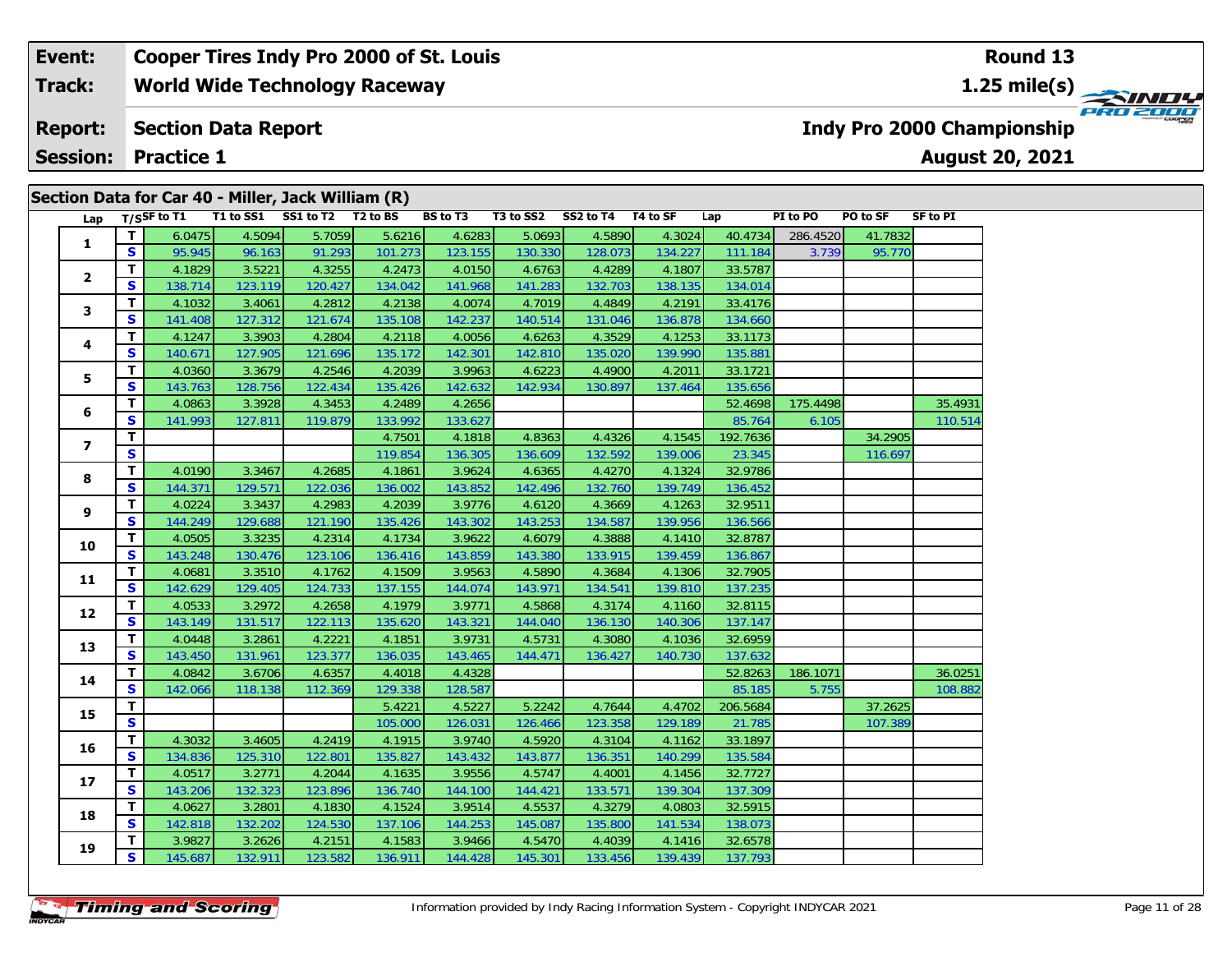#### **Event: Cooper Tires Indy Pro 2000 of St. Louis Round 13World Wide Technology Raceway 1.25 mile(s) Track:** PRO 2000 **Section Data Report Report: Indy Pro 2000 Championship August 20, 2021 Session: Practice 1 Section Data for Car 40 - Miller, Jack William (R)**

| Lap            |              | T/SSF to T1 |         | T1 to SS1 SS1 to T2 T2 to BS |         | <b>BS</b> to T3 |         | T3 to SS2 SS2 to T4 T4 to SF |         | Lap      | PI to PO | PO to SF | SF to PI |
|----------------|--------------|-------------|---------|------------------------------|---------|-----------------|---------|------------------------------|---------|----------|----------|----------|----------|
| $\mathbf{1}$   | T.           | 6.0475      | 4.5094  | 5.7059                       | 5.6216  | 4.6283          | 5.0693  | 4.5890                       | 4.3024  | 40.4734  | 286.4520 | 41.7832  |          |
|                | S.           | 95.945      | 96.163  | 91.293                       | 101.273 | 123.155         | 130.330 | 128.073                      | 134.227 | 111.184  | 3.739    | 95.770   |          |
|                | $\mathbf{T}$ | 4.1829      | 3.5221  | 4.3255                       | 4.2473  | 4.0150          | 4.6763  | 4.4289                       | 4.1807  | 33.5787  |          |          |          |
| $\mathbf{2}$   | S            | 138.714     | 123.119 | 120.427                      | 134.042 | 141.968         | 141.283 | 132.703                      | 138.135 | 134.014  |          |          |          |
| 3              | Τ.           | 4.1032      | 3.4061  | 4.2812                       | 4.2138  | 4.0074          | 4.7019  | 4.4849                       | 4.2191  | 33.4176  |          |          |          |
|                | S.           | 141.408     | 127.312 | 121.674                      | 135.108 | 142.237         | 140.514 | 131.046                      | 136.878 | 134.660  |          |          |          |
| 4              | T.           | 4.1247      | 3.3903  | 4.2804                       | 4.2118  | 4.0056          | 4.6263  | 4.3529                       | 4.1253  | 33.1173  |          |          |          |
|                | S            | 140.671     | 127.905 | 121.696                      | 135.172 | 142.301         | 142.810 | 135.020                      | 139.990 | 135.881  |          |          |          |
| 5              | Τ.           | 4.0360      | 3.3679  | 4.2546                       | 4.2039  | 3.9963          | 4.6223  | 4.4900                       | 4.2011  | 33.1721  |          |          |          |
|                | S            | 143.763     | 128.756 | 122.434                      | 135.426 | 142.632         | 142.934 | 130.897                      | 137.464 | 135.656  |          |          |          |
| 6              | T.           | 4.0863      | 3.3928  | 4.3453                       | 4.2489  | 4.2656          |         |                              |         | 52.4698  | 175.4498 |          | 35.4931  |
|                | S            | 141.993     | 127.811 | 119.879                      | 133.992 | 133.627         |         |                              |         | 85.764   | 6.105    |          | 110.514  |
| $\overline{ }$ | T.           |             |         |                              | 4.7501  | 4.1818          | 4.8363  | 4.4326                       | 4.1545  | 192.7636 |          | 34.2905  |          |
|                | S.           |             |         |                              | 119.854 | 136.305         | 136.609 | 132.592                      | 139.006 | 23.345   |          | 116.697  |          |
| 8              | T.           | 4.0190      | 3.3467  | 4.2685                       | 4.1861  | 3.9624          | 4.6365  | 4.4270                       | 4.1324  | 32.9786  |          |          |          |
|                | S            | 144.371     | 129.571 | 122.036                      | 136.002 | 143.852         | 142.496 | 132.760                      | 139.749 | 136.452  |          |          |          |
| 9              | T.           | 4.0224      | 3.3437  | 4.2983                       | 4.2039  | 3.9776          | 4.6120  | 4.3669                       | 4.1263  | 32.9511  |          |          |          |
|                | S            | 144.249     | 129.688 | 121.190                      | 135.426 | 143.302         | 143.253 | 134.587                      | 139.956 | 136.566  |          |          |          |
| 10             | Τ.           | 4.0505      | 3.3235  | 4.2314                       | 4.1734  | 3.9622          | 4.6079  | 4.3888                       | 4.1410  | 32.8787  |          |          |          |
|                | <b>S</b>     | 143.248     | 130.476 | 123.106                      | 136.416 | 143.859         | 143.380 | 133.915                      | 139.459 | 136.867  |          |          |          |
| 11             | $\mathbf{T}$ | 4.0681      | 3.3510  | 4.1762                       | 4.1509  | 3.9563          | 4.5890  | 4.3684                       | 4.1306  | 32.7905  |          |          |          |
|                | S            | 142.629     | 129.405 | 124.733                      | 137.155 | 144.074         | 143.971 | 134.541                      | 139.810 | 137.235  |          |          |          |
| 12             | Τ.           | 4.0533      | 3.2972  | 4.2658                       | 4.1979  | 3.9771          | 4.5868  | 4.3174                       | 4.1160  | 32.8115  |          |          |          |
|                | S            | 143.149     | 131.517 | 122.113                      | 135.620 | 143.321         | 144.040 | 136.130                      | 140.306 | 137.147  |          |          |          |
| 13             | T.           | 4.0448      | 3.2861  | 4.2221                       | 4.1851  | 3.9731          | 4.5731  | 4.3080                       | 4.1036  | 32.6959  |          |          |          |
|                | S            | 143.450     | 131.961 | 123.377                      | 136.035 | 143.465         | 144.471 | 136.427                      | 140.730 | 137.632  |          |          |          |
| 14             | Τ.           | 4.0842      | 3.6706  | 4.6357                       | 4.4018  | 4.4328          |         |                              |         | 52.8263  | 186.1071 |          | 36.0251  |
|                | S.           | 142.066     | 118.138 | 112.369                      | 129.338 | 128.587         |         |                              |         | 85.185   | 5.755    |          | 108.882  |
| 15             | T.           |             |         |                              | 5.4221  | 4.5227          | 5.2242  | 4.7644                       | 4.4702  | 206.5684 |          | 37.2625  |          |
|                | S            |             |         |                              | 105.000 | 126.031         | 126.466 | 123.358                      | 129.189 | 21.785   |          | 107.389  |          |
| 16             | T.           | 4.3032      | 3.4605  | 4.2419                       | 4.1915  | 3.9740          | 4.5920  | 4.3104                       | 4.1162  | 33.1897  |          |          |          |
|                | S            | 134.836     | 125.310 | 122.801                      | 135.827 | 143.432         | 143.877 | 136.351                      | 140.299 | 135.584  |          |          |          |
| 17             | T.           | 4.0517      | 3.2771  | 4.2044                       | 4.1635  | 3.9556          | 4.5747  | 4.4001                       | 4.1456  | 32.7727  |          |          |          |
|                | S.           | 143.206     | 132.323 | 123.896                      | 136.740 | 144.100         | 144.421 | 133.571                      | 139.304 | 137.309  |          |          |          |
| 18             | T.           | 4.0627      | 3.2801  | 4.1830                       | 4.1524  | 3.9514          | 4.5537  | 4.3279                       | 4.0803  | 32.5915  |          |          |          |
|                | S.           | 142.818     | 132.202 | 124.530                      | 137.106 | 144.253         | 145.087 | 135.800                      | 141.534 | 138.073  |          |          |          |
| 19             | Т.           | 3.9827      | 3.2626  | 4.2151                       | 4.1583  | 3.9466          | 4.5470  | 4.4039                       | 4.1416  | 32.6578  |          |          |          |
|                | S            | 145.687     | 132.911 | 123.582                      | 136.911 | 144.428         | 145.301 | 133.456                      | 139.439 | 137.793  |          |          |          |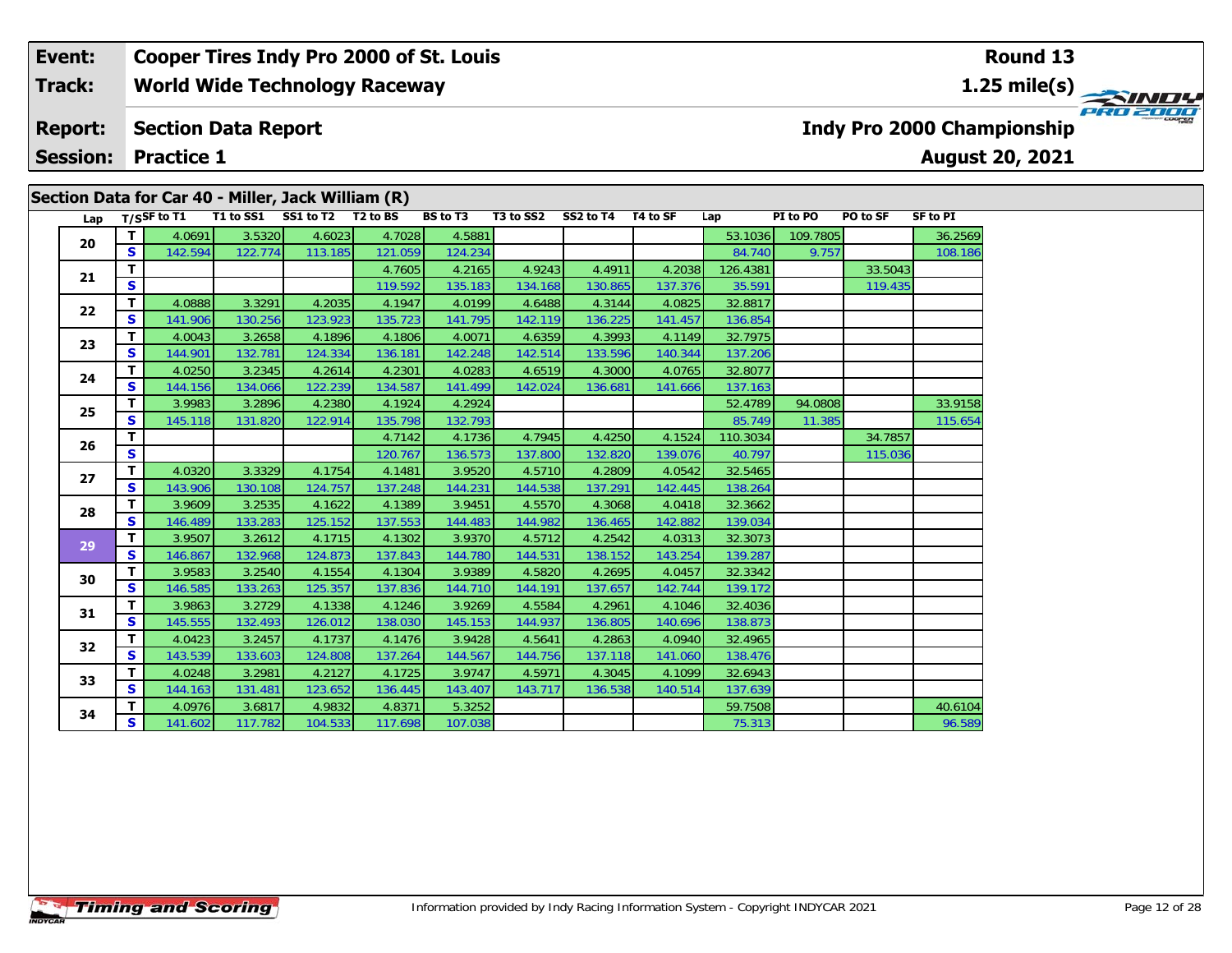#### **Event: Cooper Tires Indy Pro 2000 of St. Louis Round 13World Wide Technology Raceway 1.25 mile(s) Track: PRO 2000 Section Data Report Report: Indy Pro 2000 Championship August 20, 2021 Session: Practice 1 Section Data for Car 40 - Miller, Jack William (R)**

| Lap |              | T/SSF to T1 | T1 to SS1 | SS1 to T2 | T <sub>2</sub> to BS | BS to T3 | T3 to SS2 | SS2 to T4 | T4 to SF | Lap      | PI to PO | PO to SF | <b>SF to PI</b> |
|-----|--------------|-------------|-----------|-----------|----------------------|----------|-----------|-----------|----------|----------|----------|----------|-----------------|
| 20  | $\mathbf{T}$ | 4.0691      | 3.5320    | 4.6023    | 4.7028               | 4.5881   |           |           |          | 53.1036  | 109.7805 |          | 36.2569         |
|     | <b>S</b>     | 142.594     | 122.774   | 113.185   | 121.059              | 124.234  |           |           |          | 84.740   | 9.757    |          | 108.186         |
| 21  | T.           |             |           |           | 4.7605               | 4.2165   | 4.9243    | 4.4911    | 4.2038   | 126.4381 |          | 33.5043  |                 |
|     | S            |             |           |           | 119.592              | 135.183  | 134.168   | 130.865   | 137.376  | 35.591   |          | 119.435  |                 |
| 22  | $\mathbf{T}$ | 4.0888      | 3.3291    | 4.2035    | 4.1947               | 4.0199   | 4.6488    | 4.3144    | 4.0825   | 32.8817  |          |          |                 |
|     | $\mathbf{s}$ | 141.906     | 130.256   | 123.923   | 135.723              | 141.795  | 142.119   | 136.225   | 141.457  | 136.854  |          |          |                 |
| 23  | т            | 4.0043      | 3.2658    | 4.1896    | 4.1806               | 4.0071   | 4.6359    | 4.3993    | 4.1149   | 32.7975  |          |          |                 |
|     | $\mathbf{s}$ | 144.901     | 132.781   | 124.334   | 136.181              | 142.248  | 142.514   | 133.596   | 140.344  | 137.206  |          |          |                 |
| 24  | T            | 4.0250      | 3.2345    | 4.2614    | 4.2301               | 4.0283   | 4.6519    | 4.3000    | 4.0765   | 32.8077  |          |          |                 |
|     | S            | 144.156     | 134.066   | 122.239   | 134.587              | 141.499  | 142.024   | 136.681   | 141.666  | 137.163  |          |          |                 |
| 25  | т            | 3.9983      | 3.2896    | 4.2380    | 4.1924               | 4.2924   |           |           |          | 52.4789  | 94.0808  |          | 33.9158         |
|     | S            | 145.118     | 131.820   | 122.914   | 135.798              | 132.793  |           |           |          | 85.749   | 11.385   |          | 115.654         |
| 26  | T.           |             |           |           | 4.7142               | 4.1736   | 4.7945    | 4.4250    | 4.1524   | 110.3034 |          | 34.7857  |                 |
|     | S            |             |           |           | 120.767              | 136.573  | 137.800   | 132.820   | 139.076  | 40.797   |          | 115.036  |                 |
| 27  | T            | 4.0320      | 3.3329    | 4.1754    | 4.1481               | 3.9520   | 4.5710    | 4.2809    | 4.0542   | 32.5465  |          |          |                 |
|     | S            | 143.906     | 130.108   | 124.757   | 137.248              | 144.231  | 144.538   | 137.291   | 142.445  | 138.264  |          |          |                 |
| 28  | т            | 3.9609      | 3.2535    | 4.1622    | 4.1389               | 3.9451   | 4.5570    | 4.3068    | 4.0418   | 32.3662  |          |          |                 |
|     | $\mathbf{s}$ | 146.489     | 133.283   | 125.152   | 137.553              | 144.483  | 144.982   | 136.465   | 142.882  | 139.034  |          |          |                 |
| 29  | T            | 3.9507      | 3.2612    | 4.1715    | 4.1302               | 3.9370   | 4.5712    | 4.2542    | 4.0313   | 32.3073  |          |          |                 |
|     | S            | 146.867     | 132.968   | 124.873   | 137.843              | 144.780  | 144.531   | 138.152   | 143.254  | 139.287  |          |          |                 |
| 30  | T.           | 3.9583      | 3.2540    | 4.1554    | 4.1304               | 3.9389   | 4.5820    | 4.2695    | 4.0457   | 32.3342  |          |          |                 |
|     | S            | 146.585     | 133.263   | 125.357   | 137.836              | 144.710  | 144.191   | 137.657   | 142.744  | 139.172  |          |          |                 |
| 31  | т            | 3.9863      | 3.2729    | 4.1338    | 4.1246               | 3.9269   | 4.5584    | 4.2961    | 4.1046   | 32.4036  |          |          |                 |
|     | <b>S</b>     | 145.555     | 132.493   | 126.012   | 138.030              | 145.153  | 144.937   | 136.805   | 140.696  | 138.873  |          |          |                 |
| 32  | $\mathbf{T}$ | 4.0423      | 3.2457    | 4.1737    | 4.1476               | 3.9428   | 4.5641    | 4.2863    | 4.0940   | 32.4965  |          |          |                 |
|     | S            | 143.539     | 133.603   | 124.808   | 137.264              | 144.567  | 144.756   | 137.118   | 141.060  | 138.476  |          |          |                 |
| 33  | T            | 4.0248      | 3.2981    | 4.2127    | 4.1725               | 3.9747   | 4.5971    | 4.3045    | 4.1099   | 32.6943  |          |          |                 |
|     | $\mathbf{s}$ | 144.163     | 131.481   | 123.652   | 136.445              | 143.407  | 143.717   | 136.538   | 140.514  | 137.639  |          |          |                 |
| 34  | T.           | 4.0976      | 3.6817    | 4.9832    | 4.8371               | 5.3252   |           |           |          | 59.7508  |          |          | 40.6104         |
|     | S            | 141.602     | 117.782   | 104.533   | 117.698              | 107.038  |           |           |          | 75.313   |          |          | 96.589          |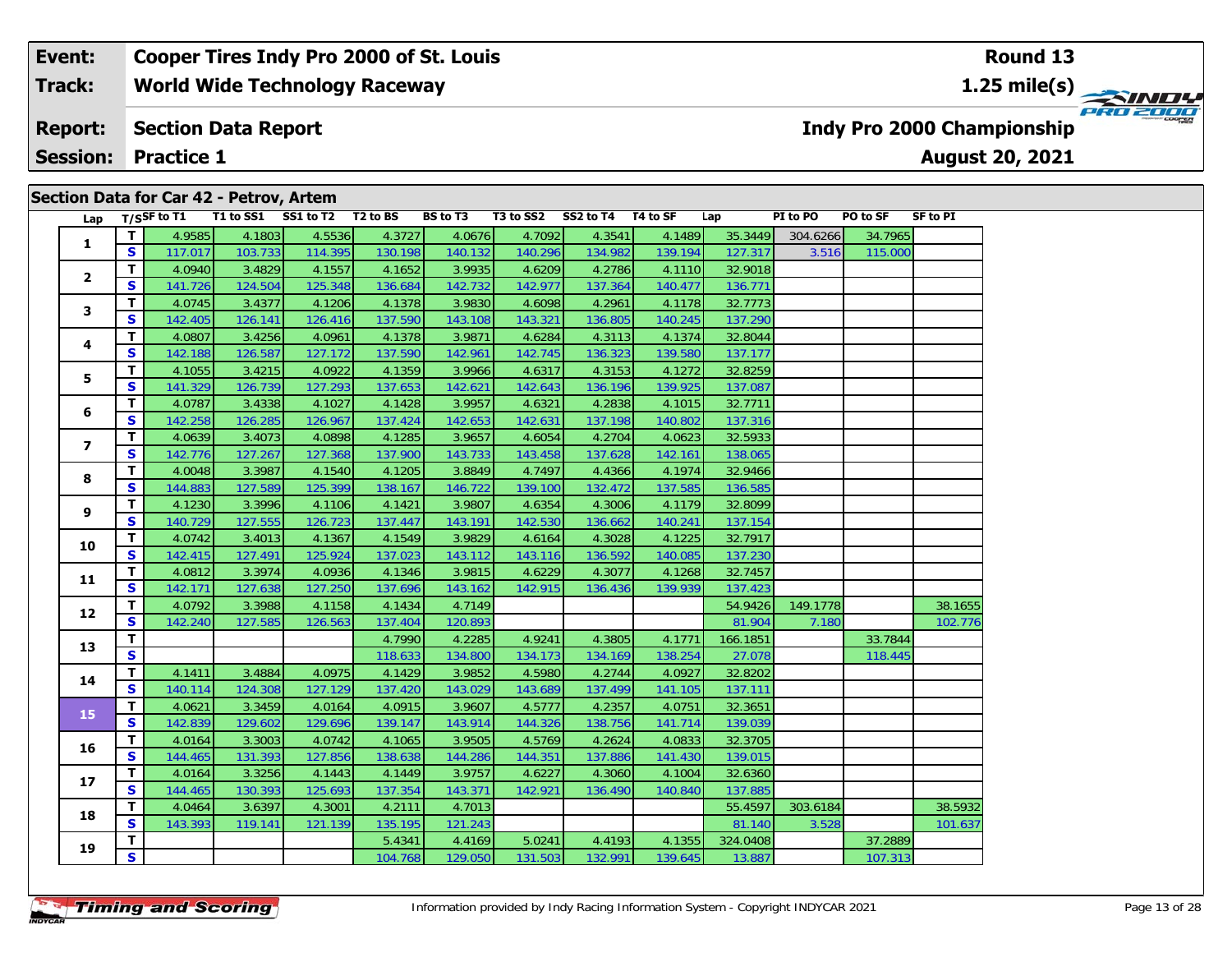#### **Event: Cooper Tires Indy Pro 2000 of St. Louis Round 13World Wide Technology Raceway 1.25 mile(s) Track:** PRO 2000 **Section Data Report Report: Indy Pro 2000 Championship August 20, 2021 Session: Practice 1 Section Data for Car 42 - Petrov, Artem**

| Lap                     |              | T/SSF to T1 |         | Secuoli Data IVI Cal 42 - Fetiov, Altelli<br>T1 to SS1 SS1 to T2 T2 to BS |         | <b>BS</b> to T3 |         | T3 to SS2 SS2 to T4 T4 to SF |         | Lap      | PI to PO | PO to SF | SF to PI |
|-------------------------|--------------|-------------|---------|---------------------------------------------------------------------------|---------|-----------------|---------|------------------------------|---------|----------|----------|----------|----------|
|                         | T            | 4.9585      | 4.1803  | 4.5536                                                                    | 4.3727  | 4.0676          | 4.7092  | 4.3541                       | 4.1489  | 35.3449  | 304.6266 | 34.7965  |          |
| 1                       | S            | 117.017     | 103.733 | 114.395                                                                   | 130.198 | 140.132         | 140.296 | 134.982                      | 139.194 | 127.317  | 3.516    | 115.000  |          |
|                         | T            | 4.0940      | 3.4829  | 4.1557                                                                    | 4.1652  | 3.9935          | 4.6209  | 4.2786                       | 4.1110  | 32.9018  |          |          |          |
| $\mathbf{2}$            | <b>S</b>     | 141.726     | 124.504 | 125.348                                                                   | 136.684 | 142.732         | 142.977 | 137.364                      | 140.477 | 136.771  |          |          |          |
|                         | T            | 4.0745      | 3.4377  | 4.1206                                                                    | 4.1378  | 3.9830          | 4.6098  | 4.2961                       | 4.1178  | 32.7773  |          |          |          |
| 3                       | S            | 142.405     | 126.141 | 126.416                                                                   | 137.590 | 143.108         | 143.321 | 136.805                      | 140.245 | 137.290  |          |          |          |
|                         | T.           | 4.0807      | 3.4256  | 4.0961                                                                    | 4.1378  | 3.9871          | 4.6284  | 4.3113                       | 4.1374  | 32.8044  |          |          |          |
| 4                       | <b>S</b>     | 142.188     | 126.587 | 127.172                                                                   | 137.590 | 142.961         | 142.745 | 136.323                      | 139.580 | 137.177  |          |          |          |
|                         | T.           | 4.1055      | 3.4215  | 4.0922                                                                    | 4.1359  | 3.9966          | 4.6317  | 4.3153                       | 4.1272  | 32.8259  |          |          |          |
| 5                       | S.           | 141.329     | 126.739 | 127.293                                                                   | 137.653 | 142.621         | 142.643 | 136.196                      | 139.925 | 137.087  |          |          |          |
|                         | $\mathbf{T}$ | 4.0787      | 3.4338  | 4.1027                                                                    | 4.1428  | 3.9957          | 4.6321  | 4.2838                       | 4.1015  | 32.7711  |          |          |          |
| 6                       | S            | 142.258     | 126.285 | 126.967                                                                   | 137.424 | 142.653         | 142.631 | 137.198                      | 140.802 | 137.316  |          |          |          |
|                         | T.           | 4.0639      | 3.4073  | 4.0898                                                                    | 4.1285  | 3.9657          | 4.6054  | 4.2704                       | 4.0623  | 32.5933  |          |          |          |
| $\overline{\mathbf{z}}$ | S            | 142.776     | 127.267 | 127.368                                                                   | 137.900 | 143.733         | 143.458 | 137.628                      | 142.161 | 138.065  |          |          |          |
|                         | T.           | 4.0048      | 3.3987  | 4.1540                                                                    | 4.1205  | 3.8849          | 4.7497  | 4.4366                       | 4.1974  | 32.9466  |          |          |          |
| 8                       | S            | 144.883     | 127.589 | 125.399                                                                   | 138.167 | 146.722         | 139.100 | 132.472                      | 137.585 | 136.585  |          |          |          |
|                         | T            | 4.1230      | 3.3996  | 4.1106                                                                    | 4.1421  | 3.9807          | 4.6354  | 4.3006                       | 4.1179  | 32.8099  |          |          |          |
| 9                       | S.           | 140.729     | 127.555 | 126.723                                                                   | 137.447 | 143.191         | 142.530 | 136.662                      | 140.241 | 137.154  |          |          |          |
| 10                      | T.           | 4.0742      | 3.4013  | 4.1367                                                                    | 4.1549  | 3.9829          | 4.6164  | 4.3028                       | 4.1225  | 32.7917  |          |          |          |
|                         | S            | 142.415     | 127.491 | 125.924                                                                   | 137.023 | 143.112         | 143.116 | 136.592                      | 140.085 | 137.230  |          |          |          |
| 11                      | T.           | 4.0812      | 3.3974  | 4.0936                                                                    | 4.1346  | 3.9815          | 4.6229  | 4.3077                       | 4.1268  | 32.7457  |          |          |          |
|                         | S.           | 142.171     | 127.638 | 127.250                                                                   | 137.696 | 143.162         | 142.915 | 136.436                      | 139.939 | 137.423  |          |          |          |
| 12                      | $\mathbf{T}$ | 4.0792      | 3.3988  | 4.1158                                                                    | 4.1434  | 4.7149          |         |                              |         | 54.9426  | 149.1778 |          | 38.1655  |
|                         | S            | 142.240     | 127.585 | 126.563                                                                   | 137.404 | 120.893         |         |                              |         | 81.904   | 7.180    |          | 102.776  |
| 13                      | T.           |             |         |                                                                           | 4.7990  | 4.2285          | 4.9241  | 4.3805                       | 4.1771  | 166.1851 |          | 33.7844  |          |
|                         | $\mathbf{s}$ |             |         |                                                                           | 118.633 | 134.800         | 134.173 | 134.169                      | 138.254 | 27.078   |          | 118.445  |          |
| 14                      | T.           | 4.1411      | 3.4884  | 4.0975                                                                    | 4.1429  | 3.9852          | 4.5980  | 4.2744                       | 4.0927  | 32.8202  |          |          |          |
|                         | S            | 140.114     | 124.308 | 127.129                                                                   | 137.420 | 143.029         | 143.689 | 137.499                      | 141.105 | 137.111  |          |          |          |
| 15                      | T.           | 4.0621      | 3.3459  | 4.0164                                                                    | 4.0915  | 3.9607          | 4.5777  | 4.2357                       | 4.0751  | 32.3651  |          |          |          |
|                         | <b>S</b>     | 142.839     | 129.602 | 129.696                                                                   | 139.147 | 143.914         | 144.326 | 138.756                      | 141.714 | 139.039  |          |          |          |
| 16                      | T.           | 4.0164      | 3.3003  | 4.0742                                                                    | 4.1065  | 3.9505          | 4.5769  | 4.2624                       | 4.0833  | 32.3705  |          |          |          |
|                         | S            | 144.465     | 131.393 | 127.856                                                                   | 138.638 | 144.286         | 144.351 | 137.886                      | 141.430 | 139.015  |          |          |          |
| 17                      | T.           | 4.0164      | 3.3256  | 4.1443                                                                    | 4.1449  | 3.9757          | 4.6227  | 4.3060                       | 4.1004  | 32.6360  |          |          |          |
|                         | S            | 144.465     | 130.393 | 125.693                                                                   | 137.354 | 143.371         | 142.921 | 136.490                      | 140.840 | 137.885  |          |          |          |
| 18                      | T.           | 4.0464      | 3.6397  | 4.3001                                                                    | 4.2111  | 4.7013          |         |                              |         | 55.4597  | 303.6184 |          | 38.5932  |
|                         | S            | 143.393     | 119.141 | 121.139                                                                   | 135.195 | 121.243         |         |                              |         | 81.140   | 3.528    |          | 101.637  |
| 19                      | T.           |             |         |                                                                           | 5.4341  | 4.4169          | 5.0241  | 4.4193                       | 4.1355  | 324.0408 |          | 37.2889  |          |
|                         | S            |             |         |                                                                           | 104.768 | 129.050         | 131.503 | 132.991                      | 139.645 | 13.887   |          | 107.313  |          |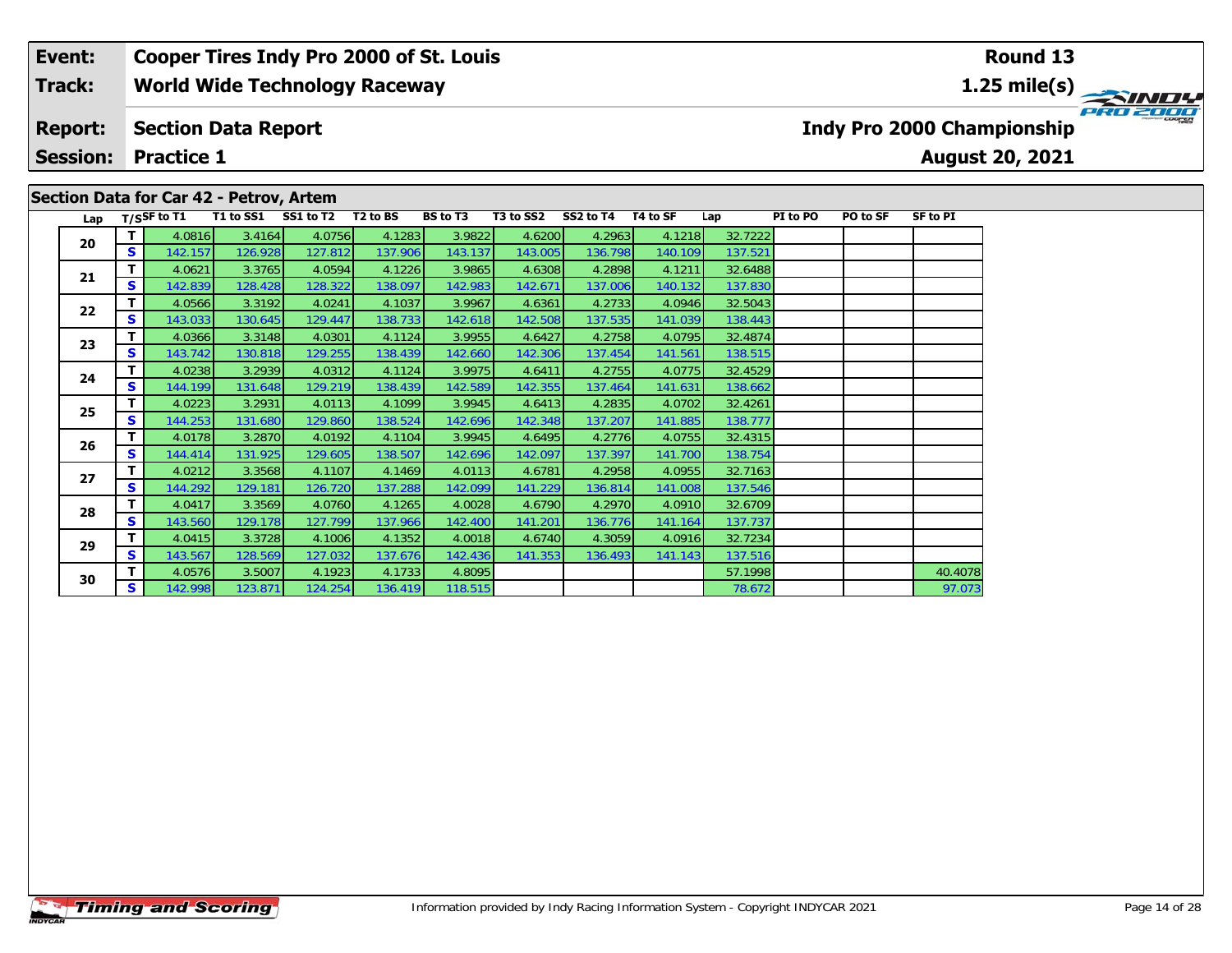#### **Event: Cooper Tires Indy Pro 2000 of St. Louis Round 13Track:World Wide Technology Raceway 1.25 mile(s)** PRO 2000 **Report: Section Data Report Indy Pro 2000 Championship Session: Practice 1August 20, 2021 Section Data for Car 42 - Petrov, Artem** Lap T/S<sup>SF</sup> to T1 T1 to SS1 SS1 to T2 T2 to BS BS to T3 T3 to SS2 SS2 to T4 T4 to SF Lap PI to PO PO to SF SF to PI

138.515

**<sup>T</sup>** 4.0816 3.4164 4.0756 4.1283 3.9822 4.6200 4.2963 4.1218 32.7222 **<sup>S</sup>** 142.157 126.928 127.812 137.906 143.137 143.005 136.798 140.109 137.521

**<sup>T</sup>** 4.0621 3.3765 4.0594 4.1226 3.9865 4.6308 4.2898 4.1211 32.6488 **<sup>S</sup>** 142.839 128.428 128.322 138.097 142.983 142.671 137.006 140.132 137.830

**<sup>T</sup>** 4.0566 3.3192 4.0241 4.1037 3.9967 4.6361 4.2733 4.0946 32.5043 **<sup>S</sup>** 143.033 130.645 129.447 138.733 142.618 142.508 137.535 141.039 138.443

**<sup>T</sup>** 4.0366 3.3148 4.0301 4.1124 3.9955 4.6427 4.2758 4.0795 32.4874 **<sup>S</sup>** 143.742 130.818 129.255 138.439 142.660 142.306 137.454 141.561 138.515

**<sup>T</sup>** 4.0238 3.2939 4.0312 4.1124 3.9975 4.6411 4.2755 4.0775 32.4529 **<sup>S</sup>** 144.199 131.648 129.219 138.439 142.589 142.355 137.464 141.631 138.662

**<sup>T</sup>** 4.0223 3.2931 4.0113 4.1099 3.9945 4.6413 4.2835 4.0702 32.4261 **<sup>S</sup>** 144.253 131.680 129.860 138.524 142.696 142.348 137.207 141.885 138.777

**<sup>T</sup>** 4.0178 3.2870 4.0192 4.1104 3.9945 4.6495 4.2776 4.0755 32.4315 **<sup>S</sup>** 144.414 131.925 129.605 138.507 142.696 142.097 137.397 141.700 138.754

**<sup>T</sup>** 4.0212 3.3568 4.1107 4.1469 4.0113 4.6781 4.2958 4.0955 32.7163 **<sup>S</sup>** 144.292 129.181 126.720 137.288 142.099 141.229 136.814 141.008 137.546

**<sup>T</sup>** 4.0417 3.3569 4.0760 4.1265 4.0028 4.6790 4.2970 4.0910 32.6709 **<sup>S</sup>** 143.560 129.178 127.799 137.966 142.400 141.201 136.776 141.164 137.737

**<sup>T</sup>** 4.0415 3.3728 4.1006 4.1352 4.0018 4.6740 4.3059 4.0916 32.7234 **<sup>S</sup>** 143.567 128.569 127.032 137.676 142.436 141.353 136.493 141.143 137.516

**d T** 4.0576 3.5007 4.1923 4.1733 4.8095 4.8095 57.1998 40.4078 40.4078<br>**S** 142.998 123.871 124.254 136.419 118.515 4.8095 57.1998 78.672

|  |  | <b>Timing and Scoring</b> |
|--|--|---------------------------|
|  |  |                           |

**20**

**21**

**22**

**23**

**24**

**25**

**26**

**27**

**28**

**29**

**30**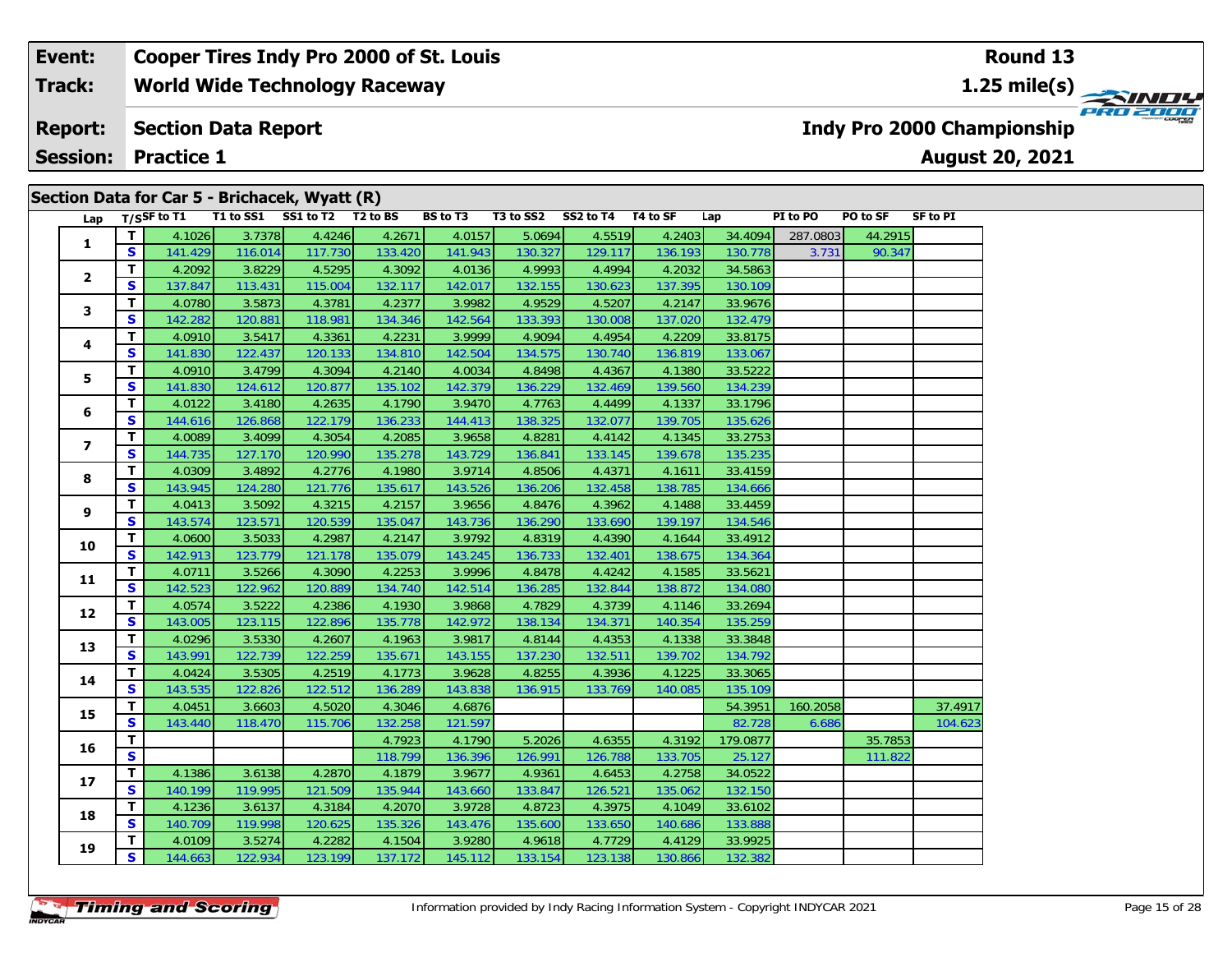#### **Event: Cooper Tires Indy Pro 2000 of St. Louis Round 13World Wide Technology Raceway 1.25 mile(s) Track:** PRO 2000 **Report: Section Data Report Indy Pro 2000 Championship August 20, 2021 Session: Practice 1 Section Data for Car 5 - Brichacek, Wyatt (R)**

| Lap                     |              | $T/S$ SF to T1 |         | $\overline{S}$ ection Data for Car 3 - Brichacek, Wyatt (K)<br>T1 to SS1 SS1 to T2 T2 to BS |         | <b>BS</b> to T3 |         | T3 to SS2 SS2 to T4 T4 to SF |         | Lap      | PI to PO | PO to SF | SF to PI |
|-------------------------|--------------|----------------|---------|---------------------------------------------------------------------------------------------|---------|-----------------|---------|------------------------------|---------|----------|----------|----------|----------|
|                         | T.           | 4.1026         | 3.7378  | 4.4246                                                                                      | 4.2671  | 4.0157          | 5.0694  | 4.5519                       | 4.2403  | 34.4094  | 287.0803 | 44.2915  |          |
| $\mathbf{1}$            | S            | 141.429        | 116.014 | 117.730                                                                                     | 133.420 | 141.943         | 130.327 | 129.117                      | 136.193 | 130.778  | 3.731    | 90.347   |          |
|                         | $\mathbf{T}$ | 4.2092         | 3.8229  | 4.5295                                                                                      | 4.3092  | 4.0136          | 4.9993  | 4.4994                       | 4.2032  | 34.5863  |          |          |          |
| $\overline{2}$          | S.           | 137.847        | 113.431 | 115.004                                                                                     | 132.117 | 142.017         | 132.155 | 130.623                      | 137.395 | 130.109  |          |          |          |
|                         | T.           | 4.0780         | 3.5873  | 4.3781                                                                                      | 4.2377  | 3.9982          | 4.9529  | 4.5207                       | 4.2147  | 33.9676  |          |          |          |
| 3                       | S            | 142.282        | 120.881 | 118.981                                                                                     | 134.346 | 142.564         | 133.393 | 130.008                      | 137.020 | 132.479  |          |          |          |
|                         | T.           | 4.0910         | 3.5417  | 4.3361                                                                                      | 4.2231  | 3.9999          | 4.9094  | 4.4954                       | 4.2209  | 33.8175  |          |          |          |
| 4                       | S            | 141.830        | 122.437 | 120.133                                                                                     | 134.810 | 142.504         | 134.575 | 130.740                      | 136.819 | 133.067  |          |          |          |
|                         | T.           | 4.0910         | 3.4799  | 4.3094                                                                                      | 4.2140  | 4.0034          | 4.8498  | 4.4367                       | 4.1380  | 33.5222  |          |          |          |
| 5                       | S            | 141.830        | 124.612 | 120.877                                                                                     | 135.102 | 142.379         | 136.229 | 132.469                      | 139.560 | 134.239  |          |          |          |
|                         | T.           | 4.0122         | 3.4180  | 4.2635                                                                                      | 4.1790  | 3.9470          | 4.7763  | 4.4499                       | 4.1337  | 33.1796  |          |          |          |
| 6                       | S            | 144.616        | 126.868 | 122.179                                                                                     | 136.233 | 144.413         | 138.325 | 132.077                      | 139.705 | 135.626  |          |          |          |
|                         | T.           | 4.0089         | 3.4099  | 4.3054                                                                                      | 4.2085  | 3.9658          | 4.8281  | 4.4142                       | 4.1345  | 33.2753  |          |          |          |
| $\overline{\mathbf{z}}$ | S.           | 144.735        | 127.170 | 120.990                                                                                     | 135.278 | 143.729         | 136.841 | 133.145                      | 139.678 | 135.235  |          |          |          |
|                         | T.           | 4.0309         | 3.4892  | 4.2776                                                                                      | 4.1980  | 3.9714          | 4.8506  | 4.4371                       | 4.1611  | 33.4159  |          |          |          |
| 8                       | S            | 143.945        | 124.280 | 121.776                                                                                     | 135.617 | 143.526         | 136.206 | 132.458                      | 138.785 | 134.666  |          |          |          |
|                         | T.           | 4.0413         | 3.5092  | 4.3215                                                                                      | 4.2157  | 3.9656          | 4.8476  | 4.3962                       | 4.1488  | 33.4459  |          |          |          |
| 9                       | S            | 143.574        | 123.571 | 120.539                                                                                     | 135.047 | 143.736         | 136.290 | 133.690                      | 139.197 | 134.546  |          |          |          |
|                         | T.           | 4.0600         | 3.5033  | 4.2987                                                                                      | 4.2147  | 3.9792          | 4.8319  | 4.4390                       | 4.1644  | 33.4912  |          |          |          |
| 10                      | S            | 142.913        | 123.779 | 121.178                                                                                     | 135.079 | 143.245         | 136.733 | 132.401                      | 138.675 | 134.364  |          |          |          |
|                         | T.           | 4.0711         | 3.5266  | 4.3090                                                                                      | 4.2253  | 3.9996          | 4.8478  | 4.4242                       | 4.1585  | 33.5621  |          |          |          |
| 11                      | S            | 142.523        | 122.962 | 120.889                                                                                     | 134.740 | 142.514         | 136.285 | 132.844                      | 138.872 | 134.080  |          |          |          |
| 12                      | T.           | 4.0574         | 3.5222  | 4.2386                                                                                      | 4.1930  | 3.9868          | 4.7829  | 4.3739                       | 4.1146  | 33.2694  |          |          |          |
|                         | S            | 143.005        | 123.115 | 122.896                                                                                     | 135.778 | 142.972         | 138.134 | 134.371                      | 140.354 | 135.259  |          |          |          |
| 13                      | T.           | 4.0296         | 3.5330  | 4.2607                                                                                      | 4.1963  | 3.9817          | 4.8144  | 4.4353                       | 4.1338  | 33.3848  |          |          |          |
|                         | S            | 143.991        | 122.739 | 122.259                                                                                     | 135.671 | 143.155         | 137.230 | 132.511                      | 139.702 | 134.792  |          |          |          |
| 14                      | T.           | 4.0424         | 3.5305  | 4.2519                                                                                      | 4.1773  | 3.9628          | 4.8255  | 4.3936                       | 4.1225  | 33.3065  |          |          |          |
|                         | S.           | 143.535        | 122.826 | 122.512                                                                                     | 136.289 | 143.838         | 136.915 | 133.769                      | 140.085 | 135.109  |          |          |          |
| 15                      | T.           | 4.0451         | 3.6603  | 4.5020                                                                                      | 4.3046  | 4.6876          |         |                              |         | 54.3951  | 160.2058 |          | 37.4917  |
|                         | S            | 143.440        | 118.470 | 115.706                                                                                     | 132.258 | 121.597         |         |                              |         | 82.728   | 6.686    |          | 104.623  |
| 16                      | T.           |                |         |                                                                                             | 4.7923  | 4.1790          | 5.2026  | 4.6355                       | 4.3192  | 179.0877 |          | 35.7853  |          |
|                         | S            |                |         |                                                                                             | 118.799 | 136.396         | 126.991 | 126.788                      | 133.705 | 25.127   |          | 111.822  |          |
| 17                      | T.           | 4.1386         | 3.6138  | 4.2870                                                                                      | 4.1879  | 3.9677          | 4.9361  | 4.6453                       | 4.2758  | 34.0522  |          |          |          |
|                         | S            | 140.199        | 119.995 | 121.509                                                                                     | 135.944 | 143.660         | 133.847 | 126.521                      | 135.062 | 132.150  |          |          |          |
| 18                      | T.           | 4.1236         | 3.6137  | 4.3184                                                                                      | 4.2070  | 3.9728          | 4.8723  | 4.3975                       | 4.1049  | 33.6102  |          |          |          |
|                         | S.           | 140.709        | 119.998 | 120.625                                                                                     | 135.326 | 143.476         | 135.600 | 133.650                      | 140.686 | 133.888  |          |          |          |
| 19                      | T.           | 4.0109         | 3.5274  | 4.2282                                                                                      | 4.1504  | 3.9280          | 4.9618  | 4.7729                       | 4.4129  | 33.9925  |          |          |          |
|                         | S            | 144.663        | 122.934 | 123.199                                                                                     | 137.172 | 145.112         | 133.154 | 123.138                      | 130.866 | 132.382  |          |          |          |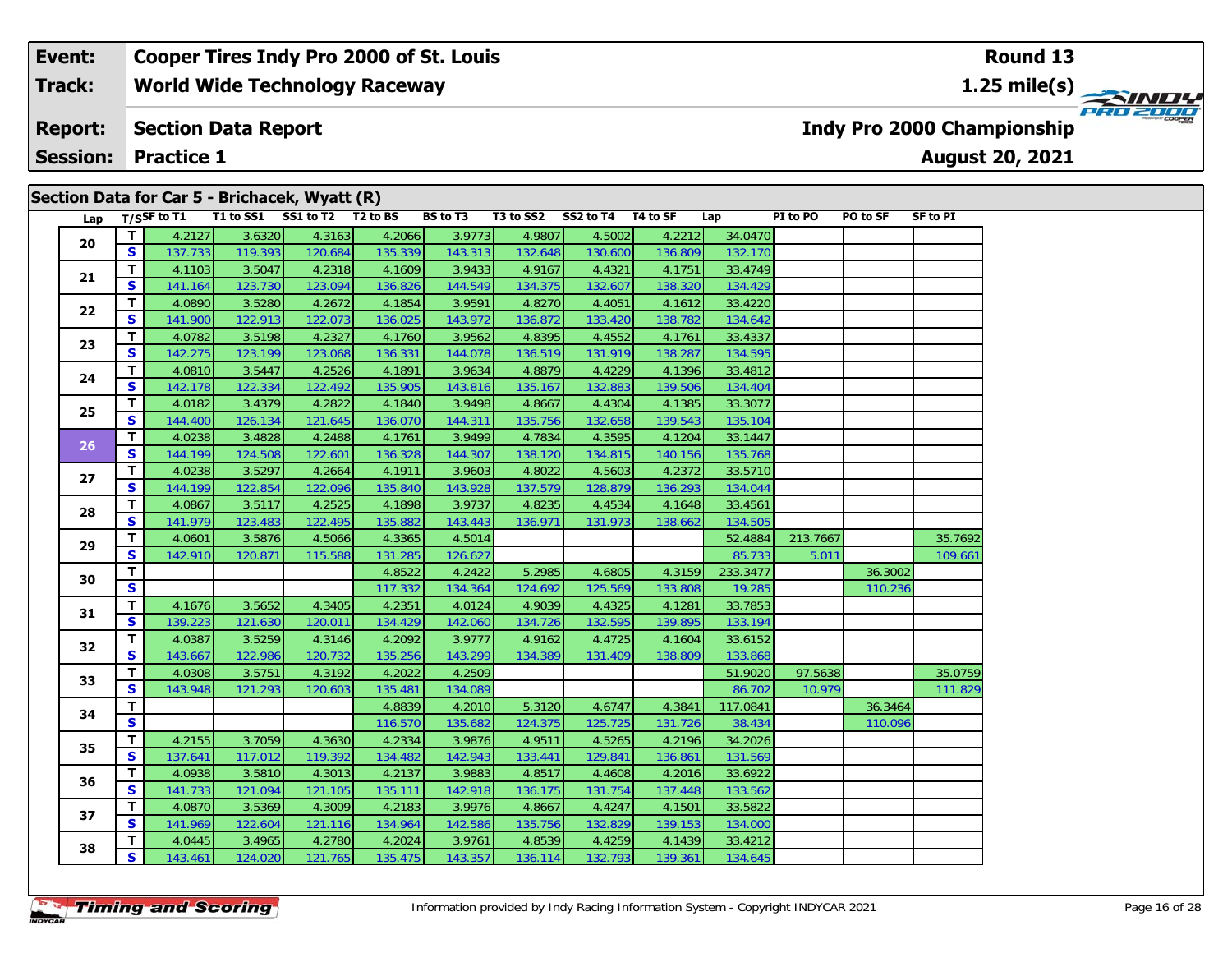#### **Event: Cooper Tires Indy Pro 2000 of St. Louis Round 13World Wide Technology Raceway 1.25 mile(s) Track:** PRO 2000 **Indy Pro 2000 Championship Report: Section Data Report August 20, 2021 Session: Practice 1**

|     |                         |                |         | Section Data for Car 5 - Brichacek, Wyatt (R) |         |                 |           |           |          |          |          |          |                 |
|-----|-------------------------|----------------|---------|-----------------------------------------------|---------|-----------------|-----------|-----------|----------|----------|----------|----------|-----------------|
| Lap |                         | $T/S$ SF to T1 |         | T1 to SS1 SS1 to T2 T2 to BS                  |         | <b>BS</b> to T3 | T3 to SS2 | SS2 to T4 | T4 to SF | Lap      | PI to PO | PO to SF | <b>SF to PI</b> |
| 20  | T                       | 4.2127         | 3.6320  | 4.3163                                        | 4.2066  | 3.9773          | 4.9807    | 4.5002    | 4.2212   | 34.0470  |          |          |                 |
|     | S                       | 137.733        | 119.393 | 120.684                                       | 135.339 | 143.313         | 132.648   | 130.600   | 136.809  | 132.170  |          |          |                 |
| 21  | т                       | 4.1103         | 3.5047  | 4.2318                                        | 4.1609  | 3.9433          | 4.9167    | 4.4321    | 4.1751   | 33.4749  |          |          |                 |
|     | $\mathbf{s}$            | 141.164        | 123.730 | 123.094                                       | 136.826 | 144.549         | 134.375   | 132.607   | 138.320  | 134.429  |          |          |                 |
| 22  | т                       | 4.0890         | 3.5280  | 4.2672                                        | 4.1854  | 3.9591          | 4.8270    | 4.4051    | 4.1612   | 33.4220  |          |          |                 |
|     | $\mathbf{s}$            | 141.900        | 122.913 | 122.073                                       | 136.025 | 143.972         | 136.872   | 133.420   | 138.782  | 134.642  |          |          |                 |
| 23  | T                       | 4.0782         | 3.5198  | 4.2327                                        | 4.1760  | 3.9562          | 4.8395    | 4.4552    | 4.1761   | 33.4337  |          |          |                 |
|     | $\mathbf{s}$            | 142.275        | 123.199 | 123.068                                       | 136.331 | 144.078         | 136.519   | 131.919   | 138.287  | 134.595  |          |          |                 |
| 24  | т                       | 4.0810         | 3.5447  | 4.2526                                        | 4.1891  | 3.9634          | 4.8879    | 4.4229    | 4.1396   | 33.4812  |          |          |                 |
|     | $\mathbf{s}$            | 142.178        | 122.334 | 122.492                                       | 135.905 | 143.816         | 135.167   | 132.883   | 139.506  | 134.404  |          |          |                 |
| 25  | T                       | 4.0182         | 3.4379  | 4.2822                                        | 4.1840  | 3.9498          | 4.8667    | 4.4304    | 4.1385   | 33.3077  |          |          |                 |
|     | S                       | 144.400        | 126.134 | 121.645                                       | 136.070 | 144.311         | 135.756   | 132.658   | 139.543  | 135.104  |          |          |                 |
| 26  | $\mathbf{T}$            | 4.0238         | 3.4828  | 4.2488                                        | 4.1761  | 3.9499          | 4.7834    | 4.3595    | 4.1204   | 33.1447  |          |          |                 |
|     | $\mathbf{s}$            | 144.199        | 124.508 | 122.601                                       | 136.328 | 144.307         | 138.120   | 134.815   | 140.156  | 135.768  |          |          |                 |
|     | $\mathbf{T}$            | 4.0238         | 3.5297  | 4.2664                                        | 4.1911  | 3.9603          | 4.8022    | 4.5603    | 4.2372   | 33.5710  |          |          |                 |
| 27  | $\mathbf{s}$            | 144.199        | 122.854 | 122.096                                       | 135.840 | 143.928         | 137.579   | 128.879   | 136.293  | 134.044  |          |          |                 |
|     | т                       | 4.0867         | 3.5117  | 4.2525                                        | 4.1898  | 3.9737          | 4.8235    | 4.4534    | 4.1648   | 33.4561  |          |          |                 |
| 28  | S                       | 141.979        | 123.483 | 122.495                                       | 135.882 | 143.443         | 136.971   | 131.973   | 138.662  | 134.505  |          |          |                 |
|     | т                       | 4.0601         | 3.5876  | 4.5066                                        | 4.3365  | 4.5014          |           |           |          | 52.4884  | 213.7667 |          | 35.7692         |
| 29  | $\mathbf{s}$            | 142.910        | 120.871 | 115.588                                       | 131.285 | 126.627         |           |           |          | 85.733   | 5.011    |          | 109.661         |
|     | T                       |                |         |                                               | 4.8522  | 4.2422          | 5.2985    | 4.6805    | 4.3159   | 233.3477 |          | 36.3002  |                 |
| 30  | S                       |                |         |                                               | 117.332 | 134.364         | 124.692   | 125.569   | 133.808  | 19.285   |          | 110.236  |                 |
|     | т                       | 4.1676         | 3.5652  | 4.3405                                        | 4.2351  | 4.0124          | 4.9039    | 4.4325    | 4.1281   | 33.7853  |          |          |                 |
| 31  | S                       | 139.223        | 121.630 | 120.011                                       | 134.429 | 142.060         | 134.726   | 132.595   | 139.895  | 133.194  |          |          |                 |
|     | т                       | 4.0387         | 3.5259  | 4.3146                                        | 4.2092  | 3.9777          | 4.9162    | 4.4725    | 4.1604   | 33.6152  |          |          |                 |
| 32  | $\mathbf{s}$            | 143.667        | 122.986 | 120.732                                       | 135.256 | 143.299         | 134.389   | 131.409   | 138.809  | 133.868  |          |          |                 |
|     | т                       | 4.0308         | 3.5751  | 4.3192                                        | 4.2022  | 4.2509          |           |           |          | 51.9020  | 97.5638  |          | 35.0759         |
| 33  | S                       | 143.948        | 121.293 | 120.603                                       | 135.481 | 134.089         |           |           |          | 86.702   | 10.979   |          | 111.829         |
|     | T                       |                |         |                                               | 4.8839  | 4.2010          | 5.3120    | 4.6747    | 4.3841   | 117.0841 |          | 36.3464  |                 |
| 34  | $\overline{\mathbf{s}}$ |                |         |                                               | 116.570 | 135.682         | 124.375   | 125.725   | 131.726  | 38.434   |          | 110.096  |                 |
|     | T.                      | 4.2155         | 3.7059  | 4.3630                                        | 4.2334  | 3.9876          | 4.9511    | 4.5265    | 4.2196   | 34.2026  |          |          |                 |
| 35  | S                       | 137.641        | 117.012 | 119.392                                       | 134.482 | 142.943         | 133.441   | 129.841   | 136.861  | 131.569  |          |          |                 |
|     | T.                      | 4.0938         | 3.5810  | 4.3013                                        | 4.2137  | 3.9883          | 4.8517    | 4.4608    | 4.2016   | 33.6922  |          |          |                 |
| 36  | <b>S</b>                | 141.733        | 121.094 | 121.105                                       | 135.111 | 142.918         | 136.175   | 131.754   | 137.448  | 133.562  |          |          |                 |
|     | т                       | 4.0870         | 3.5369  | 4.3009                                        | 4.2183  | 3.9976          | 4.8667    | 4.4247    | 4.1501   | 33.5822  |          |          |                 |
| 37  | S.                      | 141.969        | 122.604 | 121.116                                       | 134.964 | 142.586         | 135.756   | 132.829   | 139.153  | 134.000  |          |          |                 |

**<sup>T</sup>** 4.0445 3.4965 4.2780 4.2024 3.9761 4.8539 4.4259 4.1439 33.4212 **<sup>S</sup>** 143.461 124.020 121.765 135.475 143.357 136.114 132.793 139.361 134.645

**38**

134.645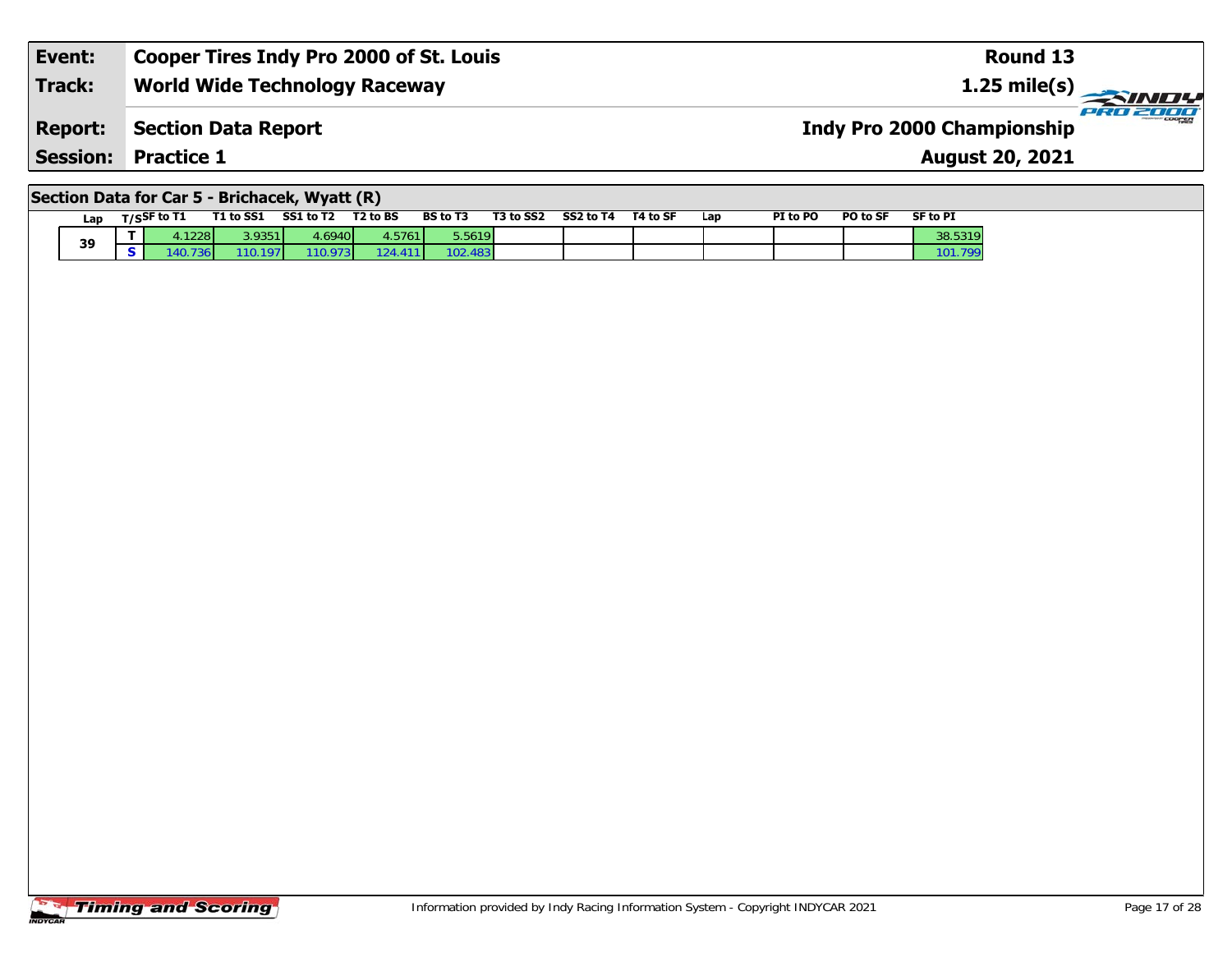| Event:        | <b>Cooper Tires Indy Pro 2000 of St. Louis</b> | Round 13                          |          |
|---------------|------------------------------------------------|-----------------------------------|----------|
| <b>Track:</b> | <b>World Wide Technology Raceway</b>           | $1.25 \text{ mile(s)}$            |          |
|               | <b>Report: Section Data Report</b>             | <b>Indy Pro 2000 Championship</b> | PRO 2000 |
|               | <b>Session: Practice 1</b>                     | <b>August 20, 2021</b>            |          |
|               |                                                |                                   |          |

# **Section Data for Car 5 - Brichacek, Wyatt (R)**

| Lap |   | $T/S$ SF to T1       | T1 to SS1 | SS1 to T2        | T <sub>2</sub> to B <sub>S</sub> | <b>BS</b> to T3 | T3 to SS2 | SS2 to T4 | T4 to SF | Lap | PI to PO | PO to SF | <b>SF to PI</b> |
|-----|---|----------------------|-----------|------------------|----------------------------------|-----------------|-----------|-----------|----------|-----|----------|----------|-----------------|
| 39  | - | 4.1228               | 3.9351    | 4.6940           | 4.5761                           | 5.5619          |           |           |          |     |          |          | 38.5319         |
|     |   | 736 <b>1</b><br>140. | 110.197   | 110.973 <b>1</b> | 124.411                          | 102.<br>483     |           |           |          |     |          |          | $-101.7.$       |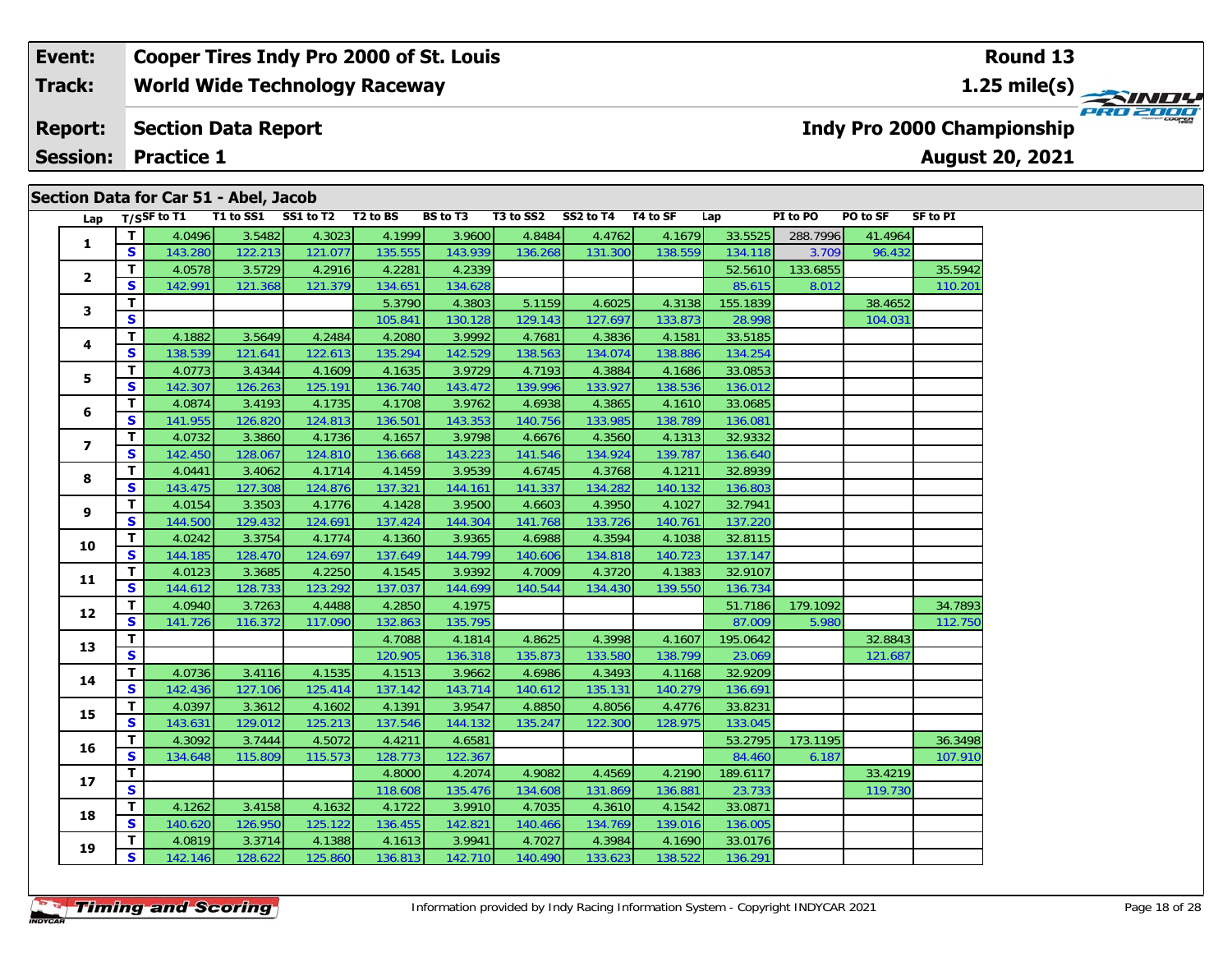#### **Event: Cooper Tires Indy Pro 2000 of St. Louis Round 13World Wide Technology Raceway 1.25 mile(s) Track: PRO 2000 Section Data Report Indy Pro 2000 Championship Report: August 20, 2021 Session: Practice 1**

|                         |              |                | Section Data for Car 51 - Abel, Jacob |                              |         |                 |           |           |          |          |          |          |          |
|-------------------------|--------------|----------------|---------------------------------------|------------------------------|---------|-----------------|-----------|-----------|----------|----------|----------|----------|----------|
| Lap                     |              | $T/S$ SF to T1 |                                       | T1 to SS1 SS1 to T2 T2 to BS |         | <b>BS</b> to T3 | T3 to SS2 | SS2 to T4 | T4 to SF | Lap      | PI to PO | PO to SF | SF to PI |
| $\mathbf{1}$            | T.           | 4.0496         | 3.5482                                | 4.3023                       | 4.1999  | 3.9600          | 4.8484    | 4.4762    | 4.1679   | 33.5525  | 288.7996 | 41.4964  |          |
|                         | S            | 143.280        | 122.213                               | 121.077                      | 135.555 | 143.939         | 136.268   | 131.300   | 138.559  | 134.118  | 3.709    | 96.432   |          |
| $\overline{\mathbf{2}}$ | T            | 4.0578         | 3.5729                                | 4.2916                       | 4.2281  | 4.2339          |           |           |          | 52.5610  | 133.6855 |          | 35.5942  |
|                         | S            | 142.991        | 121.368                               | 121.379                      | 134.651 | 134.628         |           |           |          | 85.615   | 8.012    |          | 110.201  |
| 3                       | T            |                |                                       |                              | 5.3790  | 4.3803          | 5.1159    | 4.6025    | 4.3138   | 155.1839 |          | 38.4652  |          |
|                         | S            |                |                                       |                              | 105.841 | 130.128         | 129.143   | 127.697   | 133.873  | 28.998   |          | 104.031  |          |
| 4                       | T            | 4.1882         | 3.5649                                | 4.2484                       | 4.2080  | 3.9992          | 4.7681    | 4.3836    | 4.1581   | 33.5185  |          |          |          |
|                         | S            | 138.539        | 121.641                               | 122.613                      | 135.294 | 142.529         | 138.563   | 134.074   | 138.886  | 134.254  |          |          |          |
| 5                       | T.           | 4.0773         | 3.4344                                | 4.1609                       | 4.1635  | 3.9729          | 4.7193    | 4.3884    | 4.1686   | 33.0853  |          |          |          |
|                         | S            | 142.307        | 126.263                               | 125.191                      | 136.740 | 143.472         | 139.996   | 133.927   | 138.536  | 136.012  |          |          |          |
| 6                       | $\mathbf{T}$ | 4.0874         | 3.4193                                | 4.1735                       | 4.1708  | 3.9762          | 4.6938    | 4.3865    | 4.1610   | 33.0685  |          |          |          |
|                         | S            | 141.955        | 126.820                               | 124.813                      | 136.501 | 143.353         | 140.756   | 133.985   | 138.789  | 136.081  |          |          |          |
| 7                       | $\mathbf{T}$ | 4.0732         | 3.3860                                | 4.1736                       | 4.1657  | 3.9798          | 4.6676    | 4.3560    | 4.1313   | 32.9332  |          |          |          |
|                         | S            | 142.450        | 128.067                               | 124.810                      | 136.668 | 143.223         | 141.546   | 134.924   | 139.787  | 136.640  |          |          |          |
| 8                       | T            | 4.0441         | 3.4062                                | 4.1714                       | 4.1459  | 3.9539          | 4.6745    | 4.3768    | 4.1211   | 32.8939  |          |          |          |
|                         | $\mathbf{s}$ | 143.475        | 127.308                               | 124.876                      | 137.321 | 144.161         | 141.337   | 134.282   | 140.132  | 136.803  |          |          |          |
| 9                       | T.           | 4.0154         | 3.3503                                | 4.1776                       | 4.1428  | 3.9500          | 4.6603    | 4.3950    | 4.1027   | 32.7941  |          |          |          |
|                         | S            | 144.500        | 129.432                               | 124.691                      | 137.424 | 144.304         | 141.768   | 133.726   | 140.761  | 137.220  |          |          |          |
| 10                      | T.           | 4.0242         | 3.3754                                | 4.1774                       | 4.1360  | 3.9365          | 4.6988    | 4.3594    | 4.1038   | 32.8115  |          |          |          |
|                         | S            | 144.185        | 128.470                               | 124.697                      | 137.649 | 144.799         | 140.606   | 134.818   | 140.723  | 137.147  |          |          |          |
| 11                      | T.           | 4.0123         | 3.3685                                | 4.2250                       | 4.1545  | 3.9392          | 4.7009    | 4.3720    | 4.1383   | 32.9107  |          |          |          |
|                         | $\mathbf{s}$ | 144.612        | 128.733                               | 123.292                      | 137.037 | 144.699         | 140.544   | 134.430   | 139.550  | 136.734  |          |          |          |
| 12                      | $\mathbf{T}$ | 4.0940         | 3.7263                                | 4.4488                       | 4.2850  | 4.1975          |           |           |          | 51.7186  | 179.1092 |          | 34.7893  |
|                         | S            | 141.726        | 116.372                               | 117.090                      | 132.863 | 135.795         |           |           |          | 87.009   | 5.980    |          | 112.750  |
| 13                      | T.           |                |                                       |                              | 4.7088  | 4.1814          | 4.8625    | 4.3998    | 4.1607   | 195.0642 |          | 32.8843  |          |
|                         | $\mathbf{s}$ |                |                                       |                              | 120.905 | 136.318         | 135.873   | 133.580   | 138.799  | 23.069   |          | 121.687  |          |
| 14                      | T.           | 4.0736         | 3.4116                                | 4.1535                       | 4.1513  | 3.9662          | 4.6986    | 4.3493    | 4.1168   | 32.9209  |          |          |          |
|                         | S            | 142.436        | 127.106                               | 125.414                      | 137.142 | 143.714         | 140.612   | 135.131   | 140.279  | 136.691  |          |          |          |
| 15                      | T            | 4.0397         | 3.3612                                | 4.1602                       | 4.1391  | 3.9547          | 4.8850    | 4.8056    | 4.4776   | 33.8231  |          |          |          |
|                         | S            | 143.631        | 129.012                               | 125.213                      | 137.546 | 144.132         | 135.247   | 122.300   | 128.975  | 133.045  |          |          |          |
| 16                      | T.           | 4.3092         | 3.7444                                | 4.5072                       | 4.4211  | 4.6581          |           |           |          | 53.2795  | 173.1195 |          | 36.3498  |
|                         | S            | 134.648        | 115.809                               | 115.573                      | 128.773 | 122.367         |           |           |          | 84.460   | 6.187    |          | 107.910  |
| 17                      | T.           |                |                                       |                              | 4.8000  | 4.2074          | 4.9082    | 4.4569    | 4.2190   | 189.6117 |          | 33.4219  |          |
|                         | $\mathbf{s}$ |                |                                       |                              | 118.608 | 135.476         | 134.608   | 131.869   | 136.881  | 23.733   |          | 119.730  |          |
| 18                      | T.           | 4.1262         | 3.4158                                | 4.1632                       | 4.1722  | 3.9910          | 4.7035    | 4.3610    | 4.1542   | 33.0871  |          |          |          |
|                         | S            | 140.620        | 126.950                               | 125.122                      | 136.455 | 142.821         | 140.466   | 134.769   | 139.016  | 136.005  |          |          |          |
|                         | T.           | 4.0819         | 3.3714                                | 4.1388                       | 4.1613  | 3.9941          | 4.7027    | 4.3984    | 4.1690   | 33.0176  |          |          |          |
| 19                      | S            | 142.146        | 128.622                               | 125.860                      | 136.813 | 142.710         | 140.490   | 133.623   | 138.522  | 136.291  |          |          |          |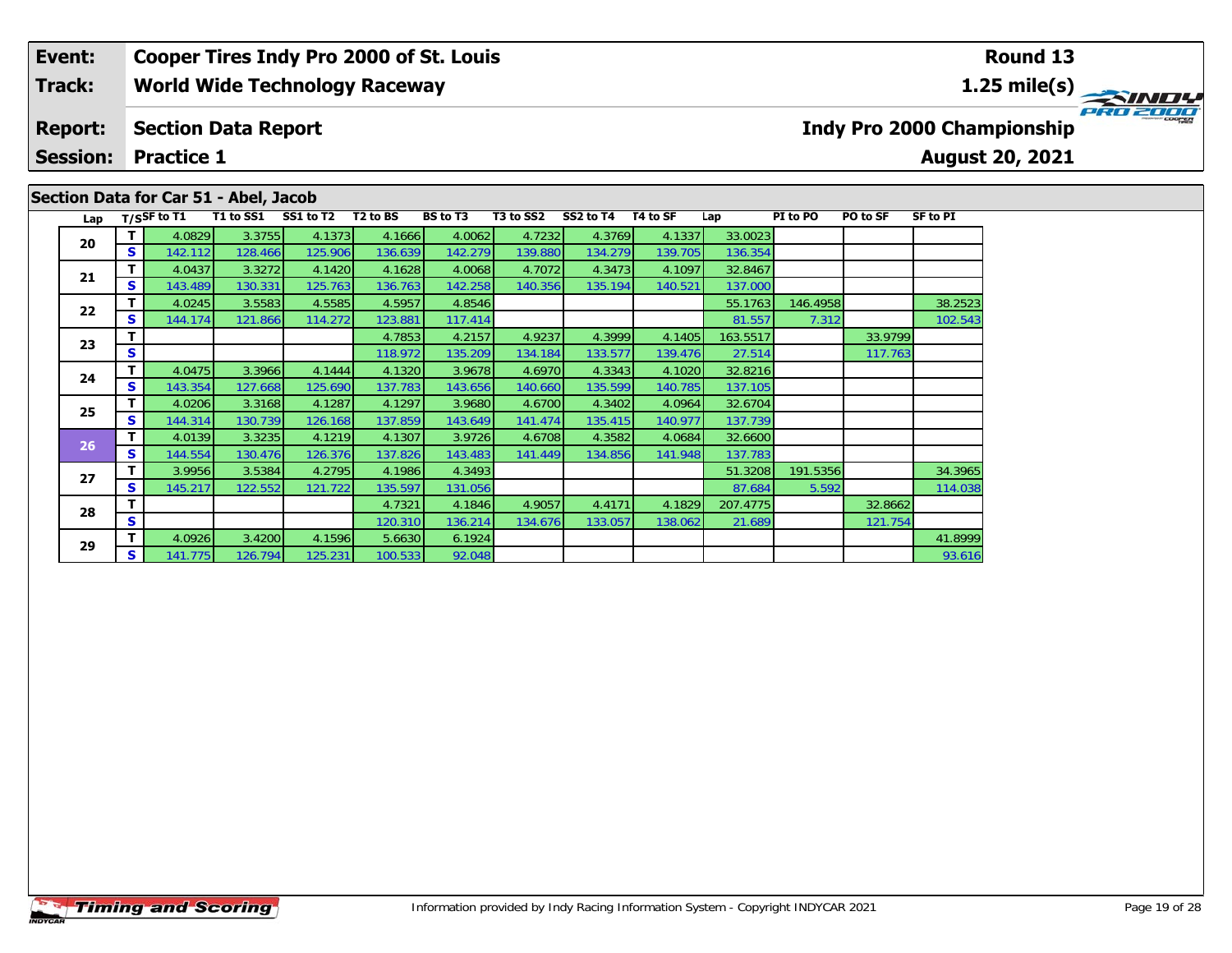## **Event: Cooper Tires Indy Pro 2000 of St. Louis Round 13Track:World Wide Technology Raceway 1.25 mile(s)** PRO 2000 **Report: Section Data Report Indy Pro 2000 Championship Session: Practice 1August 20, 2021 Section Data for Car 51 - Abel, Jacob** Lap T/S<sup>SF</sup> to T1 T1 to SS1 SS1 to T2 T2 to BS BS to T3 T3 to SS2 SS2 to T4 T4 to SF Lap PI to PO PO to SF SF to PI **<sup>T</sup>** 4.0829 3.3755 4.1373 4.1666 4.0062 4.7232 4.3769 4.1337 33.0023 **<sup>S</sup>** 142.112 128.466 125.906 136.639 142.279 139.880 134.279 139.705 136.354**20**

117.763

121.754

**<sup>T</sup>** 4.0437 3.3272 4.1420 4.1628 4.0068 4.7072 4.3473 4.1097 32.8467 **<sup>S</sup>** 143.489 130.331 125.763 136.763 142.258 140.356 135.194 140.521 137.000

**<sup>T</sup>** 4.0475 3.3966 4.1444 4.1320 3.9678 4.6970 4.3343 4.1020 32.8216 **<sup>S</sup>** 143.354 127.668 125.690 137.783 143.656 140.660 135.599 140.785 137.105

**<sup>T</sup>** 4.0206 3.3168 4.1287 4.1297 3.9680 4.6700 4.3402 4.0964 32.6704 **<sup>S</sup>** 144.314 130.739 126.168 137.859 143.649 141.474 135.415 140.977 137.739

**<sup>T</sup>** 4.0139 3.3235 4.1219 4.1307 3.9726 4.6708 4.3582 4.0684 32.6600 **<sup>S</sup>** 144.554 130.476 126.376 137.826 143.483 141.449 134.856 141.948 137.783

**<sup>T</sup>** 4.0245 3.5583 4.5585 4.5957 4.8546 55.1763 146.4958 38.2523 **<sup>S</sup>** 144.174 121.866 114.272 123.881 117.414 81.557 7.312 102.543

**<sup>T</sup>** 3.9956 3.5384 4.2795 4.1986 4.3493 51.3208 191.5356 34.3965 **<sup>S</sup>** 145.217 122.552 121.722 135.597 131.056 87.684 5.592 114.038

**<sup>T</sup>** 4.0926 3.4200 4.1596 5.6630 6.1924 41.8999 **<sup>S</sup>** 141.775 126.794 125.231 100.533 92.048 93.616

**T** 4.7853 4.2157 4.9237 4.3999 4.1405 163.5517 33.9799 33.9799 33.9799 33.9799 33.9799 33.9799 27.514 27.514 27.514

**<sup>T</sup>** 4.7321 4.1846 4.9057 4.4171 4.1829 207.4775 32.8662 **<sup>S</sup>** 120.310 136.214 134.676 133.057 138.062 21.689 121.754

**21**

**22**

**23**

**24**

**25**

**26**

**27**

**28**

**29**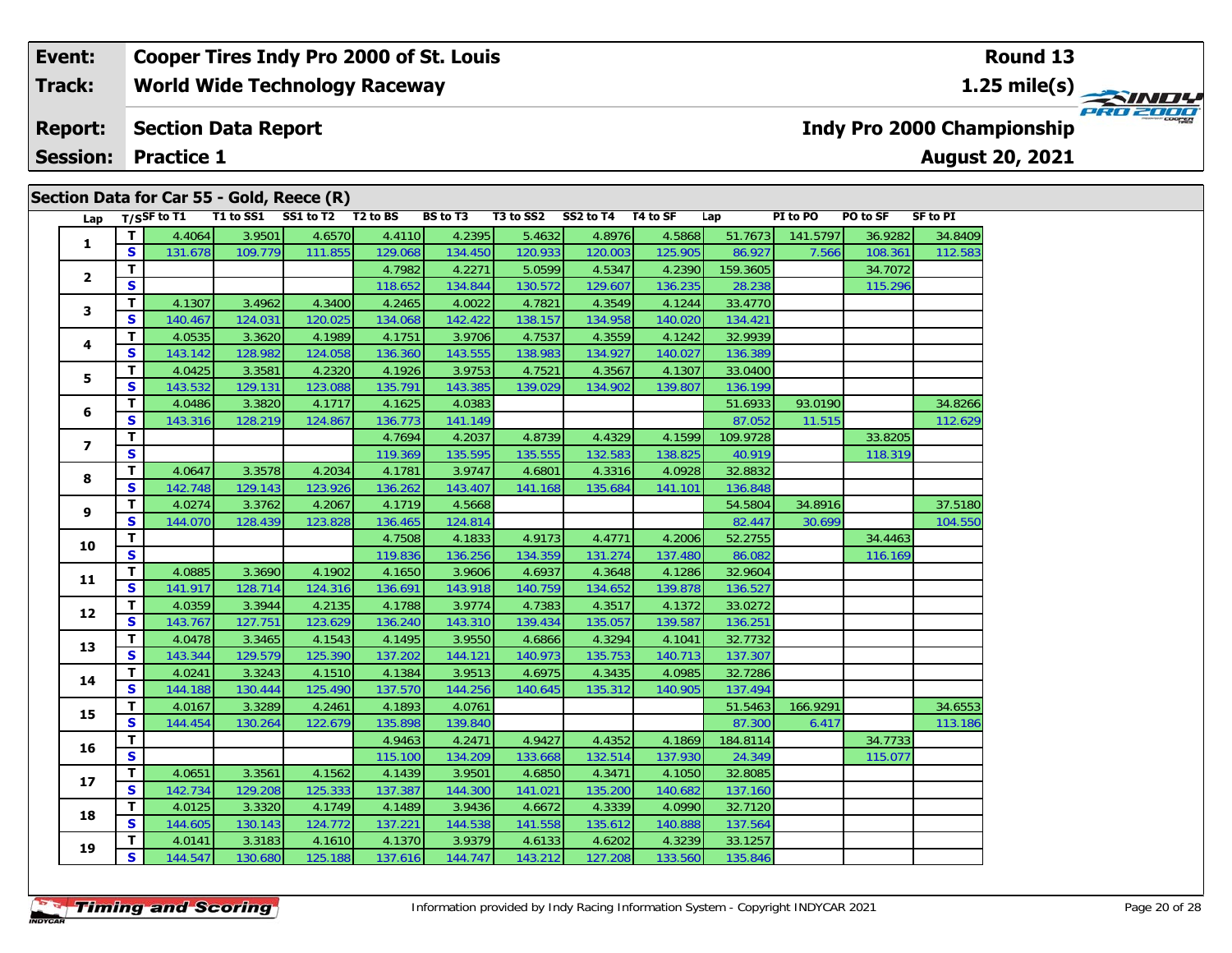#### **Event: Cooper Tires Indy Pro 2000 of St. Louis Round 13Track:World Wide Technology Raceway 1.25 mile(s)** PRO 2000 **Report: Section Data Report Indy Pro 2000 Championship August 20, 2021 Session:Practice 1**

# **Lap T/SSF to T1 T1 to SS1 SS1 to T2 T2 to BS BS to T3 T3 to SS2 SS2 to T4 T4 to SF Lap PI to PO PO to SF SF to PI 1 <sup>T</sup>** 4.4064 3.9501 4.6570 4.4110 4.2395 5.4632 4.8976 4.5868 51.7673 141.5797 36.9282 34.8409 **<sup>S</sup>** 131.678 109.779 111.855 129.068 134.450 120.933 120.003 125.905 86.927 7.566 108.361 112.583**2T 1** 4.7982 4.2271 5.0599 4.5347 4.2390 159.3605 34.7072<br> **S** 115.296 118.652 134.844 130.572 129.607 136.235 28.238 115.296 **3 <sup>T</sup>** 4.1307 3.4962 4.3400 4.2465 4.0022 4.7821 4.3549 4.1244 33.4770 **<sup>S</sup>** 140.467 124.031 120.025 134.068 142.422 138.157 134.958 140.020 134.421**4 <sup>T</sup>** 4.0535 3.3620 4.1989 4.1751 3.9706 4.7537 4.3559 4.1242 32.9939 **<sup>S</sup>** 143.142 128.982 124.058 136.360 143.555 138.983 134.927 140.027 136.389136.389 **5 <sup>T</sup>** 4.0425 3.3581 4.2320 4.1926 3.9753 4.7521 4.3567 4.1307 33.0400 **<sup>S</sup>** 143.532 129.131 123.088 135.791 143.385 139.029 134.902 139.807 136.199**6 <sup>T</sup>** 4.0486 3.3820 4.1717 4.1625 4.0383 51.6933 93.0190 34.8266 **<sup>S</sup>** 143.316 128.219 124.867 136.773 141.149 87.052 11.515 112.629**7 <sup>T</sup>** 4.7694 4.2037 4.8739 4.4329 4.1599 109.9728 33.8205 **<sup>S</sup>** 119.369 135.595 135.555 132.583 138.825 40.919 118.319**8 <sup>T</sup>** 4.0647 3.3578 4.2034 4.1781 3.9747 4.6801 4.3316 4.0928 32.8832 **<sup>S</sup>** 142.748 129.143 123.926 136.262 143.407 141.168 135.684 141.101 136.848**9 <sup>T</sup>** 4.0274 3.3762 4.2067 4.1719 4.5668 54.5804 34.8916 37.5180 **<sup>S</sup>** 144.070 128.439 123.828 136.465 124.814 82.447 30.699 104.550**10 <sup>T</sup>** 4.7508 4.1833 4.9173 4.4771 4.2006 52.2755 34.4463 **<sup>S</sup>** 119.836 136.256 134.359 131.274 137.480 86.082 116.169**11 <sup>T</sup>** 4.0885 3.3690 4.1902 4.1650 3.9606 4.6937 4.3648 4.1286 32.9604 **<sup>S</sup>** 141.917 128.714 124.316 136.691 143.918 140.759 134.652 139.878 136.527**12 <sup>T</sup>** 4.0359 3.3944 4.2135 4.1788 3.9774 4.7383 4.3517 4.1372 33.0272 **<sup>S</sup>** 143.767 127.751 123.629 136.240 143.310 139.434 135.057 139.587 136.251**13 <sup>T</sup>** 4.0478 3.3465 4.1543 4.1495 3.9550 4.6866 4.3294 4.1041 32.7732 **<sup>S</sup>** 143.344 129.579 125.390 137.202 144.121 140.973 135.753 140.713 137.307**14 <sup>T</sup>** 4.0241 3.3243 4.1510 4.1384 3.9513 4.6975 4.3435 4.0985 32.7286 **<sup>S</sup>** 144.188 130.444 125.490 137.570 144.256 140.645 135.312 140.905 137.494**15 <sup>T</sup>** 4.0167 3.3289 4.2461 4.1893 4.0761 51.5463 166.9291 34.6553 **<sup>S</sup>** 144.454 130.264 122.679 135.898 139.840 87.300 6.417 113.186**16T** 4.9463 4.2471 4.9427 4.4352 4.1869 184.8114 34.7733 34.7733<br>S S 115.077 115.100 134.209 133.668 132.514 137.930 24.349 115.077 **17 <sup>T</sup>** 4.0651 3.3561 4.1562 4.1439 3.9501 4.6850 4.3471 4.1050 32.8085 **<sup>S</sup>** 142.734 129.208 125.333 137.387 144.300 141.021 135.200 140.682 137.160**18 <sup>T</sup>** 4.0125 3.3320 4.1749 4.1489 3.9436 4.6672 4.3339 4.0990 32.7120 **<sup>S</sup>** 144.605 130.143 124.772 137.221 144.538 141.558 135.612 140.888 137.564**19 <sup>T</sup>** 4.0141 3.3183 4.1610 4.1370 3.9379 4.6133 4.6202 4.3239 33.1257 **<sup>S</sup>** 144.547 130.680 125.188 137.616 144.747 143.212 127.208 133.560 135.846**Section Data for Car 55 - Gold, Reece (R)**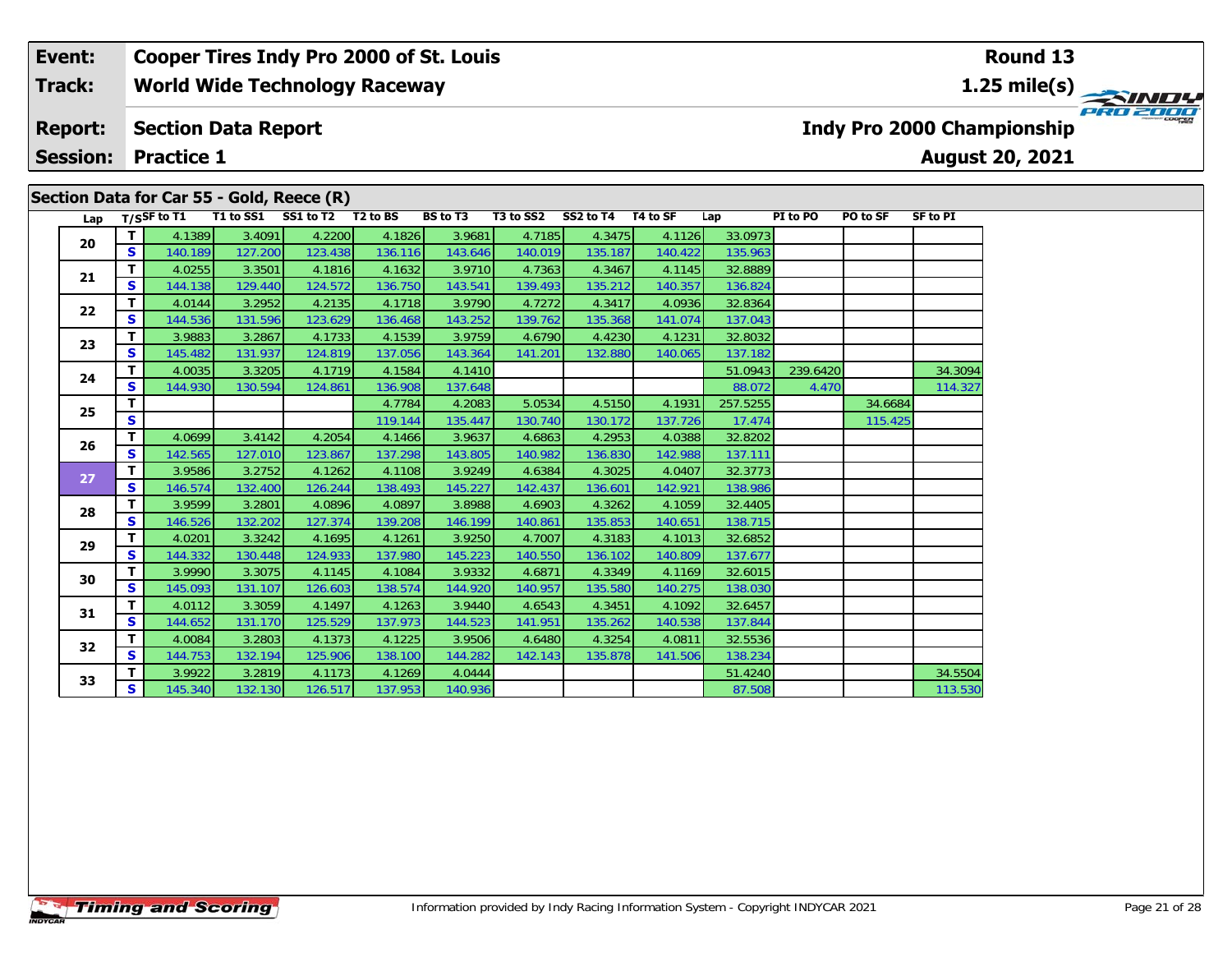#### **Event: Cooper Tires Indy Pro 2000 of St. Louis Round 131.25 mile(s) World Wide Technology Raceway Track:** PRO 2000 **Section Data Report Indy Pro 2000 Championship Report: August 20, 2021 Session: Practice 1**

| Lap |    | $T/S$ SF to T1 | T1 to SS1 | SS1 to T2 T2 to BS |         | <b>BS to T3</b> | T3 to SS2 | SS2 to T4 T4 to SF |         | Lap      | PI to PO | PO to SF | <b>SF to PI</b> |
|-----|----|----------------|-----------|--------------------|---------|-----------------|-----------|--------------------|---------|----------|----------|----------|-----------------|
|     | Τ. | 4.1389         | 3.4091    | 4.2200             | 4.1826  | 3.9681          | 4.7185    | 4.3475             | 4.1126  | 33.0973  |          |          |                 |
| 20  | S. | 140.189        | 127.200   | 123.438            | 136.116 | 143.646         | 140.019   | 135.187            | 140.422 | 135.963  |          |          |                 |
| 21  | T. | 4.0255         | 3.3501    | 4.1816             | 4.1632  | 3.9710          | 4.7363    | 4.3467             | 4.1145  | 32.8889  |          |          |                 |
|     | S. | 144.138        | 129.440   | 124.572            | 136.750 | 143.541         | 139.493   | 135.212            | 140.357 | 136.824  |          |          |                 |
| 22  | T. | 4.0144         | 3.2952    | 4.2135             | 4.1718  | 3.9790          | 4.7272    | 4.3417             | 4.0936  | 32.8364  |          |          |                 |
|     | S  | 144.536        | 131.596   | 123.629            | 136.468 | 143.252         | 139.762   | 135.368            | 141.074 | 137.043  |          |          |                 |
| 23  | T. | 3.9883         | 3.2867    | 4.1733             | 4.1539  | 3.9759          | 4.6790    | 4.4230             | 4.1231  | 32.8032  |          |          |                 |
|     | S. | 145.482        | 131.937   | 124.819            | 137.056 | 143.364         | 141.201   | 132.880            | 140.065 | 137.182  |          |          |                 |
| 24  | T. | 4.0035         | 3.3205    | 4.1719             | 4.1584  | 4.1410          |           |                    |         | 51.0943  | 239.6420 |          | 34.3094         |
|     | S  | 144.930        | 130.594   | 124.861            | 136.908 | 137.648         |           |                    |         | 88.072   | 4.470    |          | 114.327         |
| 25  | т  |                |           |                    | 4.7784  | 4.2083          | 5.0534    | 4.5150             | 4.1931  | 257.5255 |          | 34.6684  |                 |
|     | S  |                |           |                    | 119.144 | 135.447         | 130.740   | 130.172            | 137.726 | 17.474   |          | 115.425  |                 |
| 26  | T. | 4.0699         | 3.4142    | 4.2054             | 4.1466  | 3.9637          | 4.6863    | 4.2953             | 4.0388  | 32.8202  |          |          |                 |
|     | S. | 142.565        | 127.010   | 123.867            | 137.298 | 143.805         | 140.982   | 136.830            | 142.988 | 137.111  |          |          |                 |
| 27  | T. | 3.9586         | 3.2752    | 4.1262             | 4.1108  | 3.9249          | 4.6384    | 4.3025             | 4.0407  | 32.3773  |          |          |                 |
|     | S. | 146.574        | 132.400   | 126.244            | 138.493 | 145.227         | 142.437   | 136.601            | 142.921 | 138.986  |          |          |                 |
| 28  | T. | 3.9599         | 3.2801    | 4.0896             | 4.0897  | 3.8988          | 4.6903    | 4.3262             | 4.1059  | 32.4405  |          |          |                 |
|     | S. | 146.526        | 132.202   | 127.374            | 139.208 | 146.199         | 140.861   | 135.853            | 140.651 | 138.715  |          |          |                 |
| 29  | T. | 4.0201         | 3.3242    | 4.1695             | 4.1261  | 3.9250          | 4.7007    | 4.3183             | 4.1013  | 32.6852  |          |          |                 |
|     | S. | 144.332        | 130.448   | 124.933            | 137.980 | 145.223         | 140.550   | 136.102            | 140.809 | 137.677  |          |          |                 |
| 30  | T. | 3.9990         | 3.3075    | 4.1145             | 4.1084  | 3.9332          | 4.6871    | 4.3349             | 4.1169  | 32.6015  |          |          |                 |
|     | S. | 145.093        | 131.107   | 126.603            | 138.574 | 144.920         | 140.957   | 135.580            | 140.275 | 138.030  |          |          |                 |
| 31  | T. | 4.0112         | 3.3059    | 4.1497             | 4.1263  | 3.9440          | 4.6543    | 4.3451             | 4.1092  | 32.6457  |          |          |                 |
|     | S. | 144.652        | 131.170   | 125.529            | 137.973 | 144.523         | 141.951   | 135.262            | 140.538 | 137.844  |          |          |                 |
| 32  | T. | 4.0084         | 3.2803    | 4.1373             | 4.1225  | 3.9506          | 4.6480    | 4.3254             | 4.0811  | 32.5536  |          |          |                 |
|     | S  | 144.753        | 132.194   | 125.906            | 138.100 | 144.282         | 142.143   | 135.878            | 141.506 | 138.234  |          |          |                 |
| 33  | T. | 3.9922         | 3.2819    | 4.1173             | 4.1269  | 4.0444          |           |                    |         | 51.4240  |          |          | 34.5504         |
|     | S. | 145.340        | 132.130   | 126.517            | 137.953 | 140.936         |           |                    |         | 87.508   |          |          | 113.530         |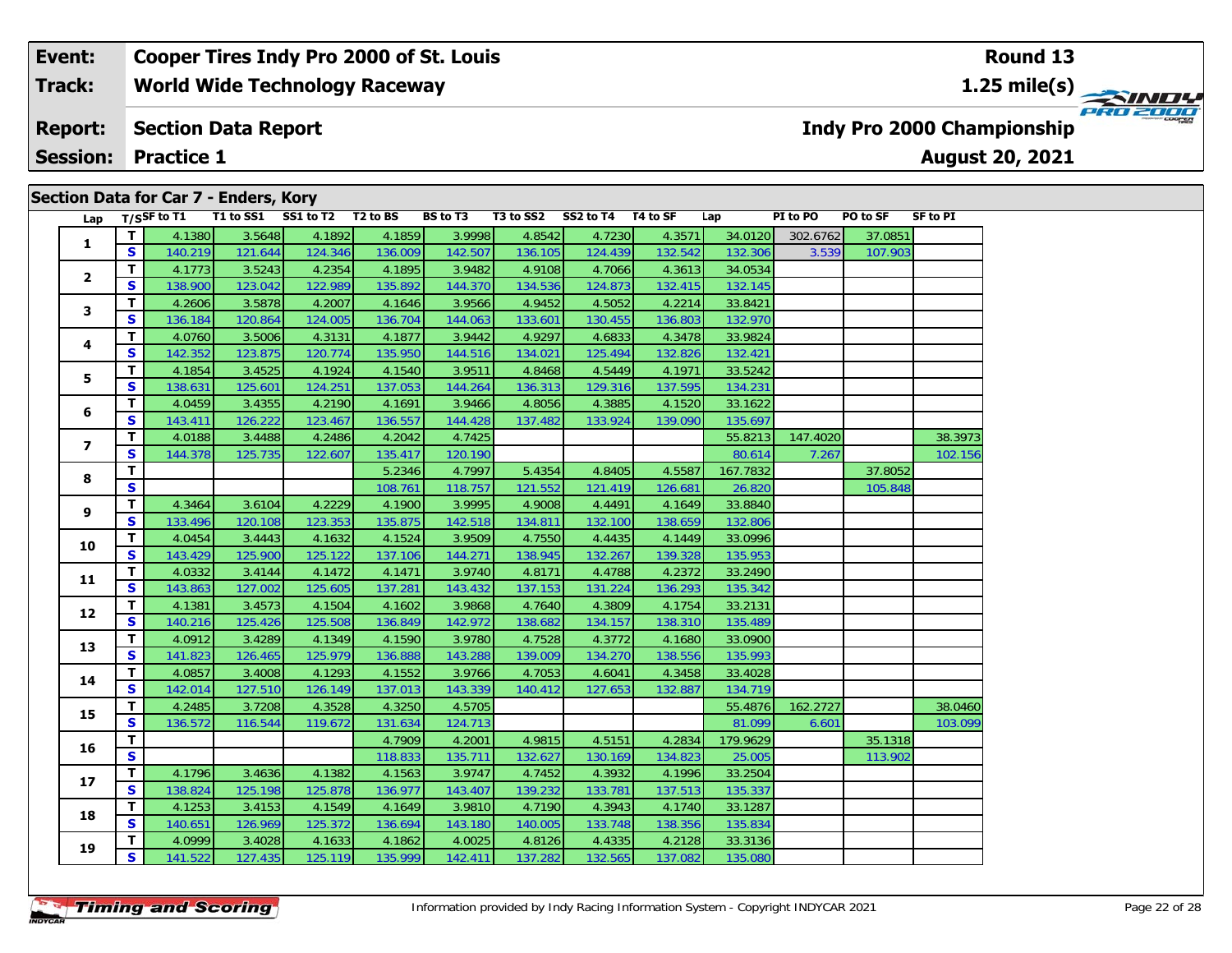#### **Event: Cooper Tires Indy Pro 2000 of St. Louis Round 131.25 mile(s) World Wide Technology Raceway Track:** PRO 2000 **Section Data Report Report: Indy Pro 2000 Championship August 20, 2021 Session: Practice 1 Section Data for Car 7 - Enders, Kory**

| Lap                     |              | $T/S$ SF to T1 |         | T1 to SS1 SS1 to T2 T2 to BS |         | <b>BS</b> to T3 |         | T3 to SS2 SS2 to T4 T4 to SF |         | Lap      | PI to PO | PO to SF | SF to PI |
|-------------------------|--------------|----------------|---------|------------------------------|---------|-----------------|---------|------------------------------|---------|----------|----------|----------|----------|
| 1                       | Τ.           | 4.1380         | 3.5648  | 4.1892                       | 4.1859  | 3.9998          | 4.8542  | 4.7230                       | 4.3571  | 34.0120  | 302.6762 | 37.0851  |          |
|                         | S            | 140.219        | 121.644 | 124.346                      | 136.009 | 142.507         | 136.105 | 124.439                      | 132.542 | 132.306  | 3.539    | 107.903  |          |
|                         | T.           | 4.1773         | 3.5243  | 4.2354                       | 4.1895  | 3.9482          | 4.9108  | 4.7066                       | 4.3613  | 34.0534  |          |          |          |
| 2                       | S.           | 138.900        | 123.042 | 122.989                      | 135.892 | 144.370         | 134.536 | 124.873                      | 132.415 | 132.145  |          |          |          |
| 3                       | т            | 4.2606         | 3.5878  | 4.2007                       | 4.1646  | 3.9566          | 4.9452  | 4.5052                       | 4.2214  | 33.8421  |          |          |          |
|                         | S            | 136.184        | 120.864 | 124.005                      | 136.704 | 144.063         | 133.601 | 130.455                      | 136.803 | 132.970  |          |          |          |
| 4                       | T.           | 4.0760         | 3.5006  | 4.3131                       | 4.1877  | 3.9442          | 4.9297  | 4.6833                       | 4.3478  | 33.9824  |          |          |          |
|                         | S            | 142.352        | 123.875 | 120.774                      | 135.950 | 144.516         | 134.021 | 125.494                      | 132.826 | 132.421  |          |          |          |
| 5                       | T.           | 4.1854         | 3.4525  | 4.1924                       | 4.1540  | 3.9511          | 4.8468  | 4.5449                       | 4.1971  | 33.5242  |          |          |          |
|                         | S            | 138.631        | 125.601 | 124.251                      | 137.053 | 144.264         | 136.313 | 129.316                      | 137.595 | 134.231  |          |          |          |
| 6                       | T.           | 4.0459         | 3.4355  | 4.2190                       | 4.1691  | 3.9466          | 4.8056  | 4.3885                       | 4.1520  | 33.1622  |          |          |          |
|                         | S            | 143.411        | 126.222 | 123.467                      | 136.557 | 144.428         | 137.482 | 133.924                      | 139.090 | 135.697  |          |          |          |
| $\overline{\mathbf{z}}$ | T.           | 4.0188         | 3.4488  | 4.2486                       | 4.2042  | 4.7425          |         |                              |         | 55.8213  | 147.4020 |          | 38.3973  |
|                         | S            | 144.378        | 125.735 | 122.607                      | 135.417 | 120.190         |         |                              |         | 80.614   | 7.267    |          | 102.156  |
| 8                       | T.           |                |         |                              | 5.2346  | 4.7997          | 5.4354  | 4.8405                       | 4.5587  | 167.7832 |          | 37.8052  |          |
|                         | $\mathbf{s}$ |                |         |                              | 108.761 | 118.757         | 121.552 | 121.419                      | 126.681 | 26.820   |          | 105.848  |          |
| 9                       | T.           | 4.3464         | 3.6104  | 4.2229                       | 4.1900  | 3.9995          | 4.9008  | 4.4491                       | 4.1649  | 33.8840  |          |          |          |
|                         | S            | 133.496        | 120.108 | 123.353                      | 135.875 | 142.518         | 134.811 | 132.100                      | 138.659 | 132.806  |          |          |          |
| 10                      | T.           | 4.0454         | 3.4443  | 4.1632                       | 4.1524  | 3.9509          | 4.7550  | 4.4435                       | 4.1449  | 33.0996  |          |          |          |
|                         | S            | 143.429        | 125.900 | 125.122                      | 137.106 | 144.271         | 138.945 | 132.267                      | 139.328 | 135.953  |          |          |          |
| 11                      | T.           | 4.0332         | 3.4144  | 4.1472                       | 4.1471  | 3.9740          | 4.8171  | 4.4788                       | 4.2372  | 33.2490  |          |          |          |
|                         | S            | 143.863        | 127.002 | 125.605                      | 137.281 | 143.432         | 137.153 | 131.224                      | 136.293 | 135.342  |          |          |          |
| 12                      | т            | 4.1381         | 3.4573  | 4.1504                       | 4.1602  | 3.9868          | 4.7640  | 4.3809                       | 4.1754  | 33.2131  |          |          |          |
|                         | S            | 140.216        | 125.426 | 125.508                      | 136.849 | 142.972         | 138.682 | 134.157                      | 138.310 | 135.489  |          |          |          |
| 13                      | T.           | 4.0912         | 3.4289  | 4.1349                       | 4.1590  | 3.9780          | 4.7528  | 4.3772                       | 4.1680  | 33.0900  |          |          |          |
|                         | S.           | 141.823        | 126.465 | 125.979                      | 136.888 | 143.288         | 139.009 | 134.270                      | 138.556 | 135.993  |          |          |          |
| 14                      | T.           | 4.0857         | 3.4008  | 4.1293                       | 4.1552  | 3.9766          | 4.7053  | 4.6041                       | 4.3458  | 33.4028  |          |          |          |
|                         | S            | 142.014        | 127.510 | 126.149                      | 137.013 | 143.339         | 140.412 | 127.653                      | 132.887 | 134.719  |          |          |          |
| 15                      | T.           | 4.2485         | 3.7208  | 4.3528                       | 4.3250  | 4.5705          |         |                              |         | 55.4876  | 162.2727 |          | 38.0460  |
|                         | S            | 136.572        | 116.544 | 119.672                      | 131.634 | 124.713         |         |                              |         | 81.099   | 6.601    |          | 103.099  |
| 16                      | T.           |                |         |                              | 4.7909  | 4.2001          | 4.9815  | 4.5151                       | 4.2834  | 179.9629 |          | 35.1318  |          |
|                         | S            |                |         |                              | 118.833 | 135.711         | 132.627 | 130.169                      | 134.823 | 25.005   |          | 113.902  |          |
| 17                      | T.           | 4.1796         | 3.4636  | 4.1382                       | 4.1563  | 3.9747          | 4.7452  | 4.3932                       | 4.1996  | 33.2504  |          |          |          |
|                         | S            | 138.824        | 125.198 | 125.878                      | 136.977 | 143.407         | 139.232 | 133.781                      | 137.513 | 135.337  |          |          |          |
| 18                      | T.           | 4.1253         | 3.4153  | 4.1549                       | 4.1649  | 3.9810          | 4.7190  | 4.3943                       | 4.1740  | 33.1287  |          |          |          |
|                         | S            | 140.651        | 126.969 | 125.372                      | 136.694 | 143.180         | 140.005 | 133.748                      | 138.356 | 135.834  |          |          |          |
| 19                      | T.           | 4.0999         | 3.4028  | 4.1633                       | 4.1862  | 4.0025          | 4.8126  | 4.4335                       | 4.2128  | 33.3136  |          |          |          |
|                         | S            | 141.522        | 127.435 | 125.119                      | 135.999 | 142.411         | 137.282 | 132.565                      | 137.082 | 135.080  |          |          |          |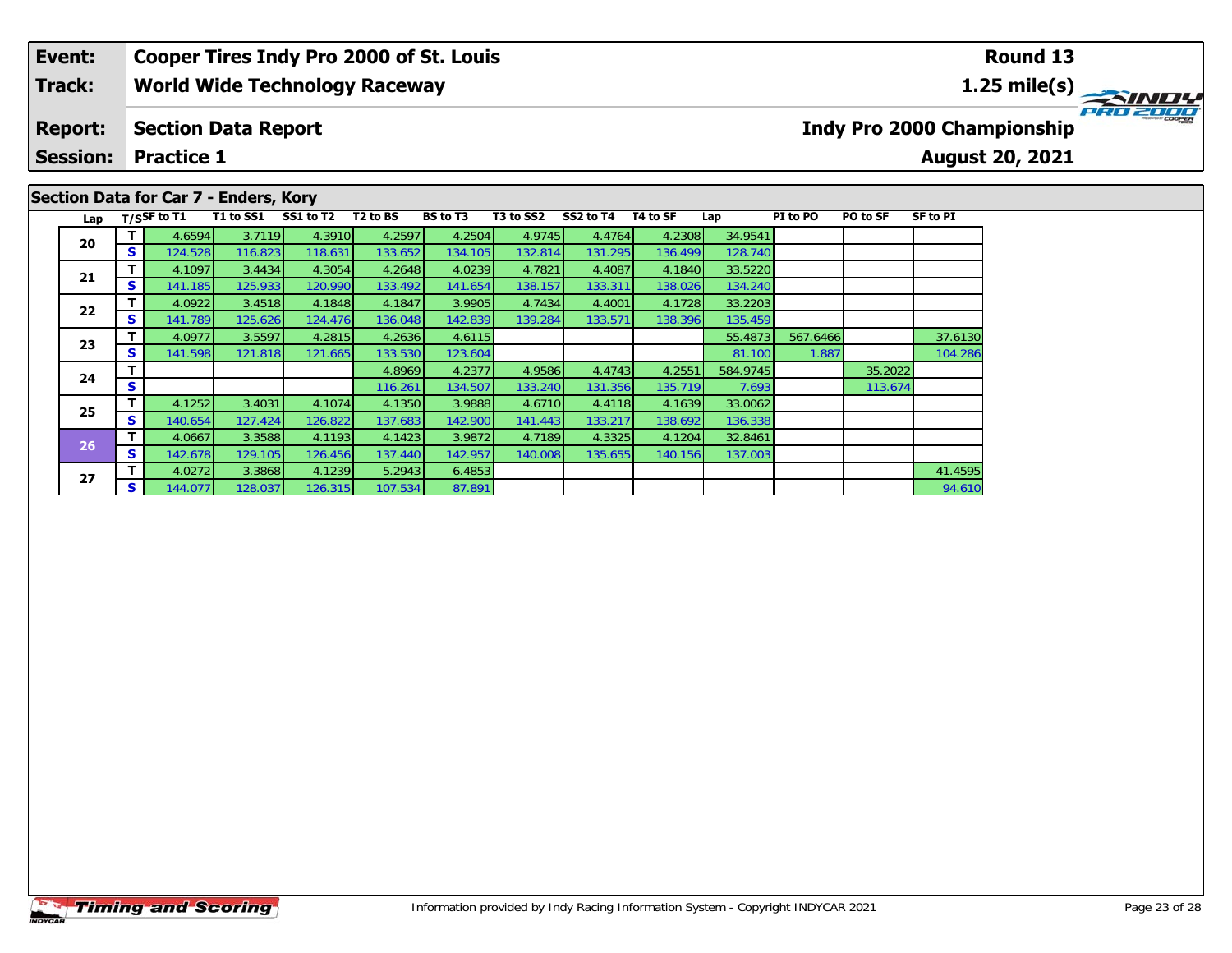## **Event: Cooper Tires Indy Pro 2000 of St. Louis Round 13Track:World Wide Technology Raceway 1.25 mile(s)** PRO 2000 **Report: Section Data Report Indy Pro 2000 Championship Session: Practice 1August 20, 2021 Section Data for Car 7 - Enders, Kory Lap T/SSF to T1 T1 to SS1 SS1 to T2 T2 to BS BS to T3 T3 to SS2 SS2 to T4 T4 to SF Lap PI to PO PO to SF SF to PI <sup>T</sup>** 4.6594 3.7119 4.3910 4.2597 4.2504 4.9745 4.4764 4.2308 34.9541 **<sup>S</sup>** 124.528 116.823 118.631 133.652 134.105 132.814 131.295 136.499 128.740**20**

**<sup>T</sup>** 4.1097 3.4434 4.3054 4.2648 4.0239 4.7821 4.4087 4.1840 33.5220 **<sup>S</sup>** 141.185 125.933 120.990 133.492 141.654 138.157 133.311 138.026 134.240

**<sup>T</sup>** 4.0922 3.4518 4.1848 4.1847 3.9905 4.7434 4.4001 4.1728 33.2203 **<sup>S</sup>** 141.789 125.626 124.476 136.048 142.839 139.284 133.571 138.396 135.459

**<sup>T</sup>** 4.1252 3.4031 4.1074 4.1350 3.9888 4.6710 4.4118 4.1639 33.0062 **<sup>S</sup>** 140.654 127.424 126.822 137.683 142.900 141.443 133.217 138.692 136.338

**<sup>T</sup>** 4.0667 3.3588 4.1193 4.1423 3.9872 4.7189 4.3325 4.1204 32.8461 **<sup>S</sup>** 142.678 129.105 126.456 137.440 142.957 140.008 135.655 140.156 137.003

**<sup>T</sup>** 4.0977 3.5597 4.2815 4.2636 4.6115 55.4873 567.6466 37.6130 **<sup>S</sup>** 141.598 121.818 121.665 133.530 123.604 81.100 1.887 104.286

**T** 4.0272 3.3868 4.1239 5.2943 6.4853 4 5.29 4.1239 4.1239 4.1239 5.2943 6.4853 4 5 5 5 6 6 6 7 8 9 4.610

**T | 116.261 135.2022**<br> **T | 116.261 134.507 133.240 131.356 135.719 7.693 113.674** 

**21**

**22**

**23**

**24**

**25**

**26**

**27**

137.003

104.286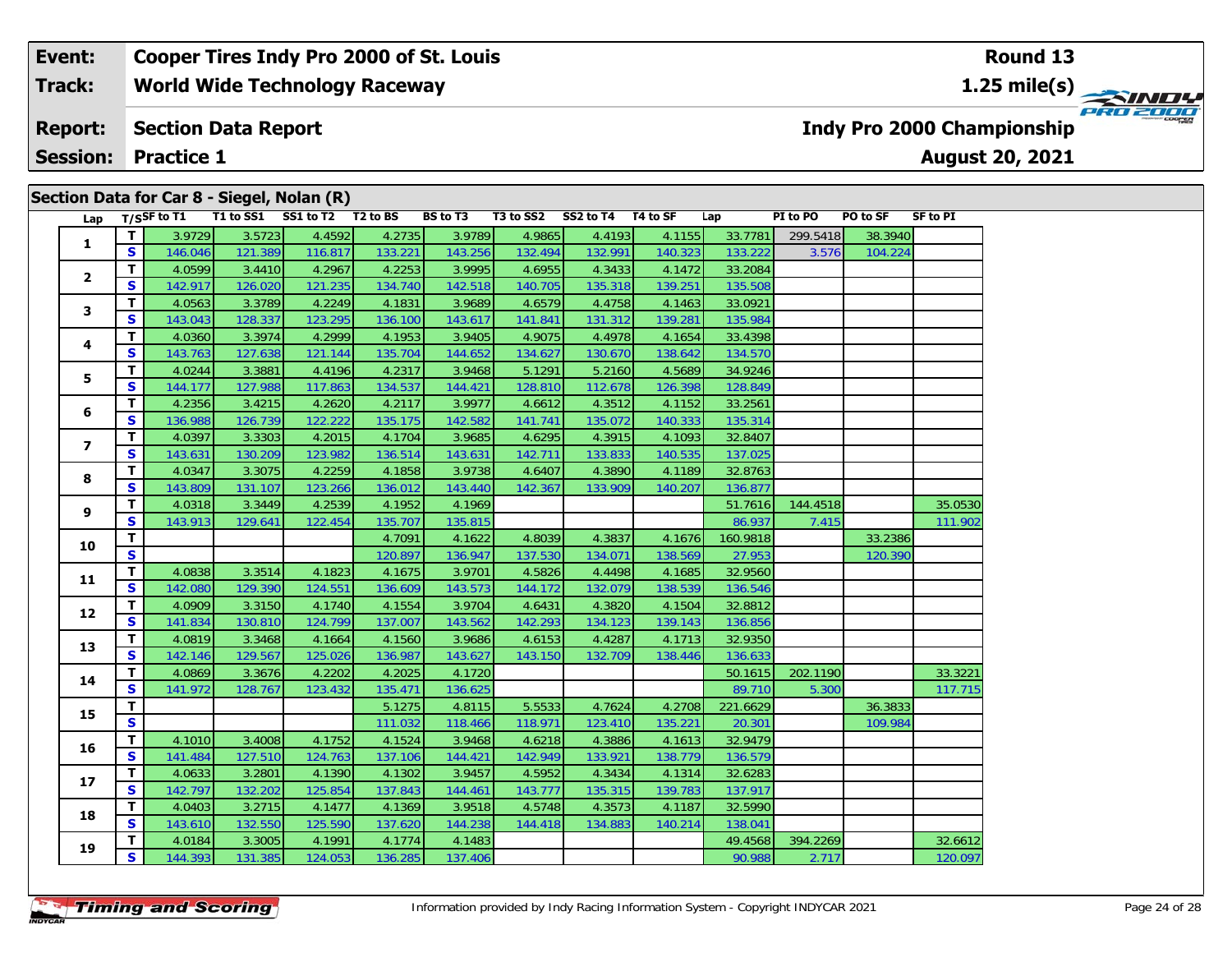#### **Event: Cooper Tires Indy Pro 2000 of St. Louis Round 13World Wide Technology Raceway 1.25 mile(s) Track:** PRO 2000 **Section Data Report Report: Indy Pro 2000 Championship August 20, 2021 Session: Practice 1 Section Data for Car 8 - Siegel, Nolan (R)**

| Lap                     |              | $T/S$ SF to T1 |         | Secuon Data for Car 8 - Sieger, Noian (K)<br>T1 to SS1 SS1 to T2 T2 to BS |         | BS to T3 |         | T3 to SS2 SS2 to T4 T4 to SF |         | Lap      | PI to PO | PO to SF | SF to PI |
|-------------------------|--------------|----------------|---------|---------------------------------------------------------------------------|---------|----------|---------|------------------------------|---------|----------|----------|----------|----------|
|                         | $\mathbf{T}$ | 3.9729         | 3.5723  | 4.4592                                                                    | 4.2735  | 3.9789   | 4.9865  | 4.4193                       | 4.1155  | 33.7781  | 299.5418 | 38.3940  |          |
| $\mathbf{1}$            | S            | 146.046        | 121.389 | 116.817                                                                   | 133.221 | 143.256  | 132.494 | 132.991                      | 140.323 | 133.222  | 3.576    | 104.224  |          |
|                         | T.           | 4.0599         | 3.4410  | 4.2967                                                                    | 4.2253  | 3.9995   | 4.6955  | 4.3433                       | 4.1472  | 33.2084  |          |          |          |
| $\overline{2}$          | S.           | 142.917        | 126.020 | 121.235                                                                   | 134.740 | 142.518  | 140.705 | 135.318                      | 139.251 | 135.508  |          |          |          |
| 3                       | T.           | 4.0563         | 3.3789  | 4.2249                                                                    | 4.1831  | 3.9689   | 4.6579  | 4.4758                       | 4.1463  | 33.0921  |          |          |          |
|                         | S            | 143.043        | 128.337 | 123.295                                                                   | 136.100 | 143.617  | 141.841 | 131.312                      | 139.281 | 135.984  |          |          |          |
|                         | T.           | 4.0360         | 3.3974  | 4.2999                                                                    | 4.1953  | 3.9405   | 4.9075  | 4.4978                       | 4.1654  | 33.4398  |          |          |          |
| 4                       | S            | 143.763        | 127.638 | 121.144                                                                   | 135.704 | 144.652  | 134.627 | 130.670                      | 138.642 | 134.570  |          |          |          |
| 5                       | T.           | 4.0244         | 3.3881  | 4.4196                                                                    | 4.2317  | 3.9468   | 5.1291  | 5.2160                       | 4.5689  | 34.9246  |          |          |          |
|                         | S            | 144.177        | 127.988 | 117.863                                                                   | 134.537 | 144.421  | 128.810 | 112.678                      | 126.398 | 128.849  |          |          |          |
| 6                       | T.           | 4.2356         | 3.4215  | 4.2620                                                                    | 4.2117  | 3.9977   | 4.6612  | 4.3512                       | 4.1152  | 33.2561  |          |          |          |
|                         | S            | 136.988        | 126.739 | 122.222                                                                   | 135.175 | 142.582  | 141.741 | 135.072                      | 140.333 | 135.314  |          |          |          |
| $\overline{\mathbf{z}}$ | T.           | 4.0397         | 3.3303  | 4.2015                                                                    | 4.1704  | 3.9685   | 4.6295  | 4.3915                       | 4.1093  | 32.8407  |          |          |          |
|                         | S            | 143.631        | 130.209 | 123.982                                                                   | 136.514 | 143.631  | 142.711 | 133.833                      | 140.535 | 137.025  |          |          |          |
| 8                       | T.           | 4.0347         | 3.3075  | 4.2259                                                                    | 4.1858  | 3.9738   | 4.6407  | 4.3890                       | 4.1189  | 32.8763  |          |          |          |
|                         | $\mathbf{s}$ | 143.809        | 131.107 | 123.266                                                                   | 136.012 | 143.440  | 142.367 | 133.909                      | 140.207 | 136.877  |          |          |          |
| 9                       | T.           | 4.0318         | 3.3449  | 4.2539                                                                    | 4.1952  | 4.1969   |         |                              |         | 51.7616  | 144.4518 |          | 35.0530  |
|                         | S            | 143.913        | 129.641 | 122.454                                                                   | 135.707 | 135.815  |         |                              |         | 86.937   | 7.415    |          | 111.902  |
| 10                      | T            |                |         |                                                                           | 4.7091  | 4.1622   | 4.8039  | 4.3837                       | 4.1676  | 160.9818 |          | 33.2386  |          |
|                         | $\mathbf{s}$ |                |         |                                                                           | 120.897 | 136.947  | 137.530 | 134.071                      | 138.569 | 27.953   |          | 120.390  |          |
| 11                      | $\mathbf{T}$ | 4.0838         | 3.3514  | 4.1823                                                                    | 4.1675  | 3.9701   | 4.5826  | 4.4498                       | 4.1685  | 32.9560  |          |          |          |
|                         | S            | 142.080        | 129.390 | 124.551                                                                   | 136.609 | 143.573  | 144.172 | 132.079                      | 138.539 | 136.546  |          |          |          |
| 12                      | T.           | 4.0909         | 3.3150  | 4.1740                                                                    | 4.1554  | 3.9704   | 4.6431  | 4.3820                       | 4.1504  | 32.8812  |          |          |          |
|                         | <b>S</b>     | 141.834        | 130.810 | 124.799                                                                   | 137.007 | 143.562  | 142.293 | 134.123                      | 139.143 | 136.856  |          |          |          |
| 13                      | T.           | 4.0819         | 3.3468  | 4.1664                                                                    | 4.1560  | 3.9686   | 4.6153  | 4.4287                       | 4.1713  | 32.9350  |          |          |          |
|                         | S            | 142.146        | 129.567 | 125.026                                                                   | 136.987 | 143.627  | 143.150 | 132.709                      | 138.446 | 136.633  |          |          |          |
| 14                      | T.           | 4.0869         | 3.3676  | 4.2202                                                                    | 4.2025  | 4.1720   |         |                              |         | 50.1615  | 202.1190 |          | 33.3221  |
|                         | S.           | 141.972        | 128.767 | 123.432                                                                   | 135.471 | 136.625  |         |                              |         | 89.710   | 5.300    |          | 117.715  |
| 15                      | T.           |                |         |                                                                           | 5.1275  | 4.8115   | 5.5533  | 4.7624                       | 4.2708  | 221.6629 |          | 36.3833  |          |
|                         | $\mathbf{s}$ |                |         |                                                                           | 111.032 | 118.466  | 118.971 | 123.410                      | 135.221 | 20.301   |          | 109.984  |          |
| 16                      | T.           | 4.1010         | 3.4008  | 4.1752                                                                    | 4.1524  | 3.9468   | 4.6218  | 4.3886                       | 4.1613  | 32.9479  |          |          |          |
|                         | S            | 141.484        | 127.510 | 124.763                                                                   | 137.106 | 144.421  | 142.949 | 133.921                      | 138.779 | 136.579  |          |          |          |
| 17                      | T.           | 4.0633         | 3.2801  | 4.1390                                                                    | 4.1302  | 3.9457   | 4.5952  | 4.3434                       | 4.1314  | 32.6283  |          |          |          |
|                         | S            | 142.797        | 132.202 | 125.854                                                                   | 137.843 | 144.461  | 143.777 | 135.315                      | 139.783 | 137.917  |          |          |          |
| 18                      | T.           | 4.0403         | 3.2715  | 4.1477                                                                    | 4.1369  | 3.9518   | 4.5748  | 4.3573                       | 4.1187  | 32.5990  |          |          |          |
|                         | S.           | 143.610        | 132.550 | 125.590                                                                   | 137.620 | 144.238  | 144.418 | 134.883                      | 140.214 | 138.041  |          |          |          |
| 19                      | T.           | 4.0184         | 3.3005  | 4.1991                                                                    | 4.1774  | 4.1483   |         |                              |         | 49.4568  | 394.2269 |          | 32.6612  |
|                         | S            | 144.393        | 131.385 | 124.053                                                                   | 136.285 | 137.406  |         |                              |         | 90.988   | 2.717    |          | 120.097  |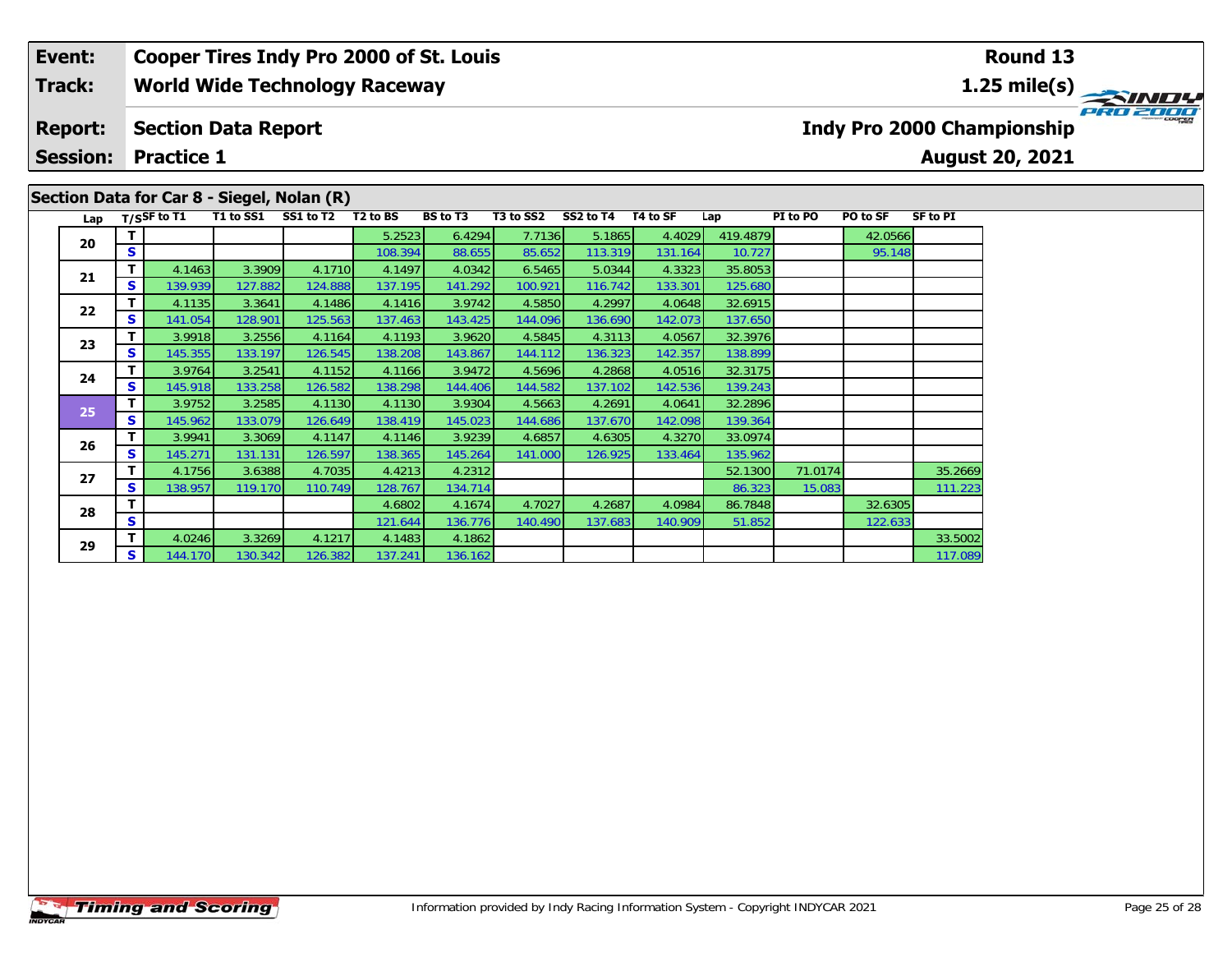#### **Event: Cooper Tires Indy Pro 2000 of St. Louis Round 13Track:World Wide Technology Raceway 1.25 mile(s)** PRO 2000 **Report: Section Data Report Indy Pro 2000 Championship Session: Practice 1August 20, 2021 Section Data for Car 8 - Siegel, Nolan (R)** Lap T/S<sup>SF</sup> to T1 T1 to SS1 SS1 to T2 T2 to BS BS to T3 T3 to SS2 SS2 to T4 T4 to SF Lap PI to PO PO to SF SF to PI

138.899

122.633

**d T** 6.2523 6.4294 7.7136 5.1865 4.4029 419.4879 42.0566 42.0566 108.394 88.655 85.652 113.319 131.164 10.727

**<sup>T</sup>** 4.1756 3.6388 4.7035 4.4213 4.2312 52.1300 71.0174 35.2669 **<sup>S</sup>** 138.957 119.170 110.749 128.767 134.714 86.323 15.083 111.223

**<sup>T</sup>** 4.0246 3.3269 4.1217 4.1483 4.1862 33.5002 **<sup>S</sup>** 144.170 130.342 126.382 137.241 136.162 117.089

**<sup>T</sup>** 4.6802 4.1674 4.7027 4.2687 4.0984 86.7848 32.6305 **<sup>S</sup>** 121.644 136.776 140.490 137.683 140.909 51.852 122.633

**<sup>T</sup>** 4.1463 3.3909 4.1710 4.1497 4.0342 6.5465 5.0344 4.3323 35.8053 **<sup>S</sup>** 139.939 127.882 124.888 137.195 141.292 100.921 116.742 133.301 125.680

**<sup>T</sup>** 4.1135 3.3641 4.1486 4.1416 3.9742 4.5850 4.2997 4.0648 32.6915 **<sup>S</sup>** 141.054 128.901 125.563 137.463 143.425 144.096 136.690 142.073 137.650

**<sup>T</sup>** 3.9918 3.2556 4.1164 4.1193 3.9620 4.5845 4.3113 4.0567 32.3976 **<sup>S</sup>** 145.355 133.197 126.545 138.208 143.867 144.112 136.323 142.357 138.899

**<sup>T</sup>** 3.9764 3.2541 4.1152 4.1166 3.9472 4.5696 4.2868 4.0516 32.3175 **<sup>S</sup>** 145.918 133.258 126.582 138.298 144.406 144.582 137.102 142.536 139.243

**<sup>T</sup>** 3.9752 3.2585 4.1130 4.1130 3.9304 4.5663 4.2691 4.0641 32.2896 **<sup>S</sup>** 145.962 133.079 126.649 138.419 145.023 144.686 137.670 142.098 139.364

**<sup>T</sup>** 3.9941 3.3069 4.1147 4.1146 3.9239 4.6857 4.6305 4.3270 33.0974 **<sup>S</sup>** 145.271 131.131 126.597 138.365 145.264 141.000 126.925 133.464 135.962

**20**

**21**

**22**

**23**

**24**

**25**

**26**

**27**

**28**

**29**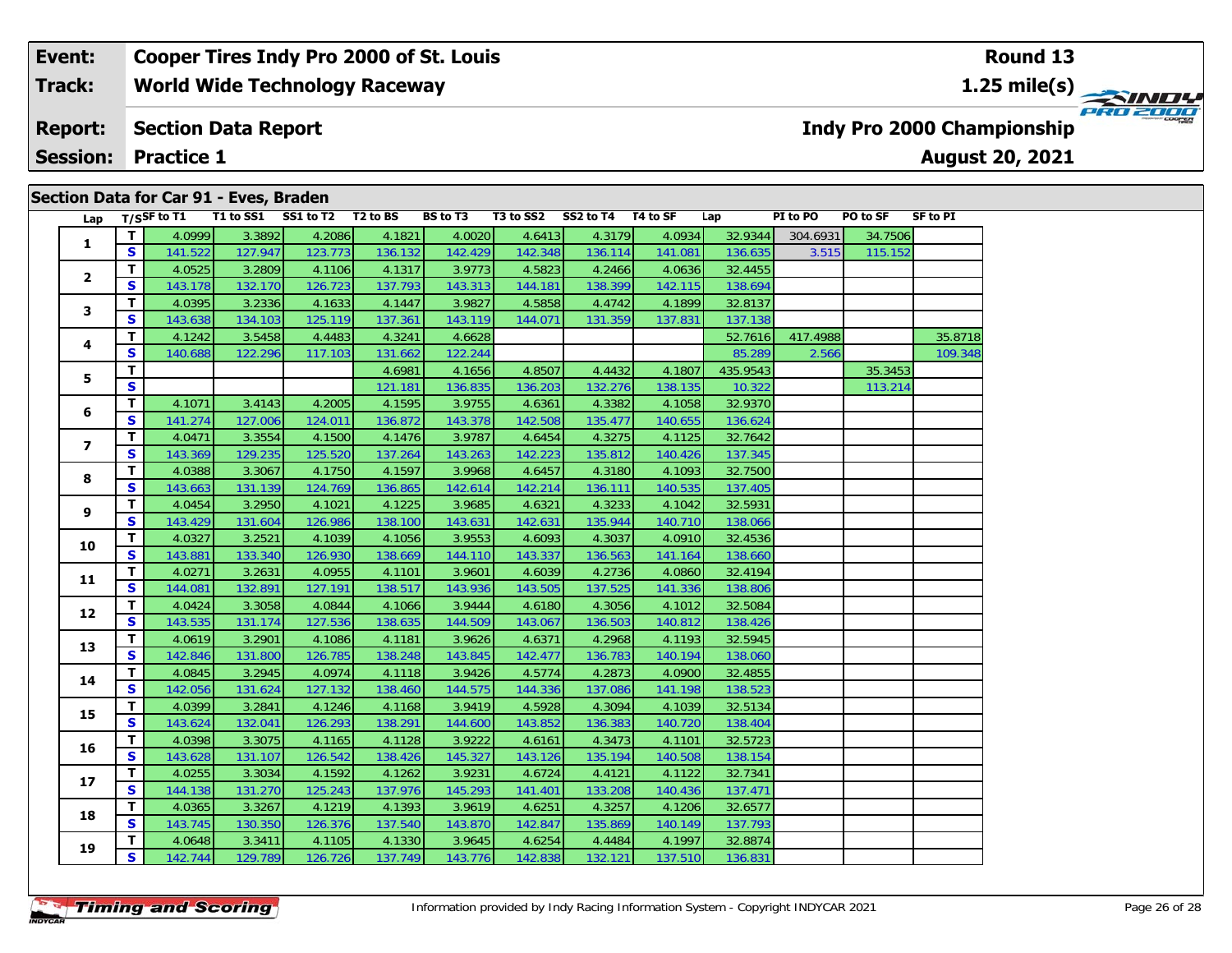#### **Event: Cooper Tires Indy Pro 2000 of St. Louis Round 131.25 mile(s) World Wide Technology Raceway Track:** PRO 2000 **Section Data Report Indy Pro 2000 Championship Report: August 20, 2021 Session: Practice 1**

| Lap                      |              | $T/S$ SF to T1 |         | T1 to SS1 SS1 to T2 T2 to BS |         | BS to T3 |         | T3 to SS2 SS2 to T4 T4 to SF |         | Lap      | PI to PO | PO to SF | SF to PI |
|--------------------------|--------------|----------------|---------|------------------------------|---------|----------|---------|------------------------------|---------|----------|----------|----------|----------|
|                          | Т            | 4.0999         | 3.3892  | 4.2086                       | 4.1821  | 4.0020   | 4.6413  | 4.3179                       | 4.0934  | 32.9344  | 304.6931 | 34.7506  |          |
| 1                        | S            | 141.522        | 127.947 | 123.773                      | 136.132 | 142.429  | 142.348 | 136.114                      | 141.081 | 136.635  | 3.515    | 115.152  |          |
|                          | Т            | 4.0525         | 3.2809  | 4.1106                       | 4.1317  | 3.9773   | 4.5823  | 4.2466                       | 4.0636  | 32.4455  |          |          |          |
| $\overline{\mathbf{2}}$  | S            | 143.178        | 132.170 | 126.723                      | 137.793 | 143.313  | 144.181 | 138.399                      | 142.115 | 138.694  |          |          |          |
|                          | T.           | 4.0395         | 3.2336  | 4.1633                       | 4.1447  | 3.9827   | 4.5858  | 4.4742                       | 4.1899  | 32.8137  |          |          |          |
| 3                        | S            | 143.638        | 134.103 | 125.119                      | 137.361 | 143.119  | 144.071 | 131.359                      | 137.831 | 137.138  |          |          |          |
|                          | T.           | 4.1242         | 3.5458  | 4.4483                       | 4.3241  | 4.6628   |         |                              |         | 52.7616  | 417.4988 |          | 35.8718  |
| 4                        | S            | 140.688        | 122.296 | 117.103                      | 131.662 | 122.244  |         |                              |         | 85.289   | 2.566    |          | 109.348  |
| 5                        | Т            |                |         |                              | 4.6981  | 4.1656   | 4.8507  | 4.4432                       | 4.1807  | 435.9543 |          | 35.3453  |          |
|                          | S            |                |         |                              | 121.181 | 136.835  | 136.203 | 132.276                      | 138.135 | 10.322   |          | 113.214  |          |
| 6                        | Т            | 4.1071         | 3.4143  | 4.2005                       | 4.1595  | 3.9755   | 4.6361  | 4.3382                       | 4.1058  | 32.9370  |          |          |          |
|                          | $\mathbf{s}$ | 141.274        | 127.006 | 124.011                      | 136.872 | 143.378  | 142.508 | 135.477                      | 140.655 | 136.624  |          |          |          |
| $\overline{\phantom{a}}$ | T.           | 4.0471         | 3.3554  | 4.1500                       | 4.1476  | 3.9787   | 4.6454  | 4.3275                       | 4.1125  | 32.7642  |          |          |          |
|                          | S            | 143.369        | 129.235 | 125.520                      | 137.264 | 143.263  | 142.223 | 135.812                      | 140.426 | 137.345  |          |          |          |
| 8                        | T.           | 4.0388         | 3.3067  | 4.1750                       | 4.1597  | 3.9968   | 4.6457  | 4.3180                       | 4.1093  | 32.7500  |          |          |          |
|                          | S            | 143.663        | 131.139 | 124.769                      | 136.865 | 142.614  | 142.214 | 136.111                      | 140.535 | 137.405  |          |          |          |
| 9                        | Т            | 4.0454         | 3.2950  | 4.1021                       | 4.1225  | 3.9685   | 4.6321  | 4.3233                       | 4.1042  | 32.5931  |          |          |          |
|                          | S            | 143.429        | 131.604 | 126.986                      | 138.100 | 143.631  | 142.631 | 135.944                      | 140.710 | 138.066  |          |          |          |
| 10                       | T.           | 4.0327         | 3.2521  | 4.1039                       | 4.1056  | 3.9553   | 4.6093  | 4.3037                       | 4.0910  | 32.4536  |          |          |          |
|                          | S            | 143.881        | 133.340 | 126.930                      | 138.669 | 144.110  | 143.337 | 136.563                      | 141.164 | 138.660  |          |          |          |
| 11                       | Т            | 4.0271         | 3.2631  | 4.0955                       | 4.1101  | 3.9601   | 4.6039  | 4.2736                       | 4.0860  | 32.4194  |          |          |          |
|                          | S            | 144.081        | 132.891 | 127.191                      | 138.517 | 143.936  | 143.505 | 137.525                      | 141.336 | 138.806  |          |          |          |
| 12                       | Т            | 4.0424         | 3.3058  | 4.0844                       | 4.1066  | 3.9444   | 4.6180  | 4.3056                       | 4.1012  | 32.5084  |          |          |          |
|                          | S            | 143.535        | 131.174 | 127.536                      | 138.635 | 144.509  | 143.067 | 136.503                      | 140.812 | 138.426  |          |          |          |
| 13                       | T.           | 4.0619         | 3.2901  | 4.1086                       | 4.1181  | 3.9626   | 4.6371  | 4.2968                       | 4.1193  | 32.5945  |          |          |          |
|                          | S            | 142.846        | 131.800 | 126.785                      | 138.248 | 143.845  | 142.477 | 136.783                      | 140.194 | 138.060  |          |          |          |
| 14                       | T.           | 4.0845         | 3.2945  | 4.0974                       | 4.1118  | 3.9426   | 4.5774  | 4.2873                       | 4.0900  | 32.4855  |          |          |          |
|                          | S            | 142.056        | 131.624 | 127.132                      | 138.460 | 144.575  | 144.336 | 137.086                      | 141.198 | 138.523  |          |          |          |
| 15                       | T.           | 4.0399         | 3.2841  | 4.1246                       | 4.1168  | 3.9419   | 4.5928  | 4.3094                       | 4.1039  | 32.5134  |          |          |          |
|                          | S            | 143.624        | 132.041 | 126.293                      | 138.291 | 144.600  | 143.852 | 136.383                      | 140.720 | 138.404  |          |          |          |
| 16                       | Т            | 4.0398         | 3.3075  | 4.1165                       | 4.1128  | 3.9222   | 4.6161  | 4.3473                       | 4.1101  | 32.5723  |          |          |          |
|                          | S            | 143.628        | 131.107 | 126.542                      | 138.426 | 145.327  | 143.126 | 135.194                      | 140.508 | 138.154  |          |          |          |
| 17                       | Т            | 4.0255         | 3.3034  | 4.1592                       | 4.1262  | 3.9231   | 4.6724  | 4.4121                       | 4.1122  | 32.7341  |          |          |          |
|                          | S            | 144.138        | 131.270 | 125.243                      | 137.976 | 145.293  | 141.401 | 133.208                      | 140.436 | 137.471  |          |          |          |
| 18                       | T.           | 4.0365         | 3.3267  | 4.1219                       | 4.1393  | 3.9619   | 4.6251  | 4.3257                       | 4.1206  | 32.6577  |          |          |          |
|                          | S            | 143.745        | 130.350 | 126.376                      | 137.540 | 143.870  | 142.847 | 135.869                      | 140.149 | 137.793  |          |          |          |
| 19                       | т            | 4.0648         | 3.3411  | 4.1105                       | 4.1330  | 3.9645   | 4.6254  | 4.4484                       | 4.1997  | 32.8874  |          |          |          |
|                          | S            | 142.744        | 129.789 | 126.726                      | 137.749 | 143.776  | 142.838 | 132.121                      | 137.510 | 136.831  |          |          |          |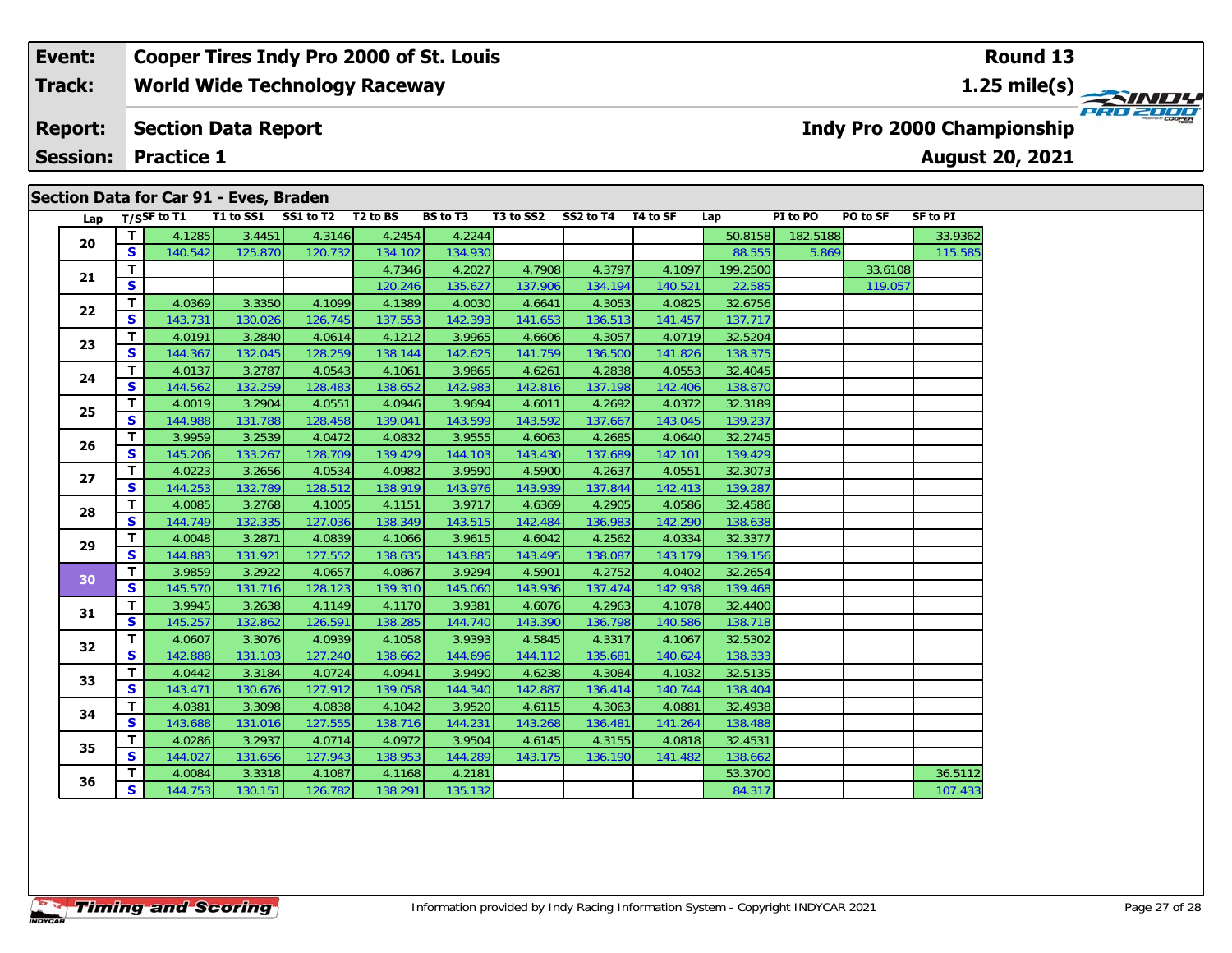#### **Event: Cooper Tires Indy Pro 2000 of St. Louis Round 13World Wide Technology Raceway 1.25 mile(s) Track: PRO 2000 Report: Section Data Report Indy Pro 2000 Championship August 20, 2021 Session: Practice 1**

| Lap |              | T/SSF to T1 | T1 to SS1 | SS1 to T2 T2 to BS |         | <b>BS</b> to T3 | T3 to SS2 | SS2 to T4 | T4 to SF | Lap      | PI to PO | PO to SF | <b>SF to PI</b> |
|-----|--------------|-------------|-----------|--------------------|---------|-----------------|-----------|-----------|----------|----------|----------|----------|-----------------|
| 20  | T            | 4.1285      | 3.4451    | 4.3146             | 4.2454  | 4.2244          |           |           |          | 50.8158  | 182.5188 |          | 33.9362         |
|     | S.           | 140.542     | 125.870   | 120.732            | 134.102 | 134.930         |           |           |          | 88.555   | 5.869    |          | 115.585         |
| 21  | T.           |             |           |                    | 4.7346  | 4.2027          | 4.7908    | 4.3797    | 4.1097   | 199.2500 |          | 33.6108  |                 |
|     | S            |             |           |                    | 120.246 | 135.627         | 137.906   | 134.194   | 140.521  | 22.585   |          | 119.057  |                 |
| 22  | T.           | 4.0369      | 3.3350    | 4.1099             | 4.1389  | 4.0030          | 4.6641    | 4.3053    | 4.0825   | 32.6756  |          |          |                 |
|     | S            | 143.731     | 130.026   | 126.745            | 137.553 | 142.393         | 141.653   | 136.513   | 141.457  | 137.717  |          |          |                 |
| 23  | T.           | 4.0191      | 3.2840    | 4.0614             | 4.1212  | 3.9965          | 4.6606    | 4.3057    | 4.0719   | 32.5204  |          |          |                 |
|     | S.           | 144.367     | 132.045   | 128.259            | 138.144 | 142.625         | 141.759   | 136.500   | 141.826  | 138.375  |          |          |                 |
| 24  | T.           | 4.0137      | 3.2787    | 4.0543             | 4.1061  | 3.9865          | 4.6261    | 4.2838    | 4.0553   | 32.4045  |          |          |                 |
|     | S.           | 144.562     | 132.259   | 128.483            | 138.652 | 142.983         | 142.816   | 137.198   | 142.406  | 138.870  |          |          |                 |
| 25  | T.           | 4.0019      | 3.2904    | 4.0551             | 4.0946  | 3.9694          | 4.6011    | 4.2692    | 4.0372   | 32.3189  |          |          |                 |
|     | S            | 144.988     | 131.788   | 128.458            | 139.041 | 143.599         | 143.592   | 137.667   | 143.045  | 139.237  |          |          |                 |
| 26  | T.           | 3.9959      | 3.2539    | 4.0472             | 4.0832  | 3.9555          | 4.6063    | 4.2685    | 4.0640   | 32.2745  |          |          |                 |
|     | S.           | 145.206     | 133.267   | 128.709            | 139.429 | 144.103         | 143.430   | 137.689   | 142.101  | 139.429  |          |          |                 |
| 27  | T.           | 4.0223      | 3.2656    | 4.0534             | 4.0982  | 3.9590          | 4.5900    | 4.2637    | 4.0551   | 32.3073  |          |          |                 |
|     | $\mathbf{s}$ | 144.253     | 132.789   | 128.512            | 138.919 | 143.976         | 143.939   | 137.844   | 142.413  | 139.287  |          |          |                 |
| 28  | T.           | 4.0085      | 3.2768    | 4.1005             | 4.1151  | 3.9717          | 4.6369    | 4.2905    | 4.0586   | 32.4586  |          |          |                 |
|     | S            | 144.749     | 132.335   | 127.036            | 138.349 | 143.515         | 142.484   | 136.983   | 142.290  | 138.638  |          |          |                 |
| 29  | T.           | 4.0048      | 3.2871    | 4.0839             | 4.1066  | 3.9615          | 4.6042    | 4.2562    | 4.0334   | 32.3377  |          |          |                 |
|     | S            | 144.883     | 131.921   | 127.552            | 138.635 | 143.885         | 143.495   | 138.087   | 143.179  | 139.156  |          |          |                 |
| 30  | T            | 3.9859      | 3.2922    | 4.0657             | 4.0867  | 3.9294          | 4.5901    | 4.2752    | 4.0402   | 32.2654  |          |          |                 |
|     | S            | 145.570     | 131.716   | 128.123            | 139.310 | 145.060         | 143.936   | 137.474   | 142.938  | 139.468  |          |          |                 |
| 31  | T.           | 3.9945      | 3.2638    | 4.1149             | 4.1170  | 3.9381          | 4.6076    | 4.2963    | 4.1078   | 32.4400  |          |          |                 |
|     | S.           | 145.257     | 132.862   | 126.591            | 138.285 | 144.740         | 143.390   | 136.798   | 140.586  | 138.718  |          |          |                 |
| 32  | T.           | 4.0607      | 3.3076    | 4.0939             | 4.1058  | 3.9393          | 4.5845    | 4.3317    | 4.1067   | 32.5302  |          |          |                 |
|     | S.           | 142.888     | 131.103   | 127.240            | 138.662 | 144.696         | 144.112   | 135.681   | 140.624  | 138.333  |          |          |                 |
| 33  | T.           | 4.0442      | 3.3184    | 4.0724             | 4.0941  | 3.9490          | 4.6238    | 4.3084    | 4.1032   | 32.5135  |          |          |                 |
|     | S            | 143.471     | 130.676   | 127.912            | 139.058 | 144.340         | 142.887   | 136.414   | 140.744  | 138.404  |          |          |                 |
| 34  | T.           | 4.0381      | 3.3098    | 4.0838             | 4.1042  | 3.9520          | 4.6115    | 4.3063    | 4.0881   | 32.4938  |          |          |                 |
|     | S.           | 143.688     | 131.016   | 127.555            | 138.716 | 144.231         | 143.268   | 136.481   | 141.264  | 138.488  |          |          |                 |
|     | T.           | 4.0286      | 3.2937    | 4.0714             | 4.0972  | 3.9504          | 4.6145    | 4.3155    | 4.0818   | 32.4531  |          |          |                 |
| 35  | S            | 144.027     | 131.656   | 127.943            | 138.953 | 144.289         | 143.175   | 136.190   | 141.482  | 138.662  |          |          |                 |
|     | T.           | 4.0084      | 3.3318    | 4.1087             | 4.1168  | 4.2181          |           |           |          | 53.3700  |          |          | 36.5112         |
| 36  | S            | 144.753     | 130.151   | 126.782            | 138.291 | 135.132         |           |           |          | 84.317   |          |          | 107.433         |